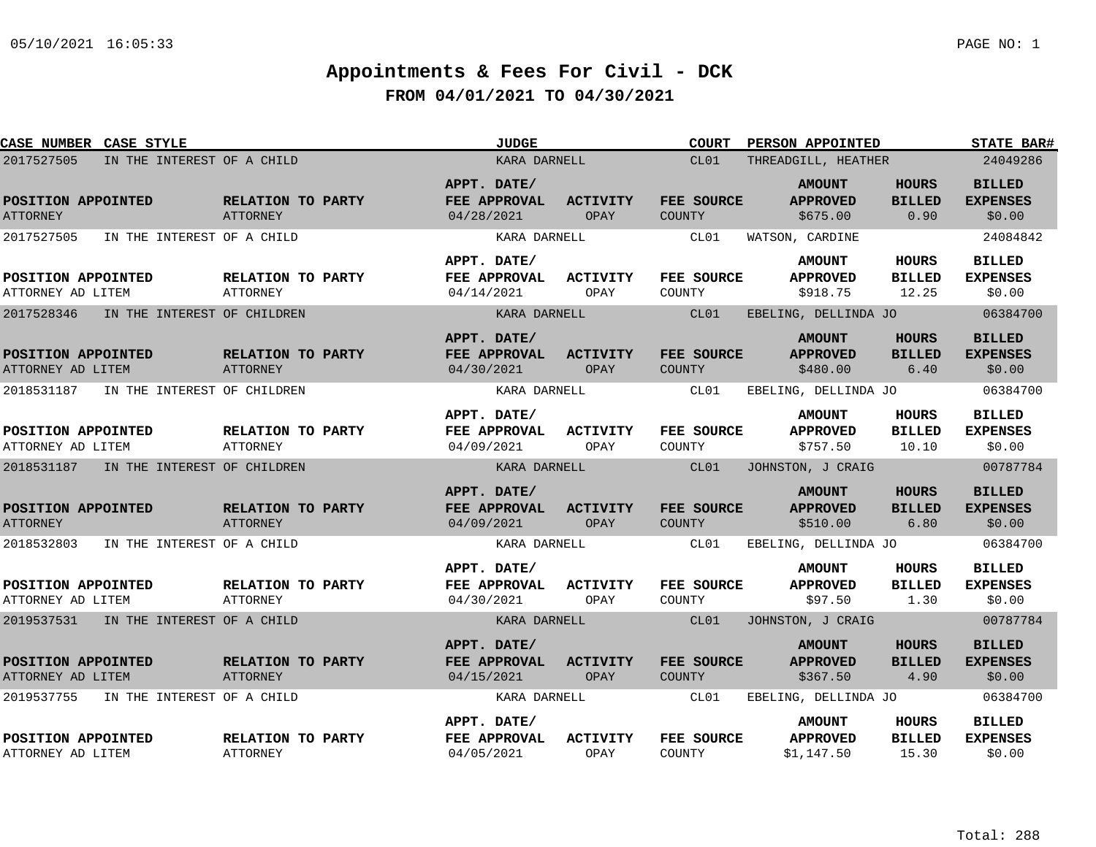| CASE NUMBER CASE STYLE                  |                                        |                                      | <b>JUDGE</b>                              |                         | <b>COURT</b>                | PERSON APPOINTED                               |                                        |                                            |  |
|-----------------------------------------|----------------------------------------|--------------------------------------|-------------------------------------------|-------------------------|-----------------------------|------------------------------------------------|----------------------------------------|--------------------------------------------|--|
| 2017527505                              | IN THE INTEREST OF A CHILD             |                                      | KARA DARNELL                              |                         | CL01                        | THREADGILL, HEATHER                            |                                        | 24049286                                   |  |
| POSITION APPOINTED<br><b>ATTORNEY</b>   |                                        | RELATION TO PARTY<br>ATTORNEY        | APPT. DATE/<br>FEE APPROVAL<br>04/28/2021 | <b>ACTIVITY</b><br>OPAY | FEE SOURCE<br>COUNTY        | <b>AMOUNT</b><br><b>APPROVED</b><br>\$675.00   | <b>HOURS</b><br><b>BILLED</b><br>0.90  | <b>BILLED</b><br><b>EXPENSES</b><br>\$0.00 |  |
| 2017527505                              | IN THE INTEREST OF A CHILD             |                                      | KARA DARNELL                              |                         | CL01                        | WATSON, CARDINE                                |                                        | 24084842                                   |  |
| POSITION APPOINTED<br>ATTORNEY AD LITEM |                                        | RELATION TO PARTY<br><b>ATTORNEY</b> | APPT. DATE/<br>FEE APPROVAL<br>04/14/2021 | ACTIVITY<br>OPAY        | <b>FEE SOURCE</b><br>COUNTY | <b>AMOUNT</b><br><b>APPROVED</b><br>\$918.75   | HOURS<br><b>BILLED</b><br>12.25        | <b>BILLED</b><br><b>EXPENSES</b><br>\$0.00 |  |
| 2017528346                              | IN THE INTEREST OF CHILDREN            |                                      | KARA DARNELL                              |                         | CL01                        | EBELING, DELLINDA JO                           |                                        | 06384700                                   |  |
| POSITION APPOINTED<br>ATTORNEY AD LITEM |                                        | RELATION TO PARTY<br><b>ATTORNEY</b> | APPT. DATE/<br>FEE APPROVAL<br>04/30/2021 | <b>ACTIVITY</b><br>OPAY | FEE SOURCE<br><b>COUNTY</b> | <b>AMOUNT</b><br><b>APPROVED</b><br>\$480.00   | <b>HOURS</b><br><b>BILLED</b><br>6.40  | <b>BILLED</b><br><b>EXPENSES</b><br>\$0.00 |  |
| 2018531187                              | IN THE INTEREST OF CHILDREN            |                                      | KARA DARNELL                              |                         | CL01                        | EBELING, DELLINDA JO                           |                                        | 06384700                                   |  |
| POSITION APPOINTED<br>ATTORNEY AD LITEM |                                        | RELATION TO PARTY<br>ATTORNEY        | APPT. DATE/<br>FEE APPROVAL<br>04/09/2021 | ACTIVITY<br>OPAY        | FEE SOURCE<br>COUNTY        | <b>AMOUNT</b><br><b>APPROVED</b><br>\$757.50   | <b>HOURS</b><br><b>BILLED</b><br>10.10 | <b>BILLED</b><br><b>EXPENSES</b><br>\$0.00 |  |
|                                         | 2018531187 IN THE INTEREST OF CHILDREN |                                      | KARA DARNELL                              |                         | CL01                        | JOHNSTON, J CRAIG                              |                                        | 00787784                                   |  |
| POSITION APPOINTED<br><b>ATTORNEY</b>   |                                        | RELATION TO PARTY<br><b>ATTORNEY</b> | APPT. DATE/<br>FEE APPROVAL<br>04/09/2021 | ACTIVITY<br>OPAY        | FEE SOURCE<br>COUNTY        | <b>AMOUNT</b><br><b>APPROVED</b><br>\$510.00   | <b>HOURS</b><br><b>BILLED</b><br>6.80  | <b>BILLED</b><br><b>EXPENSES</b><br>\$0.00 |  |
| 2018532803                              | IN THE INTEREST OF A CHILD             |                                      | KARA DARNELL                              |                         | CL01                        | EBELING, DELLINDA JO                           |                                        | 06384700                                   |  |
| POSITION APPOINTED<br>ATTORNEY AD LITEM |                                        | RELATION TO PARTY<br>ATTORNEY        | APPT. DATE/<br>FEE APPROVAL<br>04/30/2021 | <b>ACTIVITY</b><br>OPAY | FEE SOURCE<br>COUNTY        | <b>AMOUNT</b><br><b>APPROVED</b><br>\$97.50    | HOURS<br><b>BILLED</b><br>1.30         | <b>BILLED</b><br><b>EXPENSES</b><br>\$0.00 |  |
|                                         | 2019537531 IN THE INTEREST OF A CHILD  |                                      | KARA DARNELL                              |                         | CL01                        | JOHNSTON, J CRAIG                              |                                        | 00787784                                   |  |
| POSITION APPOINTED<br>ATTORNEY AD LITEM |                                        | RELATION TO PARTY<br>ATTORNEY        | APPT. DATE/<br>FEE APPROVAL<br>04/15/2021 | ACTIVITY<br>OPAY        | FEE SOURCE<br><b>COUNTY</b> | <b>AMOUNT</b><br><b>APPROVED</b><br>\$367.50   | <b>HOURS</b><br><b>BILLED</b><br>4.90  | <b>BILLED</b><br><b>EXPENSES</b><br>\$0.00 |  |
| 2019537755                              | IN THE INTEREST OF A CHILD             |                                      | KARA DARNELL                              |                         | CL01                        | EBELING, DELLINDA JO                           |                                        | 06384700                                   |  |
| POSITION APPOINTED<br>ATTORNEY AD LITEM |                                        | RELATION TO PARTY<br>ATTORNEY        | APPT. DATE/<br>FEE APPROVAL<br>04/05/2021 | ACTIVITY<br>OPAY        | FEE SOURCE<br>COUNTY        | <b>AMOUNT</b><br><b>APPROVED</b><br>\$1,147.50 | <b>HOURS</b><br><b>BILLED</b><br>15.30 | <b>BILLED</b><br><b>EXPENSES</b><br>\$0.00 |  |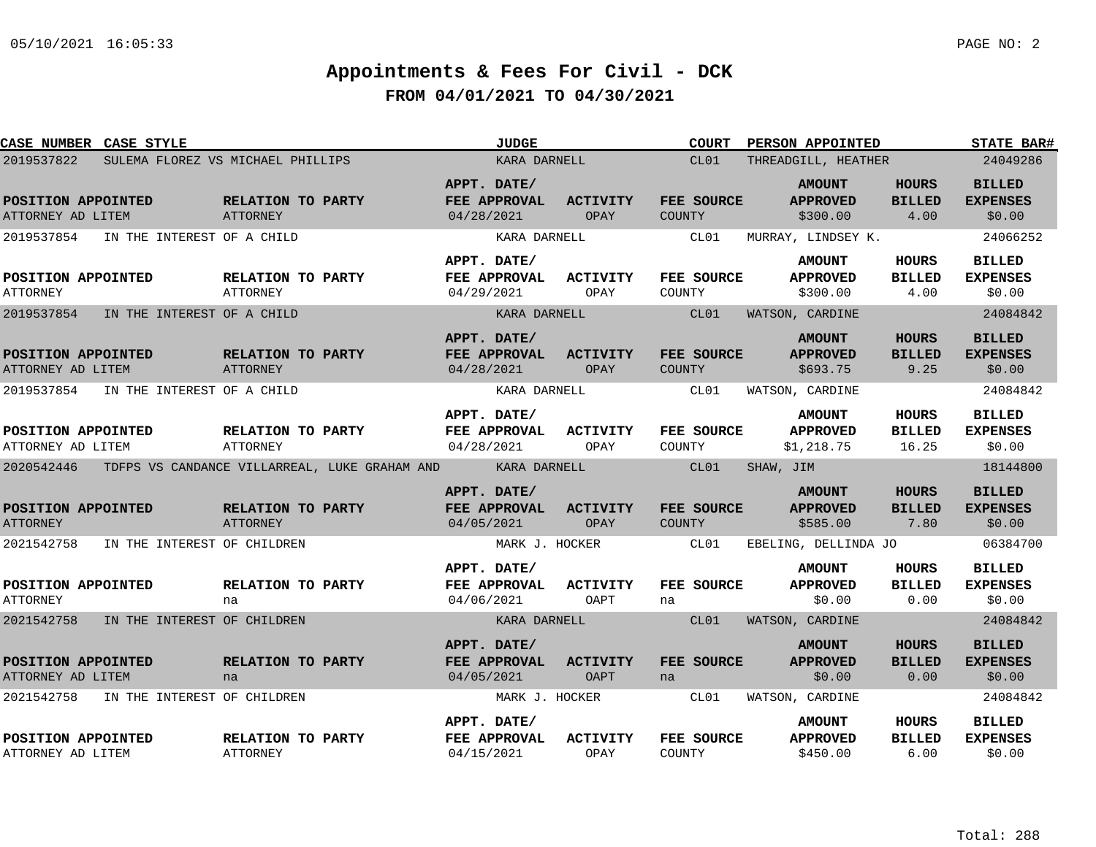| <b>CASE NUMBER CASE STYLE</b>             |                                                                       | <b>JUDGE</b>                              |                                | <b>COURT</b>                | PERSON APPOINTED                               |                                        | <b>STATE BAR#</b>                          |
|-------------------------------------------|-----------------------------------------------------------------------|-------------------------------------------|--------------------------------|-----------------------------|------------------------------------------------|----------------------------------------|--------------------------------------------|
| 2019537822                                | SULEMA FLOREZ VS MICHAEL PHILLIPS                                     | KARA DARNELL                              |                                | CL01                        | THREADGILL, HEATHER                            |                                        | 24049286                                   |
| POSITION APPOINTED<br>ATTORNEY AD LITEM   | RELATION TO PARTY<br>ATTORNEY                                         | APPT. DATE/<br>FEE APPROVAL<br>04/28/2021 | <b>ACTIVITY</b><br>OPAY        | FEE SOURCE<br><b>COUNTY</b> | <b>AMOUNT</b><br><b>APPROVED</b><br>\$300.00   | <b>HOURS</b><br><b>BILLED</b><br>4.00  | <b>BILLED</b><br><b>EXPENSES</b><br>\$0.00 |
| 2019537854<br>IN THE INTEREST OF A CHILD  |                                                                       | KARA DARNELL                              |                                | CL01                        | MURRAY, LINDSEY K.                             |                                        | 24066252                                   |
| POSITION APPOINTED<br>ATTORNEY            | <b>RELATION TO PARTY</b><br><b>ATTORNEY</b>                           | APPT. DATE/<br>FEE APPROVAL<br>04/29/2021 | <b>ACTIVITY</b><br>OPAY        | FEE SOURCE<br>COUNTY        | <b>AMOUNT</b><br><b>APPROVED</b><br>\$300.00   | <b>HOURS</b><br><b>BILLED</b><br>4.00  | <b>BILLED</b><br><b>EXPENSES</b><br>\$0.00 |
| 2019537854<br>IN THE INTEREST OF A CHILD  |                                                                       | KARA DARNELL                              |                                | CL01                        | WATSON, CARDINE                                |                                        | 24084842                                   |
| POSITION APPOINTED<br>ATTORNEY AD LITEM   | RELATION TO PARTY<br>ATTORNEY                                         | APPT. DATE/<br>FEE APPROVAL<br>04/28/2021 | <b>ACTIVITY</b><br>OPAY        | FEE SOURCE<br>COUNTY        | <b>AMOUNT</b><br><b>APPROVED</b><br>\$693.75   | <b>HOURS</b><br><b>BILLED</b><br>9.25  | <b>BILLED</b><br><b>EXPENSES</b><br>\$0.00 |
| 2019537854<br>IN THE INTEREST OF A CHILD  |                                                                       | KARA DARNELL                              |                                | CL01                        | WATSON, CARDINE                                |                                        | 24084842                                   |
| POSITION APPOINTED<br>ATTORNEY AD LITEM   | RELATION TO PARTY<br><b>ATTORNEY</b>                                  | APPT. DATE/<br>FEE APPROVAL<br>04/28/2021 | <b>ACTIVITY</b><br>OPAY        | FEE SOURCE<br>COUNTY        | <b>AMOUNT</b><br><b>APPROVED</b><br>\$1,218.75 | <b>HOURS</b><br><b>BILLED</b><br>16.25 | <b>BILLED</b><br><b>EXPENSES</b><br>\$0.00 |
|                                           | 2020542446 TDFPS VS CANDANCE VILLARREAL, LUKE GRAHAM AND KARA DARNELL |                                           |                                | CL01                        | SHAW, JIM                                      |                                        | 18144800                                   |
| POSITION APPOINTED<br><b>ATTORNEY</b>     | RELATION TO PARTY<br><b>ATTORNEY</b>                                  | APPT. DATE/<br>FEE APPROVAL<br>04/05/2021 | <b>ACTIVITY</b><br>OPAY        | FEE SOURCE<br><b>COUNTY</b> | <b>AMOUNT</b><br><b>APPROVED</b><br>\$585.00   | <b>HOURS</b><br><b>BILLED</b><br>7.80  | <b>BILLED</b><br><b>EXPENSES</b><br>\$0.00 |
| 2021542758<br>IN THE INTEREST OF CHILDREN |                                                                       | MARK J. HOCKER                            |                                | CL01                        | EBELING, DELLINDA JO                           |                                        | 06384700                                   |
| POSITION APPOINTED<br><b>ATTORNEY</b>     | RELATION TO PARTY<br>na                                               | APPT. DATE/<br>FEE APPROVAL<br>04/06/2021 | <b>ACTIVITY</b><br>OAPT        | FEE SOURCE<br>na            | <b>AMOUNT</b><br><b>APPROVED</b><br>\$0.00     | HOURS<br><b>BILLED</b><br>0.00         | <b>BILLED</b><br><b>EXPENSES</b><br>\$0.00 |
| 2021542758<br>IN THE INTEREST OF CHILDREN |                                                                       | KARA DARNELL                              |                                | CL01                        | WATSON, CARDINE                                |                                        | 24084842                                   |
| POSITION APPOINTED<br>ATTORNEY AD LITEM   | RELATION TO PARTY<br>na                                               | APPT. DATE/<br>FEE APPROVAL<br>04/05/2021 | <b>ACTIVITY</b><br><b>OAPT</b> | FEE SOURCE<br>na            | <b>AMOUNT</b><br><b>APPROVED</b><br>\$0.00     | <b>HOURS</b><br><b>BILLED</b><br>0.00  | <b>BILLED</b><br><b>EXPENSES</b><br>\$0.00 |
| 2021542758<br>IN THE INTEREST OF CHILDREN |                                                                       | MARK J. HOCKER                            |                                | CL01                        | WATSON, CARDINE                                |                                        | 24084842                                   |
| POSITION APPOINTED<br>ATTORNEY AD LITEM   | RELATION TO PARTY<br>ATTORNEY                                         | APPT. DATE/<br>FEE APPROVAL<br>04/15/2021 | <b>ACTIVITY</b><br>OPAY        | FEE SOURCE<br>COUNTY        | <b>AMOUNT</b><br><b>APPROVED</b><br>\$450.00   | HOURS<br><b>BILLED</b><br>6.00         | <b>BILLED</b><br><b>EXPENSES</b><br>\$0.00 |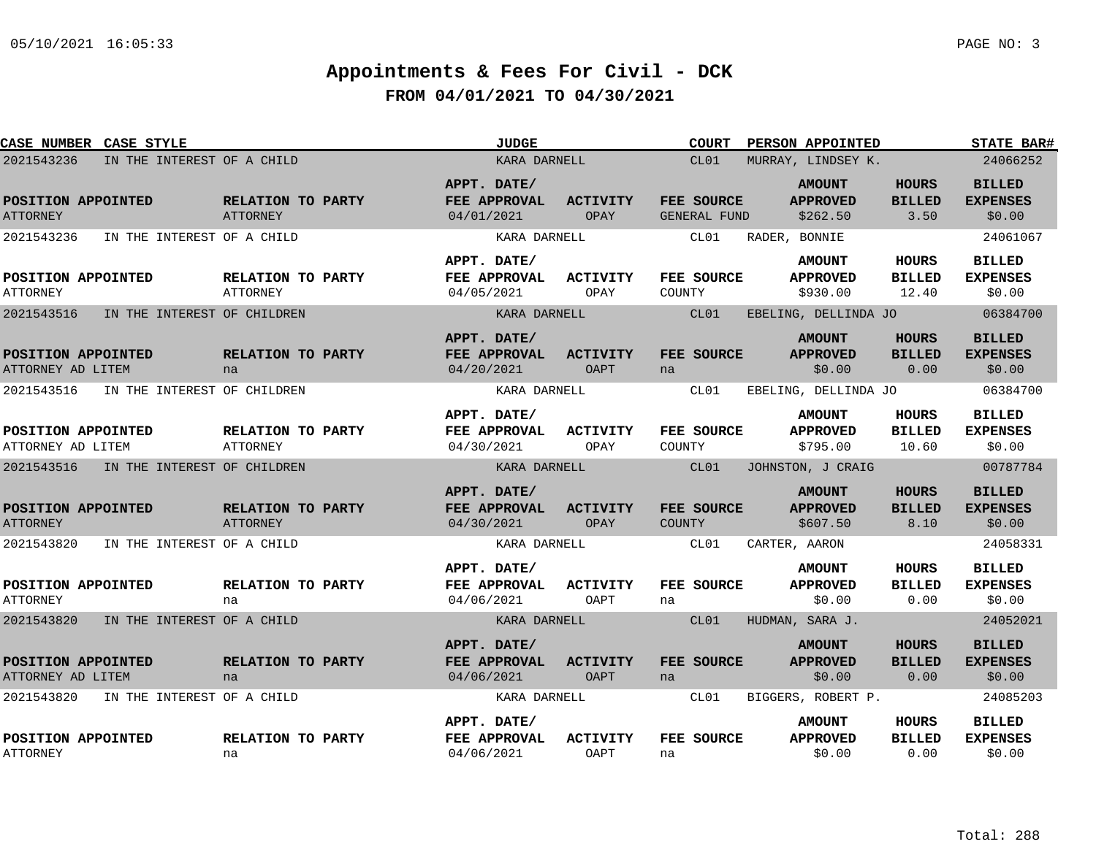| CASE NUMBER CASE STYLE                  |                             |                                      | <b>JUDGE</b>                                     |                                | <b>COURT</b>                | PERSON APPOINTED                             |                                        | <b>STATE BAR#</b>                          |
|-----------------------------------------|-----------------------------|--------------------------------------|--------------------------------------------------|--------------------------------|-----------------------------|----------------------------------------------|----------------------------------------|--------------------------------------------|
| 2021543236                              | IN THE INTEREST OF A CHILD  |                                      | KARA DARNELL                                     |                                | CL01                        | MURRAY, LINDSEY K.                           |                                        | 24066252                                   |
| POSITION APPOINTED<br><b>ATTORNEY</b>   |                             | RELATION TO PARTY<br>ATTORNEY        | APPT. DATE/<br>FEE APPROVAL<br>04/01/2021        | <b>ACTIVITY</b><br>OPAY        | FEE SOURCE<br>GENERAL FUND  | <b>AMOUNT</b><br><b>APPROVED</b><br>\$262.50 | <b>HOURS</b><br><b>BILLED</b><br>3.50  | <b>BILLED</b><br><b>EXPENSES</b><br>\$0.00 |
| 2021543236                              | IN THE INTEREST OF A CHILD  |                                      | KARA DARNELL                                     |                                | CL01                        | RADER, BONNIE                                |                                        | 24061067                                   |
| POSITION APPOINTED<br>ATTORNEY          |                             | RELATION TO PARTY<br>ATTORNEY        | APPT. DATE/<br><b>FEE APPROVAL</b><br>04/05/2021 | <b>ACTIVITY</b><br>OPAY        | <b>FEE SOURCE</b><br>COUNTY | <b>AMOUNT</b><br><b>APPROVED</b><br>\$930.00 | HOURS<br><b>BILLED</b><br>12.40        | <b>BILLED</b><br><b>EXPENSES</b><br>\$0.00 |
| 2021543516                              | IN THE INTEREST OF CHILDREN |                                      | KARA DARNELL                                     |                                | CL01                        | EBELING, DELLINDA JO                         |                                        | 06384700                                   |
| POSITION APPOINTED<br>ATTORNEY AD LITEM |                             | RELATION TO PARTY<br>na              | APPT. DATE/<br>FEE APPROVAL<br>04/20/2021        | <b>ACTIVITY</b><br>OAPT        | <b>FEE SOURCE</b><br>na     | <b>AMOUNT</b><br><b>APPROVED</b><br>\$0.00   | <b>HOURS</b><br><b>BILLED</b><br>0.00  | <b>BILLED</b><br><b>EXPENSES</b><br>\$0.00 |
| 2021543516                              | IN THE INTEREST OF CHILDREN |                                      | KARA DARNELL                                     |                                | CL01                        | EBELING, DELLINDA JO                         |                                        | 06384700                                   |
| POSITION APPOINTED<br>ATTORNEY AD LITEM |                             | RELATION TO PARTY<br><b>ATTORNEY</b> | APPT. DATE/<br>FEE APPROVAL<br>04/30/2021        | ACTIVITY<br>OPAY               | <b>FEE SOURCE</b><br>COUNTY | <b>AMOUNT</b><br><b>APPROVED</b><br>\$795.00 | <b>HOURS</b><br><b>BILLED</b><br>10.60 | <b>BILLED</b><br><b>EXPENSES</b><br>\$0.00 |
| 2021543516                              | IN THE INTEREST OF CHILDREN |                                      | KARA DARNELL                                     |                                | CL01                        | JOHNSTON, J CRAIG                            |                                        | 00787784                                   |
| POSITION APPOINTED<br><b>ATTORNEY</b>   |                             | RELATION TO PARTY<br><b>ATTORNEY</b> | APPT. DATE/<br>FEE APPROVAL<br>04/30/2021        | <b>ACTIVITY</b><br>OPAY        | FEE SOURCE<br><b>COUNTY</b> | <b>AMOUNT</b><br><b>APPROVED</b><br>\$607.50 | <b>HOURS</b><br><b>BILLED</b><br>8.10  | <b>BILLED</b><br><b>EXPENSES</b><br>\$0.00 |
| 2021543820                              | IN THE INTEREST OF A CHILD  |                                      | KARA DARNELL                                     |                                | CL01                        | CARTER, AARON                                |                                        | 24058331                                   |
| POSITION APPOINTED<br><b>ATTORNEY</b>   |                             | RELATION TO PARTY<br>na              | APPT. DATE/<br>FEE APPROVAL<br>04/06/2021        | <b>ACTIVITY</b><br>OAPT        | FEE SOURCE<br>na            | <b>AMOUNT</b><br><b>APPROVED</b><br>\$0.00   | <b>HOURS</b><br><b>BILLED</b><br>0.00  | <b>BILLED</b><br><b>EXPENSES</b><br>\$0.00 |
| 2021543820                              | IN THE INTEREST OF A CHILD  |                                      | KARA DARNELL                                     |                                | CL01                        | HUDMAN, SARA J.                              |                                        | 24052021                                   |
| POSITION APPOINTED<br>ATTORNEY AD LITEM |                             | RELATION TO PARTY<br>na              | APPT. DATE/<br>FEE APPROVAL<br>04/06/2021        | <b>ACTIVITY</b><br><b>OAPT</b> | <b>FEE SOURCE</b><br>na     | <b>AMOUNT</b><br><b>APPROVED</b><br>\$0.00   | <b>HOURS</b><br><b>BILLED</b><br>0.00  | <b>BILLED</b><br><b>EXPENSES</b><br>\$0.00 |
| 2021543820                              | IN THE INTEREST OF A CHILD  |                                      | KARA DARNELL                                     |                                | CL01                        | BIGGERS, ROBERT P.                           |                                        | 24085203                                   |
| POSITION APPOINTED<br><b>ATTORNEY</b>   |                             | RELATION TO PARTY<br>na              | APPT. DATE/<br>FEE APPROVAL<br>04/06/2021        | <b>ACTIVITY</b><br>OAPT        | FEE SOURCE<br>na            | <b>AMOUNT</b><br><b>APPROVED</b><br>\$0.00   | HOURS<br><b>BILLED</b><br>0.00         | <b>BILLED</b><br><b>EXPENSES</b><br>\$0.00 |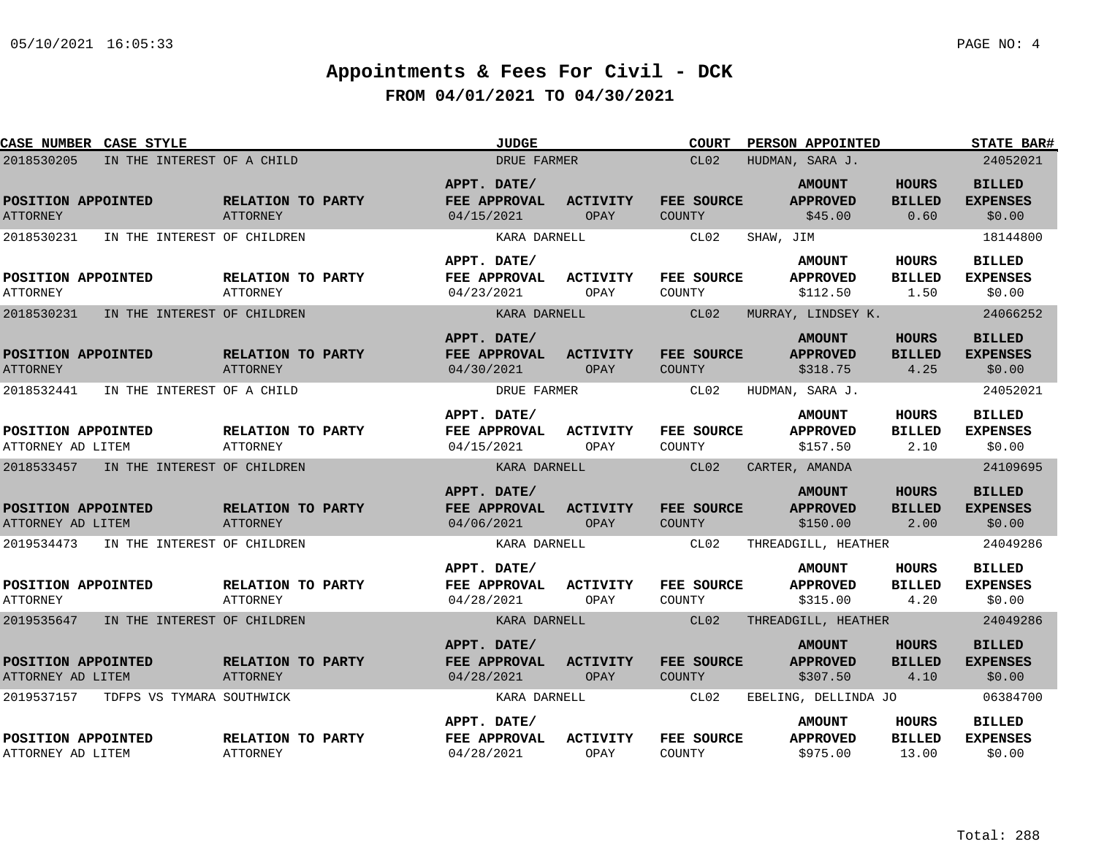| CASE NUMBER CASE STYLE                    |                                      | <b>JUDGE</b>                              |                         | <b>COURT</b>                | PERSON APPOINTED                             |                                       | <b>STATE BAR#</b>                          |
|-------------------------------------------|--------------------------------------|-------------------------------------------|-------------------------|-----------------------------|----------------------------------------------|---------------------------------------|--------------------------------------------|
| 2018530205<br>IN THE INTEREST OF A CHILD  |                                      | DRUE FARMER                               |                         | CL02                        | HUDMAN, SARA J.                              |                                       | 24052021                                   |
| POSITION APPOINTED<br><b>ATTORNEY</b>     | RELATION TO PARTY<br><b>ATTORNEY</b> | APPT. DATE/<br>FEE APPROVAL<br>04/15/2021 | <b>ACTIVITY</b><br>OPAY | FEE SOURCE<br>COUNTY        | <b>AMOUNT</b><br><b>APPROVED</b><br>\$45.00  | <b>HOURS</b><br><b>BILLED</b><br>0.60 | <b>BILLED</b><br><b>EXPENSES</b><br>\$0.00 |
| 2018530231<br>IN THE INTEREST OF CHILDREN |                                      | KARA DARNELL                              |                         | CL02                        | SHAW, JIM                                    |                                       | 18144800                                   |
| POSITION APPOINTED<br><b>ATTORNEY</b>     | RELATION TO PARTY<br>ATTORNEY        | APPT. DATE/<br>FEE APPROVAL<br>04/23/2021 | <b>ACTIVITY</b><br>OPAY | <b>FEE SOURCE</b><br>COUNTY | <b>AMOUNT</b><br><b>APPROVED</b><br>\$112.50 | HOURS<br><b>BILLED</b><br>1.50        | <b>BILLED</b><br><b>EXPENSES</b><br>\$0.00 |
| 2018530231<br>IN THE INTEREST OF CHILDREN |                                      | KARA DARNELL                              |                         | CL02                        | MURRAY, LINDSEY K.                           |                                       | 24066252                                   |
| POSITION APPOINTED<br><b>ATTORNEY</b>     | RELATION TO PARTY<br><b>ATTORNEY</b> | APPT. DATE/<br>FEE APPROVAL<br>04/30/2021 | <b>ACTIVITY</b><br>OPAY | FEE SOURCE<br>COUNTY        | <b>AMOUNT</b><br><b>APPROVED</b><br>\$318.75 | <b>HOURS</b><br><b>BILLED</b><br>4.25 | <b>BILLED</b><br><b>EXPENSES</b><br>\$0.00 |
| 2018532441<br>IN THE INTEREST OF A CHILD  |                                      | DRUE FARMER                               |                         | CL02                        | HUDMAN, SARA J.                              |                                       | 24052021                                   |
| POSITION APPOINTED<br>ATTORNEY AD LITEM   | RELATION TO PARTY<br><b>ATTORNEY</b> | APPT. DATE/<br>FEE APPROVAL<br>04/15/2021 | <b>ACTIVITY</b><br>OPAY | FEE SOURCE<br>COUNTY        | <b>AMOUNT</b><br><b>APPROVED</b><br>\$157.50 | <b>HOURS</b><br><b>BILLED</b><br>2.10 | <b>BILLED</b><br><b>EXPENSES</b><br>\$0.00 |
| 2018533457 IN THE INTEREST OF CHILDREN    |                                      | KARA DARNELL                              |                         | CL02                        | CARTER, AMANDA                               |                                       | 24109695                                   |
| POSITION APPOINTED<br>ATTORNEY AD LITEM   | RELATION TO PARTY<br><b>ATTORNEY</b> | APPT. DATE/<br>FEE APPROVAL<br>04/06/2021 | <b>ACTIVITY</b><br>OPAY | FEE SOURCE<br>COUNTY        | <b>AMOUNT</b><br><b>APPROVED</b><br>\$150.00 | <b>HOURS</b><br><b>BILLED</b><br>2.00 | <b>BILLED</b><br><b>EXPENSES</b><br>\$0.00 |
| 2019534473<br>IN THE INTEREST OF CHILDREN |                                      | KARA DARNELL                              |                         | CL02                        | THREADGILL, HEATHER                          |                                       | 24049286                                   |
| POSITION APPOINTED<br><b>ATTORNEY</b>     | RELATION TO PARTY<br>ATTORNEY        | APPT. DATE/<br>FEE APPROVAL<br>04/28/2021 | <b>ACTIVITY</b><br>OPAY | FEE SOURCE<br>COUNTY        | <b>AMOUNT</b><br><b>APPROVED</b><br>\$315.00 | HOURS<br><b>BILLED</b><br>4.20        | <b>BILLED</b><br><b>EXPENSES</b><br>\$0.00 |
| 2019535647 IN THE INTEREST OF CHILDREN    |                                      | KARA DARNELL                              |                         | CL02                        | THREADGILL, HEATHER                          |                                       | 24049286                                   |
| POSITION APPOINTED<br>ATTORNEY AD LITEM   | RELATION TO PARTY<br><b>ATTORNEY</b> | APPT. DATE/<br>FEE APPROVAL<br>04/28/2021 | <b>ACTIVITY</b><br>OPAY | FEE SOURCE<br>COUNTY        | <b>AMOUNT</b><br><b>APPROVED</b><br>\$307.50 | <b>HOURS</b><br><b>BILLED</b><br>4.10 | <b>BILLED</b><br><b>EXPENSES</b><br>\$0.00 |
| 2019537157<br>TDFPS VS TYMARA SOUTHWICK   |                                      | KARA DARNELL                              |                         | CL02                        | EBELING, DELLINDA JO                         |                                       | 06384700                                   |
| POSITION APPOINTED<br>ATTORNEY AD LITEM   | RELATION TO PARTY<br><b>ATTORNEY</b> | APPT. DATE/<br>FEE APPROVAL<br>04/28/2021 | <b>ACTIVITY</b><br>OPAY | FEE SOURCE<br>COUNTY        | <b>AMOUNT</b><br><b>APPROVED</b><br>\$975.00 | HOURS<br><b>BILLED</b><br>13.00       | <b>BILLED</b><br><b>EXPENSES</b><br>\$0.00 |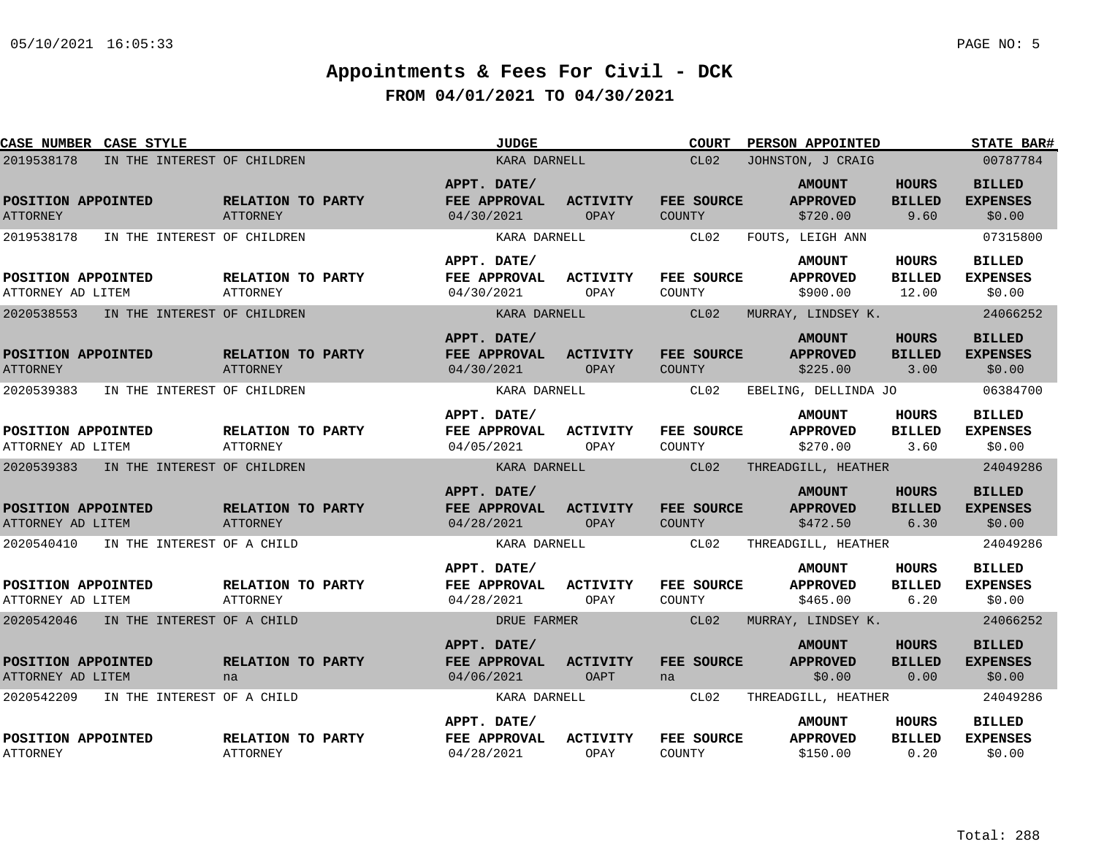| CASE NUMBER CASE STYLE                  |                                      | <b>JUDGE</b>                              |                         | <b>COURT</b>                | PERSON APPOINTED                             |                                       | <b>STATE BAR#</b>                          |
|-----------------------------------------|--------------------------------------|-------------------------------------------|-------------------------|-----------------------------|----------------------------------------------|---------------------------------------|--------------------------------------------|
| 2019538178                              | IN THE INTEREST OF CHILDREN          | KARA DARNELL                              |                         | CL02                        | JOHNSTON, J CRAIG                            |                                       | 00787784                                   |
| POSITION APPOINTED<br><b>ATTORNEY</b>   | RELATION TO PARTY<br>ATTORNEY        | APPT. DATE/<br>FEE APPROVAL<br>04/30/2021 | <b>ACTIVITY</b><br>OPAY | FEE SOURCE<br>COUNTY        | <b>AMOUNT</b><br><b>APPROVED</b><br>\$720.00 | <b>HOURS</b><br><b>BILLED</b><br>9.60 | <b>BILLED</b><br><b>EXPENSES</b><br>\$0.00 |
| 2019538178                              | IN THE INTEREST OF CHILDREN          | KARA DARNELL                              |                         | CL02                        | FOUTS, LEIGH ANN                             |                                       | 07315800                                   |
| POSITION APPOINTED<br>ATTORNEY AD LITEM | RELATION TO PARTY<br><b>ATTORNEY</b> | APPT. DATE/<br>FEE APPROVAL<br>04/30/2021 | ACTIVITY<br>OPAY        | <b>FEE SOURCE</b><br>COUNTY | <b>AMOUNT</b><br><b>APPROVED</b><br>\$900.00 | HOURS<br><b>BILLED</b><br>12.00       | <b>BILLED</b><br><b>EXPENSES</b><br>\$0.00 |
| 2020538553                              | IN THE INTEREST OF CHILDREN          | KARA DARNELL                              |                         | CL02                        | MURRAY, LINDSEY K.                           |                                       | 24066252                                   |
| POSITION APPOINTED<br><b>ATTORNEY</b>   | RELATION TO PARTY<br><b>ATTORNEY</b> | APPT. DATE/<br>FEE APPROVAL<br>04/30/2021 | <b>ACTIVITY</b><br>OPAY | FEE SOURCE<br>COUNTY        | <b>AMOUNT</b><br><b>APPROVED</b><br>\$225.00 | HOURS<br><b>BILLED</b><br>3.00        | <b>BILLED</b><br><b>EXPENSES</b><br>\$0.00 |
| 2020539383                              | IN THE INTEREST OF CHILDREN          | KARA DARNELL                              |                         | CL02                        | EBELING, DELLINDA JO                         |                                       | 06384700                                   |
| POSITION APPOINTED<br>ATTORNEY AD LITEM | RELATION TO PARTY<br>ATTORNEY        | APPT. DATE/<br>FEE APPROVAL<br>04/05/2021 | <b>ACTIVITY</b><br>OPAY | <b>FEE SOURCE</b><br>COUNTY | <b>AMOUNT</b><br><b>APPROVED</b><br>\$270.00 | <b>HOURS</b><br><b>BILLED</b><br>3.60 | <b>BILLED</b><br><b>EXPENSES</b><br>\$0.00 |
| 2020539383 IN THE INTEREST OF CHILDREN  |                                      | KARA DARNELL                              |                         | CL02                        | THREADGILL, HEATHER                          |                                       | 24049286                                   |
| POSITION APPOINTED<br>ATTORNEY AD LITEM | RELATION TO PARTY<br><b>ATTORNEY</b> | APPT. DATE/<br>FEE APPROVAL<br>04/28/2021 | <b>ACTIVITY</b><br>OPAY | FEE SOURCE<br>COUNTY        | <b>AMOUNT</b><br><b>APPROVED</b><br>\$472.50 | <b>HOURS</b><br><b>BILLED</b><br>6.30 | <b>BILLED</b><br><b>EXPENSES</b><br>\$0.00 |
| 2020540410 IN THE INTEREST OF A CHILD   |                                      | KARA DARNELL                              |                         | CL02                        | THREADGILL, HEATHER                          |                                       | 24049286                                   |
| POSITION APPOINTED<br>ATTORNEY AD LITEM | RELATION TO PARTY<br>ATTORNEY        | APPT. DATE/<br>FEE APPROVAL<br>04/28/2021 | <b>ACTIVITY</b><br>OPAY | <b>FEE SOURCE</b><br>COUNTY | <b>AMOUNT</b><br><b>APPROVED</b><br>\$465.00 | HOURS<br><b>BILLED</b><br>6.20        | <b>BILLED</b><br><b>EXPENSES</b><br>\$0.00 |
| 2020542046 IN THE INTEREST OF A CHILD   |                                      | DRUE FARMER                               |                         | CL02                        | MURRAY, LINDSEY K.                           |                                       | 24066252                                   |
| POSITION APPOINTED<br>ATTORNEY AD LITEM | RELATION TO PARTY<br>na              | APPT. DATE/<br>FEE APPROVAL<br>04/06/2021 | ACTIVITY<br>OAPT        | FEE SOURCE<br>na            | <b>AMOUNT</b><br><b>APPROVED</b><br>\$0.00   | HOURS<br><b>BILLED</b><br>0.00        | <b>BILLED</b><br><b>EXPENSES</b><br>\$0.00 |
| 2020542209                              | IN THE INTEREST OF A CHILD           | KARA DARNELL                              |                         | CL02                        | THREADGILL, HEATHER                          |                                       | 24049286                                   |
| POSITION APPOINTED<br><b>ATTORNEY</b>   | RELATION TO PARTY<br>ATTORNEY        | APPT. DATE/<br>FEE APPROVAL<br>04/28/2021 | <b>ACTIVITY</b><br>OPAY | FEE SOURCE<br>COUNTY        | <b>AMOUNT</b><br><b>APPROVED</b><br>\$150.00 | <b>HOURS</b><br><b>BILLED</b><br>0.20 | <b>BILLED</b><br><b>EXPENSES</b><br>\$0.00 |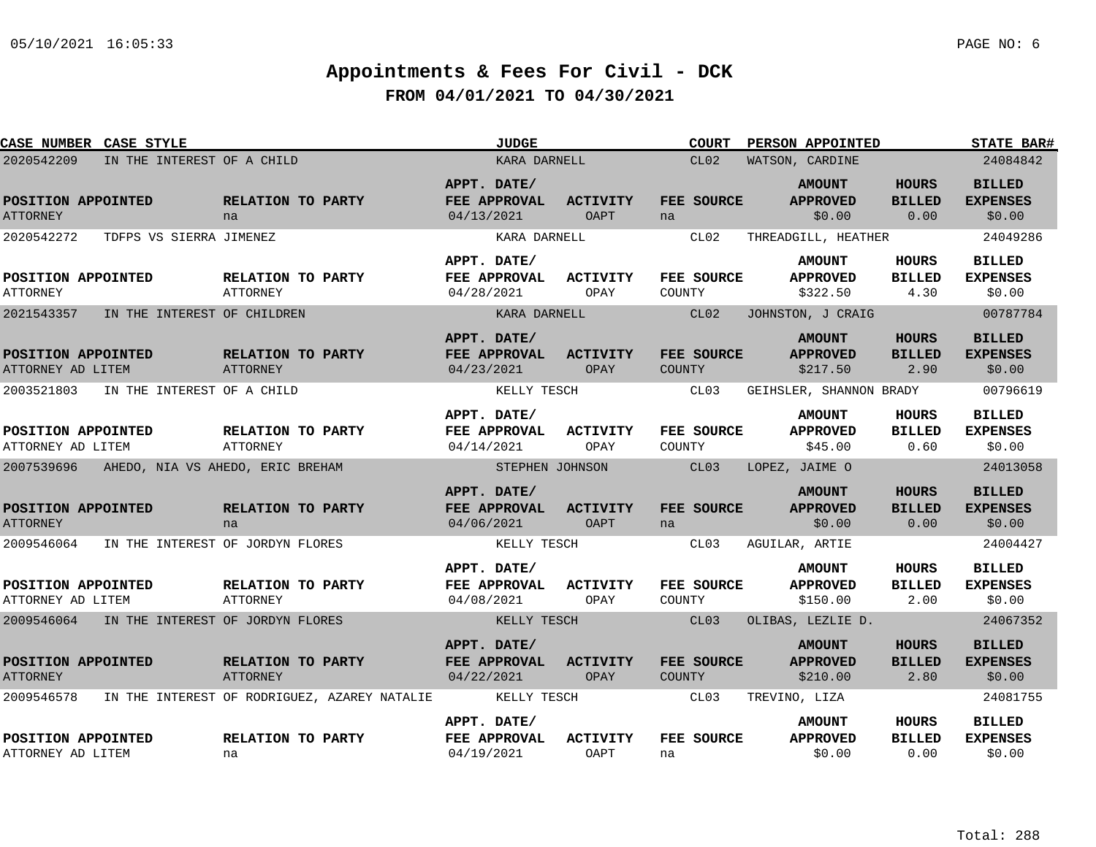| <b>CASE NUMBER CASE STYLE</b>               |                                              | <b>JUDGE</b>                              |                         | <b>COURT</b>         | PERSON APPOINTED                             |                                       | <b>STATE BAR#</b>                          |
|---------------------------------------------|----------------------------------------------|-------------------------------------------|-------------------------|----------------------|----------------------------------------------|---------------------------------------|--------------------------------------------|
| 2020542209                                  | IN THE INTEREST OF A CHILD                   | KARA DARNELL                              |                         | CL02                 | WATSON, CARDINE                              |                                       | 24084842                                   |
| POSITION APPOINTED<br><b>ATTORNEY</b>       | RELATION TO PARTY<br>na                      | APPT. DATE/<br>FEE APPROVAL<br>04/13/2021 | <b>ACTIVITY</b><br>OAPT | FEE SOURCE<br>na     | <b>AMOUNT</b><br><b>APPROVED</b><br>\$0.00   | <b>HOURS</b><br><b>BILLED</b><br>0.00 | <b>BILLED</b><br><b>EXPENSES</b><br>\$0.00 |
| 2020542272<br>TDFPS VS SIERRA JIMENEZ       |                                              | KARA DARNELL                              |                         | CL02                 | THREADGILL, HEATHER                          |                                       | 24049286                                   |
| POSITION APPOINTED<br><b>ATTORNEY</b>       | RELATION TO PARTY<br><b>ATTORNEY</b>         | APPT. DATE/<br>FEE APPROVAL<br>04/28/2021 | <b>ACTIVITY</b><br>OPAY | FEE SOURCE<br>COUNTY | <b>AMOUNT</b><br><b>APPROVED</b><br>\$322.50 | HOURS<br><b>BILLED</b><br>4.30        | <b>BILLED</b><br><b>EXPENSES</b><br>\$0.00 |
| 2021543357<br>IN THE INTEREST OF CHILDREN   |                                              | KARA DARNELL                              |                         | CL02                 | JOHNSTON, J CRAIG                            |                                       | 00787784                                   |
| POSITION APPOINTED<br>ATTORNEY AD LITEM     | RELATION TO PARTY<br>ATTORNEY                | APPT. DATE/<br>FEE APPROVAL<br>04/23/2021 | <b>ACTIVITY</b><br>OPAY | FEE SOURCE<br>COUNTY | <b>AMOUNT</b><br><b>APPROVED</b><br>\$217.50 | <b>HOURS</b><br><b>BILLED</b><br>2.90 | <b>BILLED</b><br><b>EXPENSES</b><br>\$0.00 |
| 2003521803<br>IN THE INTEREST OF A CHILD    |                                              | KELLY TESCH                               |                         | CL03                 | GEIHSLER, SHANNON BRADY                      |                                       | 00796619                                   |
| POSITION APPOINTED<br>ATTORNEY AD LITEM     | RELATION TO PARTY<br><b>ATTORNEY</b>         | APPT. DATE/<br>FEE APPROVAL<br>04/14/2021 | <b>ACTIVITY</b><br>OPAY | FEE SOURCE<br>COUNTY | <b>AMOUNT</b><br><b>APPROVED</b><br>\$45.00  | HOURS<br><b>BILLED</b><br>0.60        | <b>BILLED</b><br><b>EXPENSES</b><br>\$0.00 |
| 2007539696                                  | AHEDO, NIA VS AHEDO, ERIC BREHAM             | STEPHEN JOHNSON                           |                         | CL03                 | LOPEZ, JAIME O                               |                                       | 24013058                                   |
| POSITION APPOINTED<br><b>ATTORNEY</b>       | RELATION TO PARTY<br>na                      | APPT. DATE/<br>FEE APPROVAL<br>04/06/2021 | <b>ACTIVITY</b><br>OAPT | FEE SOURCE<br>na     | <b>AMOUNT</b><br><b>APPROVED</b><br>\$0.00   | <b>HOURS</b><br><b>BILLED</b><br>0.00 | <b>BILLED</b><br><b>EXPENSES</b><br>\$0.00 |
| 2009546064                                  | IN THE INTEREST OF JORDYN FLORES             | KELLY TESCH                               |                         | CL03                 | AGUILAR, ARTIE                               |                                       | 24004427                                   |
| POSITION APPOINTED<br>ATTORNEY AD LITEM     | RELATION TO PARTY<br>ATTORNEY                | APPT. DATE/<br>FEE APPROVAL<br>04/08/2021 | <b>ACTIVITY</b><br>OPAY | FEE SOURCE<br>COUNTY | <b>AMOUNT</b><br><b>APPROVED</b><br>\$150.00 | HOURS<br><b>BILLED</b><br>2.00        | <b>BILLED</b><br><b>EXPENSES</b><br>\$0.00 |
| 2009546064 IN THE INTEREST OF JORDYN FLORES |                                              | KELLY TESCH                               |                         | CL03                 | OLIBAS, LEZLIE D.                            |                                       | 24067352                                   |
| POSITION APPOINTED<br><b>ATTORNEY</b>       | RELATION TO PARTY<br><b>ATTORNEY</b>         | APPT. DATE/<br>FEE APPROVAL<br>04/22/2021 | ACTIVITY<br>OPAY        | FEE SOURCE<br>COUNTY | <b>AMOUNT</b><br><b>APPROVED</b><br>\$210.00 | HOURS<br><b>BILLED</b><br>2.80        | <b>BILLED</b><br><b>EXPENSES</b><br>\$0.00 |
| 2009546578                                  | IN THE INTEREST OF RODRIGUEZ, AZAREY NATALIE | KELLY TESCH                               |                         | CL03                 | TREVINO, LIZA                                |                                       | 24081755                                   |
| POSITION APPOINTED<br>ATTORNEY AD LITEM     | RELATION TO PARTY<br>na                      | APPT. DATE/<br>FEE APPROVAL<br>04/19/2021 | <b>ACTIVITY</b><br>OAPT | FEE SOURCE<br>na     | <b>AMOUNT</b><br><b>APPROVED</b><br>\$0.00   | HOURS<br><b>BILLED</b><br>0.00        | <b>BILLED</b><br><b>EXPENSES</b><br>\$0.00 |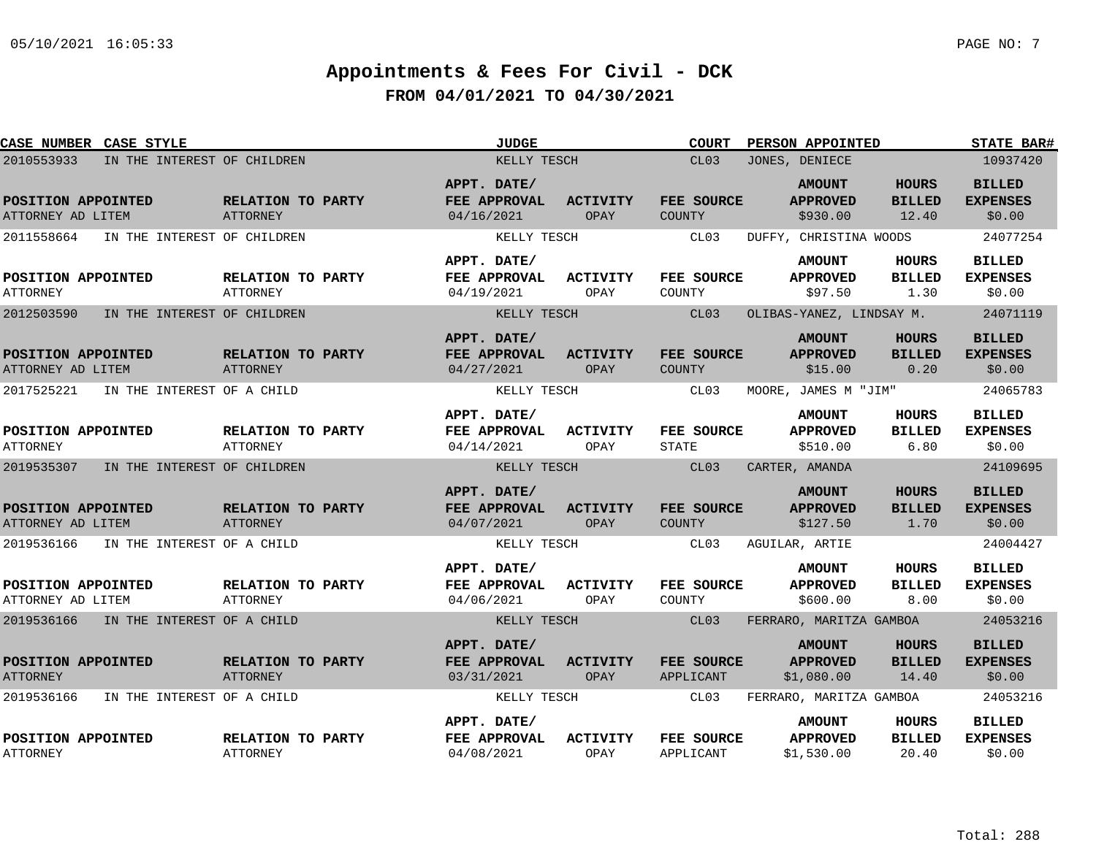| CASE NUMBER CASE STYLE                  |                                      | <b>JUDGE</b>                              |                                | <b>COURT</b>                | PERSON APPOINTED                               |                                        | <b>STATE BAR#</b>                          |  |  |
|-----------------------------------------|--------------------------------------|-------------------------------------------|--------------------------------|-----------------------------|------------------------------------------------|----------------------------------------|--------------------------------------------|--|--|
| 2010553933                              | IN THE INTEREST OF CHILDREN          | KELLY TESCH                               |                                | CL <sub>03</sub>            | JONES, DENIECE                                 |                                        |                                            |  |  |
| POSITION APPOINTED<br>ATTORNEY AD LITEM | RELATION TO PARTY<br><b>ATTORNEY</b> | APPT. DATE/<br>FEE APPROVAL<br>04/16/2021 | <b>ACTIVITY</b><br>OPAY        | FEE SOURCE<br><b>COUNTY</b> | <b>AMOUNT</b><br><b>APPROVED</b><br>\$930.00   | <b>HOURS</b><br><b>BILLED</b><br>12.40 | <b>BILLED</b><br><b>EXPENSES</b><br>\$0.00 |  |  |
| 2011558664                              | IN THE INTEREST OF CHILDREN          | KELLY TESCH                               |                                | CL03                        | DUFFY, CHRISTINA WOODS                         |                                        | 24077254                                   |  |  |
| POSITION APPOINTED<br><b>ATTORNEY</b>   | RELATION TO PARTY<br><b>ATTORNEY</b> | APPT. DATE/<br>FEE APPROVAL<br>04/19/2021 | ACTIVITY<br>OPAY               | FEE SOURCE<br>COUNTY        | <b>AMOUNT</b><br><b>APPROVED</b><br>\$97.50    | HOURS<br><b>BILLED</b><br>1.30         | <b>BILLED</b><br><b>EXPENSES</b><br>\$0.00 |  |  |
| 2012503590                              | IN THE INTEREST OF CHILDREN          | KELLY TESCH                               |                                | CL03                        | OLIBAS-YANEZ, LINDSAY M.                       |                                        | 24071119                                   |  |  |
| POSITION APPOINTED<br>ATTORNEY AD LITEM | RELATION TO PARTY<br><b>ATTORNEY</b> | APPT. DATE/<br>FEE APPROVAL<br>04/27/2021 | <b>ACTIVITY</b><br>OPAY        | FEE SOURCE<br><b>COUNTY</b> | <b>AMOUNT</b><br><b>APPROVED</b><br>\$15.00    | <b>HOURS</b><br><b>BILLED</b><br>0.20  | <b>BILLED</b><br><b>EXPENSES</b><br>\$0.00 |  |  |
| 2017525221                              | IN THE INTEREST OF A CHILD           | KELLY TESCH                               |                                | CL03                        | MOORE, JAMES M "JIM"                           |                                        | 24065783                                   |  |  |
| POSITION APPOINTED<br><b>ATTORNEY</b>   | RELATION TO PARTY<br><b>ATTORNEY</b> | APPT. DATE/<br>FEE APPROVAL<br>04/14/2021 | <b>ACTIVITY</b><br>OPAY        | FEE SOURCE<br><b>STATE</b>  | <b>AMOUNT</b><br><b>APPROVED</b><br>\$510.00   | <b>HOURS</b><br><b>BILLED</b><br>6.80  | <b>BILLED</b><br><b>EXPENSES</b><br>\$0.00 |  |  |
| 2019535307                              | IN THE INTEREST OF CHILDREN          | KELLY TESCH                               |                                | CL03                        | CARTER, AMANDA                                 |                                        | 24109695                                   |  |  |
| POSITION APPOINTED<br>ATTORNEY AD LITEM | RELATION TO PARTY<br><b>ATTORNEY</b> | APPT. DATE/<br>FEE APPROVAL<br>04/07/2021 | <b>ACTIVITY</b><br><b>OPAY</b> | FEE SOURCE<br><b>COUNTY</b> | <b>AMOUNT</b><br><b>APPROVED</b><br>\$127.50   | <b>HOURS</b><br><b>BILLED</b><br>1.70  | <b>BILLED</b><br><b>EXPENSES</b><br>\$0.00 |  |  |
| 2019536166                              | IN THE INTEREST OF A CHILD           | KELLY TESCH                               |                                | CL03                        | AGUILAR, ARTIE                                 |                                        | 24004427                                   |  |  |
| POSITION APPOINTED<br>ATTORNEY AD LITEM | RELATION TO PARTY<br>ATTORNEY        | APPT. DATE/<br>FEE APPROVAL<br>04/06/2021 | <b>ACTIVITY</b><br>OPAY        | FEE SOURCE<br>COUNTY        | <b>AMOUNT</b><br><b>APPROVED</b><br>\$600.00   | <b>HOURS</b><br><b>BILLED</b><br>8.00  | <b>BILLED</b><br><b>EXPENSES</b><br>\$0.00 |  |  |
| 2019536166                              | IN THE INTEREST OF A CHILD           | KELLY TESCH                               |                                | CL03                        | FERRARO, MARITZA GAMBOA                        |                                        | 24053216                                   |  |  |
| POSITION APPOINTED<br><b>ATTORNEY</b>   | RELATION TO PARTY<br><b>ATTORNEY</b> | APPT. DATE/<br>FEE APPROVAL<br>03/31/2021 | <b>ACTIVITY</b><br>OPAY        | FEE SOURCE<br>APPLICANT     | <b>AMOUNT</b><br><b>APPROVED</b><br>\$1,080.00 | <b>HOURS</b><br><b>BILLED</b><br>14.40 | <b>BILLED</b><br><b>EXPENSES</b><br>\$0.00 |  |  |
| 2019536166                              | IN THE INTEREST OF A CHILD           | KELLY TESCH                               |                                | CL03                        | FERRARO, MARITZA GAMBOA                        |                                        | 24053216                                   |  |  |
| POSITION APPOINTED<br><b>ATTORNEY</b>   | RELATION TO PARTY<br><b>ATTORNEY</b> | APPT. DATE/<br>FEE APPROVAL<br>04/08/2021 | <b>ACTIVITY</b><br>OPAY        | FEE SOURCE<br>APPLICANT     | <b>AMOUNT</b><br><b>APPROVED</b><br>\$1,530.00 | <b>HOURS</b><br><b>BILLED</b><br>20.40 | <b>BILLED</b><br><b>EXPENSES</b><br>\$0.00 |  |  |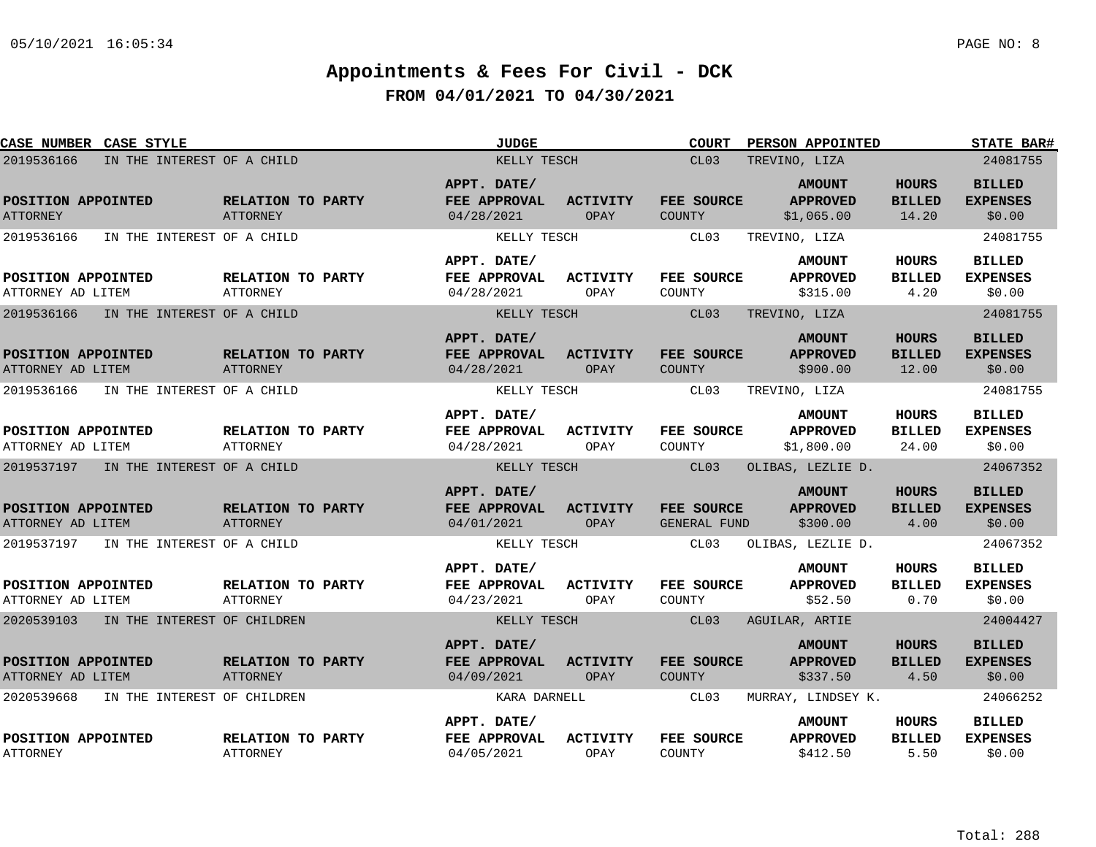| CASE NUMBER CASE STYLE                    | <b>JUDGE</b>                         |                                           | PERSON APPOINTED<br><b>COURT</b> |                             | <b>STATE BAR#</b>                              |                                        |                                            |
|-------------------------------------------|--------------------------------------|-------------------------------------------|----------------------------------|-----------------------------|------------------------------------------------|----------------------------------------|--------------------------------------------|
| 2019536166<br>IN THE INTEREST OF A CHILD  |                                      | KELLY TESCH                               |                                  | CL03                        | TREVINO, LIZA                                  |                                        | 24081755                                   |
| POSITION APPOINTED<br><b>ATTORNEY</b>     | RELATION TO PARTY<br><b>ATTORNEY</b> | APPT. DATE/<br>FEE APPROVAL<br>04/28/2021 | <b>ACTIVITY</b><br>OPAY          | FEE SOURCE<br><b>COUNTY</b> | <b>AMOUNT</b><br><b>APPROVED</b><br>\$1,065.00 | <b>HOURS</b><br><b>BILLED</b><br>14.20 | <b>BILLED</b><br><b>EXPENSES</b><br>\$0.00 |
| 2019536166<br>IN THE INTEREST OF A CHILD  |                                      | KELLY TESCH                               |                                  | CL03                        | TREVINO, LIZA                                  |                                        | 24081755                                   |
| POSITION APPOINTED<br>ATTORNEY AD LITEM   | RELATION TO PARTY<br><b>ATTORNEY</b> | APPT. DATE/<br>FEE APPROVAL<br>04/28/2021 | ACTIVITY<br>OPAY                 | FEE SOURCE<br>COUNTY        | <b>AMOUNT</b><br><b>APPROVED</b><br>\$315.00   | HOURS<br><b>BILLED</b><br>4.20         | <b>BILLED</b><br><b>EXPENSES</b><br>\$0.00 |
| 2019536166<br>IN THE INTEREST OF A CHILD  |                                      | KELLY TESCH                               |                                  | CL03                        | TREVINO, LIZA                                  |                                        | 24081755                                   |
| POSITION APPOINTED<br>ATTORNEY AD LITEM   | RELATION TO PARTY<br>ATTORNEY        | APPT. DATE/<br>FEE APPROVAL<br>04/28/2021 | <b>ACTIVITY</b><br>OPAY          | FEE SOURCE<br><b>COUNTY</b> | <b>AMOUNT</b><br><b>APPROVED</b><br>\$900.00   | <b>HOURS</b><br><b>BILLED</b><br>12.00 | <b>BILLED</b><br><b>EXPENSES</b><br>\$0.00 |
| 2019536166<br>IN THE INTEREST OF A CHILD  |                                      | KELLY TESCH                               |                                  | CL03                        | TREVINO, LIZA                                  |                                        | 24081755                                   |
| POSITION APPOINTED<br>ATTORNEY AD LITEM   | RELATION TO PARTY<br><b>ATTORNEY</b> | APPT. DATE/<br>FEE APPROVAL<br>04/28/2021 | <b>ACTIVITY</b><br>OPAY          | FEE SOURCE<br>COUNTY        | <b>AMOUNT</b><br><b>APPROVED</b><br>\$1,800.00 | <b>HOURS</b><br><b>BILLED</b><br>24.00 | <b>BILLED</b><br><b>EXPENSES</b><br>\$0.00 |
| 2019537197 IN THE INTEREST OF A CHILD     |                                      | KELLY TESCH                               |                                  | CL03                        | OLIBAS, LEZLIE D.                              |                                        | 24067352                                   |
| POSITION APPOINTED<br>ATTORNEY AD LITEM   | RELATION TO PARTY<br><b>ATTORNEY</b> | APPT. DATE/<br>FEE APPROVAL<br>04/01/2021 | <b>ACTIVITY</b><br>OPAY          | FEE SOURCE<br>GENERAL FUND  | <b>AMOUNT</b><br><b>APPROVED</b><br>\$300.00   | <b>HOURS</b><br><b>BILLED</b><br>4.00  | <b>BILLED</b><br><b>EXPENSES</b><br>\$0.00 |
| 2019537197<br>IN THE INTEREST OF A CHILD  |                                      | KELLY TESCH                               |                                  | CL03                        | OLIBAS, LEZLIE D.                              |                                        | 24067352                                   |
| POSITION APPOINTED<br>ATTORNEY AD LITEM   | RELATION TO PARTY<br>ATTORNEY        | APPT. DATE/<br>FEE APPROVAL<br>04/23/2021 | <b>ACTIVITY</b><br>OPAY          | FEE SOURCE<br>COUNTY        | <b>AMOUNT</b><br><b>APPROVED</b><br>\$52.50    | <b>HOURS</b><br><b>BILLED</b><br>0.70  | <b>BILLED</b><br><b>EXPENSES</b><br>\$0.00 |
| 2020539103 IN THE INTEREST OF CHILDREN    |                                      | KELLY TESCH                               |                                  | CL03                        | AGUILAR, ARTIE                                 |                                        | 24004427                                   |
| POSITION APPOINTED<br>ATTORNEY AD LITEM   | RELATION TO PARTY<br>ATTORNEY        | APPT. DATE/<br>FEE APPROVAL<br>04/09/2021 | <b>ACTIVITY</b><br>OPAY          | FEE SOURCE<br><b>COUNTY</b> | <b>AMOUNT</b><br><b>APPROVED</b><br>\$337.50   | <b>HOURS</b><br><b>BILLED</b><br>4.50  | <b>BILLED</b><br><b>EXPENSES</b><br>\$0.00 |
| 2020539668<br>IN THE INTEREST OF CHILDREN |                                      | KARA DARNELL                              |                                  | CL03                        | MURRAY, LINDSEY K.                             |                                        | 24066252                                   |
| POSITION APPOINTED<br><b>ATTORNEY</b>     | RELATION TO PARTY<br><b>ATTORNEY</b> | APPT. DATE/<br>FEE APPROVAL<br>04/05/2021 | <b>ACTIVITY</b><br>OPAY          | FEE SOURCE<br>COUNTY        | <b>AMOUNT</b><br><b>APPROVED</b><br>\$412.50   | <b>HOURS</b><br><b>BILLED</b><br>5.50  | <b>BILLED</b><br><b>EXPENSES</b><br>\$0.00 |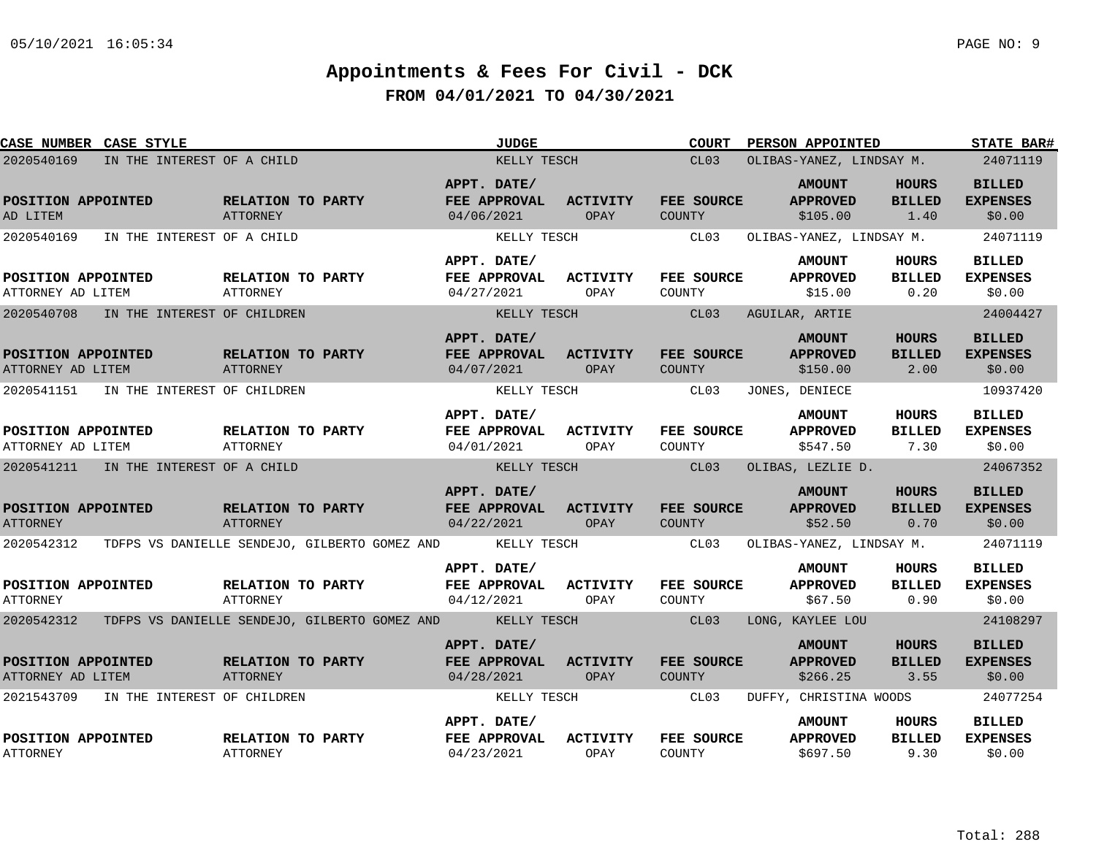| <b>CASE NUMBER CASE STYLE</b>           |                                               | <b>JUDGE</b>                              | COURT                                                         | <b>PERSON APPOINTED</b>                      |                                       | <b>STATE BAR#</b>                          |
|-----------------------------------------|-----------------------------------------------|-------------------------------------------|---------------------------------------------------------------|----------------------------------------------|---------------------------------------|--------------------------------------------|
| 2020540169                              | IN THE INTEREST OF A CHILD                    | KELLY TESCH                               | CL03                                                          | OLIBAS-YANEZ, LINDSAY M.                     |                                       | 24071119                                   |
| POSITION APPOINTED<br>AD LITEM          | RELATION TO PARTY<br><b>ATTORNEY</b>          | APPT. DATE/<br>FEE APPROVAL<br>04/06/2021 | ACTIVITY<br>FEE SOURCE<br>OPAY<br>COUNTY                      | <b>AMOUNT</b><br><b>APPROVED</b><br>\$105.00 | <b>HOURS</b><br><b>BILLED</b><br>1.40 | <b>BILLED</b><br><b>EXPENSES</b><br>\$0.00 |
| 2020540169                              | IN THE INTEREST OF A CHILD                    | KELLY TESCH                               | CL03                                                          | OLIBAS-YANEZ, LINDSAY M.                     |                                       | 24071119                                   |
| POSITION APPOINTED<br>ATTORNEY AD LITEM | RELATION TO PARTY<br>ATTORNEY                 | APPT. DATE/<br>FEE APPROVAL<br>04/27/2021 | ACTIVITY<br><b>FEE SOURCE</b><br>COUNTY<br>OPAY               | <b>AMOUNT</b><br><b>APPROVED</b><br>\$15.00  | HOURS<br><b>BILLED</b><br>0.20        | <b>BILLED</b><br><b>EXPENSES</b><br>\$0.00 |
| 2020540708                              | IN THE INTEREST OF CHILDREN                   | KELLY TESCH                               | CL03                                                          | AGUILAR, ARTIE                               |                                       | 24004427                                   |
| POSITION APPOINTED<br>ATTORNEY AD LITEM | RELATION TO PARTY<br>ATTORNEY                 | APPT. DATE/<br>FEE APPROVAL<br>04/07/2021 | <b>ACTIVITY</b><br>FEE SOURCE<br>OPAY<br>COUNTY               | <b>AMOUNT</b><br><b>APPROVED</b><br>\$150.00 | <b>HOURS</b><br><b>BILLED</b><br>2.00 | <b>BILLED</b><br><b>EXPENSES</b><br>\$0.00 |
| 2020541151                              | IN THE INTEREST OF CHILDREN                   | KELLY TESCH                               | CL03                                                          | JONES, DENIECE                               |                                       | 10937420                                   |
| POSITION APPOINTED<br>ATTORNEY AD LITEM | RELATION TO PARTY<br><b>ATTORNEY</b>          | APPT. DATE/<br>FEE APPROVAL<br>04/01/2021 | ACTIVITY<br>FEE SOURCE<br>OPAY<br>COUNTY                      | <b>AMOUNT</b><br><b>APPROVED</b><br>\$547.50 | <b>HOURS</b><br><b>BILLED</b><br>7.30 | <b>BILLED</b><br><b>EXPENSES</b><br>\$0.00 |
| 2020541211                              | IN THE INTEREST OF A CHILD                    | KELLY TESCH                               | CL03                                                          | OLIBAS, LEZLIE D.                            |                                       | 24067352                                   |
| POSITION APPOINTED<br><b>ATTORNEY</b>   | RELATION TO PARTY<br>ATTORNEY                 | APPT. DATE/<br>FEE APPROVAL<br>04/22/2021 | <b>ACTIVITY</b><br>FEE SOURCE<br>OPAY<br><b>COUNTY</b>        | <b>AMOUNT</b><br><b>APPROVED</b><br>\$52.50  | <b>HOURS</b><br><b>BILLED</b><br>0.70 | <b>BILLED</b><br><b>EXPENSES</b><br>\$0.00 |
| 2020542312                              | TDFPS VS DANIELLE SENDEJO, GILBERTO GOMEZ AND | KELLY TESCH                               | CL03                                                          | OLIBAS-YANEZ, LINDSAY M.                     |                                       | 24071119                                   |
| POSITION APPOINTED<br><b>ATTORNEY</b>   | RELATION TO PARTY<br>ATTORNEY                 | APPT. DATE/<br>FEE APPROVAL<br>04/12/2021 | <b>ACTIVITY</b><br><b>FEE SOURCE</b><br>OPAY<br>COUNTY        | <b>AMOUNT</b><br><b>APPROVED</b><br>\$67.50  | <b>HOURS</b><br><b>BILLED</b><br>0.90 | <b>BILLED</b><br><b>EXPENSES</b><br>\$0.00 |
| 2020542312                              | TDFPS VS DANIELLE SENDEJO, GILBERTO GOMEZ AND | <b>EXAMPLE AND REALLY TESCH</b>           | CL03                                                          | LONG, KAYLEE LOU                             |                                       | 24108297                                   |
| POSITION APPOINTED<br>ATTORNEY AD LITEM | RELATION TO PARTY<br><b>ATTORNEY</b>          | APPT. DATE/<br>FEE APPROVAL<br>04/28/2021 | <b>ACTIVITY</b><br><b>FEE SOURCE</b><br>OPAY<br><b>COUNTY</b> | <b>AMOUNT</b><br><b>APPROVED</b><br>\$266.25 | <b>HOURS</b><br><b>BILLED</b><br>3.55 | <b>BILLED</b><br><b>EXPENSES</b><br>\$0.00 |
| 2021543709                              | IN THE INTEREST OF CHILDREN                   | KELLY TESCH                               | CL03                                                          | DUFFY, CHRISTINA WOODS                       |                                       | 24077254                                   |
| POSITION APPOINTED<br><b>ATTORNEY</b>   | RELATION TO PARTY<br><b>ATTORNEY</b>          | APPT. DATE/<br>FEE APPROVAL<br>04/23/2021 | <b>ACTIVITY</b><br>FEE SOURCE<br>OPAY<br>COUNTY               | <b>AMOUNT</b><br><b>APPROVED</b><br>\$697.50 | <b>HOURS</b><br><b>BILLED</b><br>9.30 | <b>BILLED</b><br><b>EXPENSES</b><br>\$0.00 |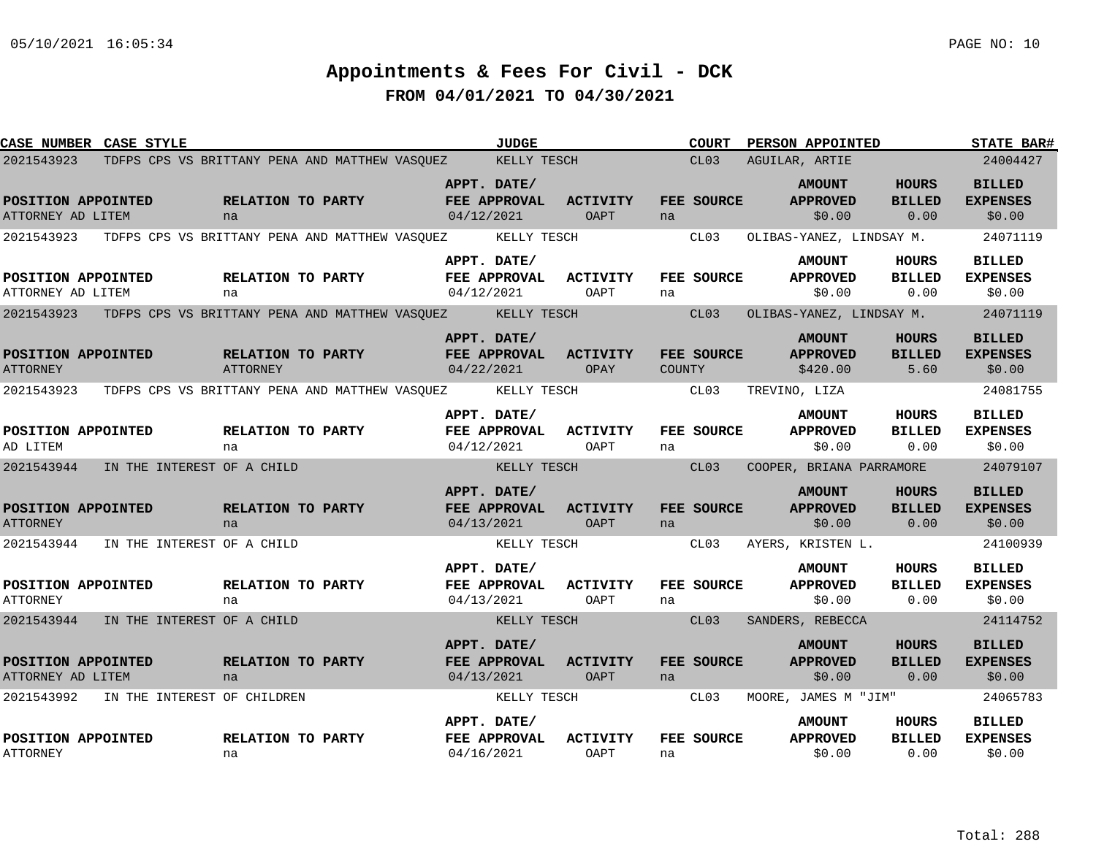| <b>CASE NUMBER CASE STYLE</b>                       |                                       |                                      |                                                            |                                                  | <b>JUDGE</b> |                                |        | COURT                     | PERSON APPOINTED                                                |                                       | <b>STATE BAR#</b>                                      |
|-----------------------------------------------------|---------------------------------------|--------------------------------------|------------------------------------------------------------|--------------------------------------------------|--------------|--------------------------------|--------|---------------------------|-----------------------------------------------------------------|---------------------------------------|--------------------------------------------------------|
| 2021543923                                          |                                       |                                      | TDFPS CPS VS BRITTANY PENA AND MATTHEW VASOUEZ KELLY TESCH |                                                  |              |                                |        | CL03                      | AGUILAR, ARTIE                                                  |                                       | 24004427                                               |
| POSITION APPOINTED<br>ATTORNEY AD LITEM             |                                       | <b>RELATION TO PARTY</b><br>na       |                                                            | APPT. DATE/<br>FEE APPROVAL<br>04/12/2021        |              | <b>ACTIVITY</b><br>OAPT        | na     | FEE SOURCE                | <b>AMOUNT</b><br><b>APPROVED</b><br>\$0.00                      | HOURS<br><b>BILLED</b><br>0.00        | <b>BILLED</b><br><b>EXPENSES</b><br>\$0.00             |
| 2021543923                                          |                                       |                                      | TDFPS CPS VS BRITTANY PENA AND MATTHEW VASOUEZ             |                                                  | KELLY TESCH  |                                |        | CL03                      | OLIBAS-YANEZ, LINDSAY M.                                        |                                       | 24071119                                               |
| POSITION APPOINTED<br>ATTORNEY AD LITEM             |                                       | <b>RELATION TO PARTY</b><br>na       |                                                            | APPT. DATE/<br>FEE APPROVAL<br>04/12/2021        |              | <b>ACTIVITY</b><br>OAPT        | na     | <b>FEE SOURCE</b>         | <b>AMOUNT</b><br><b>APPROVED</b><br>\$0.00                      | HOURS<br><b>BILLED</b><br>0.00        | <b>BILLED</b><br><b>EXPENSES</b><br>\$0.00             |
| 2021543923                                          |                                       |                                      | TDFPS CPS VS BRITTANY PENA AND MATTHEW VASOUEZ KELLY TESCH |                                                  |              |                                |        | CL03                      | OLIBAS-YANEZ, LINDSAY M.                                        |                                       | 24071119                                               |
| POSITION APPOINTED<br><b>ATTORNEY</b>               |                                       | <b>RELATION TO PARTY</b><br>ATTORNEY |                                                            | APPT. DATE/<br><b>FEE APPROVAL</b><br>04/22/2021 |              | <b>ACTIVITY</b><br>OPAY        | COUNTY | FEE SOURCE                | <b>AMOUNT</b><br><b>APPROVED</b><br>\$420.00                    | <b>HOURS</b><br><b>BILLED</b><br>5.60 | <b>BILLED</b><br><b>EXPENSES</b><br>\$0.00             |
| 2021543923                                          |                                       |                                      | TDFPS CPS VS BRITTANY PENA AND MATTHEW VASOUEZ             |                                                  | KELLY TESCH  |                                |        | CL03                      | TREVINO, LIZA                                                   |                                       | 24081755                                               |
| POSITION APPOINTED<br>AD LITEM                      |                                       | <b>RELATION TO PARTY</b><br>na       |                                                            | APPT. DATE/<br>FEE APPROVAL<br>04/12/2021        |              | <b>ACTIVITY</b><br>OAPT        | na     | FEE SOURCE                | <b>AMOUNT</b><br><b>APPROVED</b><br>\$0.00                      | <b>HOURS</b><br><b>BILLED</b><br>0.00 | <b>BILLED</b><br><b>EXPENSES</b><br>\$0.00             |
| 2021543944                                          | IN THE INTEREST OF A CHILD            |                                      |                                                            |                                                  | KELLY TESCH  |                                |        | CL03                      | COOPER, BRIANA PARRAMORE                                        |                                       | 24079107                                               |
| POSITION APPOINTED<br><b>ATTORNEY</b><br>2021543944 | IN THE INTEREST OF A CHILD            | RELATION TO PARTY<br>na              |                                                            | APPT. DATE/<br>FEE APPROVAL<br>04/13/2021        | KELLY TESCH  | <b>ACTIVITY</b><br><b>OAPT</b> | na     | <b>FEE SOURCE</b><br>CL03 | <b>AMOUNT</b><br><b>APPROVED</b><br>\$0.00<br>AYERS, KRISTEN L. | HOURS<br><b>BILLED</b><br>0.00        | <b>BILLED</b><br><b>EXPENSES</b><br>\$0.00<br>24100939 |
|                                                     |                                       |                                      |                                                            | APPT. DATE/                                      |              |                                |        |                           | <b>AMOUNT</b>                                                   | HOURS                                 | BILLED                                                 |
| POSITION APPOINTED<br><b>ATTORNEY</b>               |                                       | <b>RELATION TO PARTY</b><br>na       |                                                            | FEE APPROVAL<br>04/13/2021                       |              | <b>ACTIVITY</b><br>OAPT        | na     | FEE SOURCE                | <b>APPROVED</b><br>\$0.00                                       | <b>BILLED</b><br>0.00                 | <b>EXPENSES</b><br>\$0.00                              |
|                                                     | 2021543944 IN THE INTEREST OF A CHILD |                                      |                                                            |                                                  | KELLY TESCH  |                                |        | CL03                      | SANDERS, REBECCA                                                |                                       | 24114752                                               |
| POSITION APPOINTED<br>ATTORNEY AD LITEM             |                                       | RELATION TO PARTY<br>na              |                                                            | APPT. DATE/<br>FEE APPROVAL<br>04/13/2021        |              | <b>ACTIVITY</b><br><b>OAPT</b> | na     | FEE SOURCE                | <b>AMOUNT</b><br><b>APPROVED</b><br>\$0.00                      | <b>HOURS</b><br><b>BILLED</b><br>0.00 | <b>BILLED</b><br><b>EXPENSES</b><br>\$0.00             |
| 2021543992                                          | IN THE INTEREST OF CHILDREN           |                                      |                                                            |                                                  | KELLY TESCH  |                                |        | CL03                      | MOORE, JAMES M "JIM"                                            |                                       | 24065783                                               |
| POSITION APPOINTED<br><b>ATTORNEY</b>               |                                       | RELATION TO PARTY<br>na              |                                                            | APPT. DATE/<br>FEE APPROVAL<br>04/16/2021        |              | <b>ACTIVITY</b><br>OAPT        | na     | FEE SOURCE                | <b>AMOUNT</b><br><b>APPROVED</b><br>\$0.00                      | HOURS<br><b>BILLED</b><br>0.00        | <b>BILLED</b><br><b>EXPENSES</b><br>\$0.00             |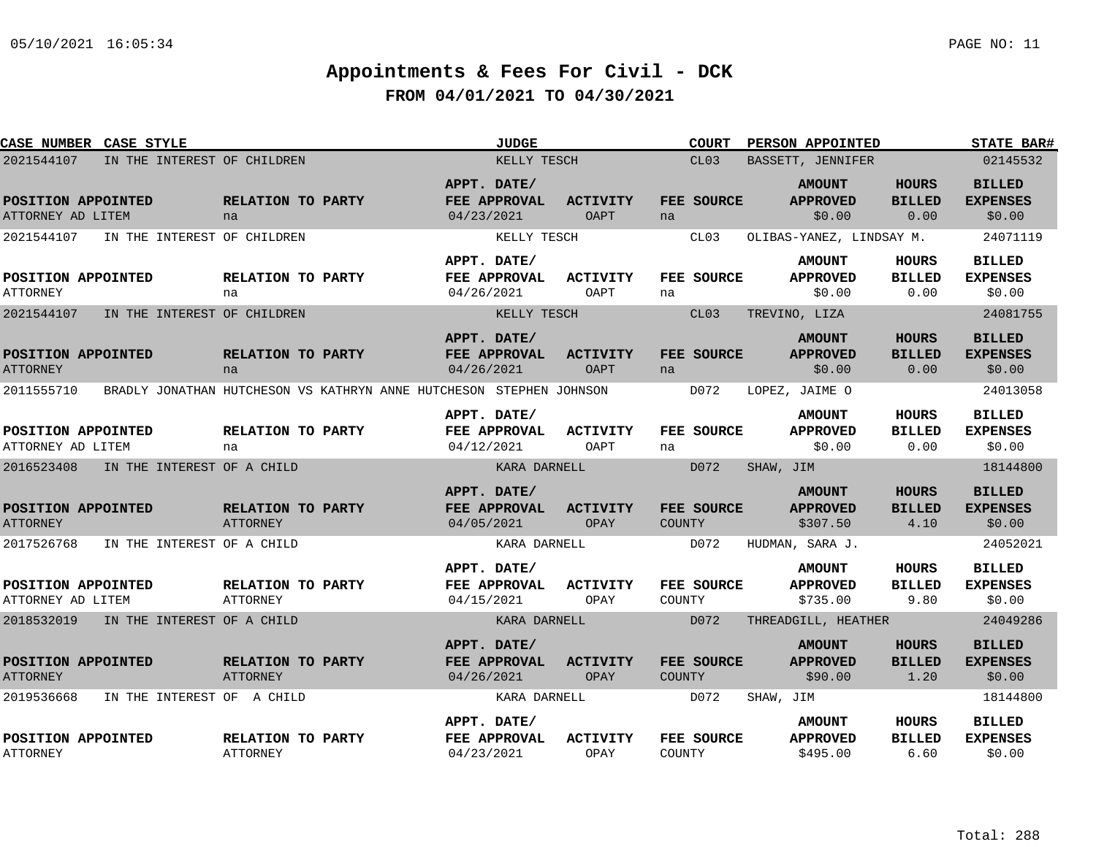| <b>CASE NUMBER CASE STYLE</b>           |                             |                                      |                                                                     |                                           | <b>JUDGE</b> |                                |               | <b>COURT</b> | PERSON APPOINTED                             |                                       | <b>STATE BAR#</b>                          |
|-----------------------------------------|-----------------------------|--------------------------------------|---------------------------------------------------------------------|-------------------------------------------|--------------|--------------------------------|---------------|--------------|----------------------------------------------|---------------------------------------|--------------------------------------------|
| 2021544107                              | IN THE INTEREST OF CHILDREN |                                      |                                                                     |                                           | KELLY TESCH  |                                |               | CL03         | BASSETT, JENNIFER                            |                                       | 02145532                                   |
| POSITION APPOINTED<br>ATTORNEY AD LITEM |                             | RELATION TO PARTY<br>na              |                                                                     | APPT. DATE/<br>04/23/2021                 | FEE APPROVAL | <b>ACTIVITY</b><br><b>OAPT</b> | na            | FEE SOURCE   | <b>AMOUNT</b><br><b>APPROVED</b><br>\$0.00   | <b>HOURS</b><br><b>BILLED</b><br>0.00 | <b>BILLED</b><br><b>EXPENSES</b><br>\$0.00 |
| 2021544107                              | IN THE INTEREST OF CHILDREN |                                      |                                                                     |                                           | KELLY TESCH  |                                |               | CL03         | OLIBAS-YANEZ, LINDSAY M.                     |                                       | 24071119                                   |
| POSITION APPOINTED<br>ATTORNEY          |                             | RELATION TO PARTY<br>na              |                                                                     | APPT. DATE/<br>FEE APPROVAL<br>04/26/2021 |              | <b>ACTIVITY</b><br>OAPT        | na            | FEE SOURCE   | <b>AMOUNT</b><br><b>APPROVED</b><br>\$0.00   | HOURS<br><b>BILLED</b><br>0.00        | <b>BILLED</b><br><b>EXPENSES</b><br>\$0.00 |
| 2021544107                              | IN THE INTEREST OF CHILDREN |                                      |                                                                     |                                           | KELLY TESCH  |                                |               | CL03         | TREVINO, LIZA                                |                                       | 24081755                                   |
| POSITION APPOINTED<br><b>ATTORNEY</b>   |                             | RELATION TO PARTY<br>na              |                                                                     | APPT. DATE/<br>04/26/2021                 | FEE APPROVAL | <b>ACTIVITY</b><br><b>OAPT</b> | na            | FEE SOURCE   | <b>AMOUNT</b><br><b>APPROVED</b><br>\$0.00   | <b>HOURS</b><br><b>BILLED</b><br>0.00 | <b>BILLED</b><br><b>EXPENSES</b><br>\$0.00 |
| 2011555710                              |                             |                                      | BRADLY JONATHAN HUTCHESON VS KATHRYN ANNE HUTCHESON STEPHEN JOHNSON |                                           |              |                                |               | D072         | LOPEZ, JAIME O                               |                                       | 24013058                                   |
| POSITION APPOINTED<br>ATTORNEY AD LITEM |                             | RELATION TO PARTY<br>na              |                                                                     | APPT. DATE/<br>04/12/2021                 | FEE APPROVAL | <b>ACTIVITY</b><br>OAPT        | na            | FEE SOURCE   | <b>AMOUNT</b><br><b>APPROVED</b><br>\$0.00   | HOURS<br><b>BILLED</b><br>0.00        | <b>BILLED</b><br><b>EXPENSES</b><br>\$0.00 |
| 2016523408                              | IN THE INTEREST OF A CHILD  |                                      |                                                                     |                                           | KARA DARNELL |                                |               | D072         | SHAW, JIM                                    |                                       | 18144800                                   |
| POSITION APPOINTED<br><b>ATTORNEY</b>   |                             | RELATION TO PARTY<br>ATTORNEY        |                                                                     | APPT. DATE/<br>04/05/2021                 | FEE APPROVAL | <b>ACTIVITY</b><br>OPAY        | <b>COUNTY</b> | FEE SOURCE   | <b>AMOUNT</b><br><b>APPROVED</b><br>\$307.50 | <b>HOURS</b><br><b>BILLED</b><br>4.10 | <b>BILLED</b><br><b>EXPENSES</b><br>\$0.00 |
| 2017526768                              | IN THE INTEREST OF A CHILD  |                                      |                                                                     |                                           | KARA DARNELL |                                |               | D072         | HUDMAN, SARA J.                              |                                       | 24052021                                   |
| POSITION APPOINTED<br>ATTORNEY AD LITEM |                             | RELATION TO PARTY<br><b>ATTORNEY</b> |                                                                     | APPT. DATE/<br>04/15/2021                 | FEE APPROVAL | ACTIVITY<br>OPAY               | COUNTY        | FEE SOURCE   | <b>AMOUNT</b><br><b>APPROVED</b><br>\$735.00 | HOURS<br><b>BILLED</b><br>9.80        | <b>BILLED</b><br><b>EXPENSES</b><br>\$0.00 |
| 2018532019                              | IN THE INTEREST OF A CHILD  |                                      |                                                                     |                                           | KARA DARNELL |                                |               | D072         | THREADGILL, HEATHER                          |                                       | 24049286                                   |
| POSITION APPOINTED<br><b>ATTORNEY</b>   |                             | RELATION TO PARTY<br>ATTORNEY        |                                                                     | APPT. DATE/<br>04/26/2021                 | FEE APPROVAL | <b>ACTIVITY</b><br><b>OPAY</b> | COUNTY        | FEE SOURCE   | <b>AMOUNT</b><br><b>APPROVED</b><br>\$90.00  | <b>HOURS</b><br><b>BILLED</b><br>1.20 | <b>BILLED</b><br><b>EXPENSES</b><br>\$0.00 |
| 2019536668                              | IN THE INTEREST OF A CHILD  |                                      |                                                                     |                                           | KARA DARNELL |                                |               | D072         | SHAW, JIM                                    |                                       | 18144800                                   |
| POSITION APPOINTED<br><b>ATTORNEY</b>   |                             | RELATION TO PARTY<br><b>ATTORNEY</b> |                                                                     | APPT. DATE/<br>04/23/2021                 | FEE APPROVAL | <b>ACTIVITY</b><br>OPAY        | COUNTY        | FEE SOURCE   | <b>AMOUNT</b><br><b>APPROVED</b><br>\$495.00 | HOURS<br><b>BILLED</b><br>6.60        | <b>BILLED</b><br><b>EXPENSES</b><br>\$0.00 |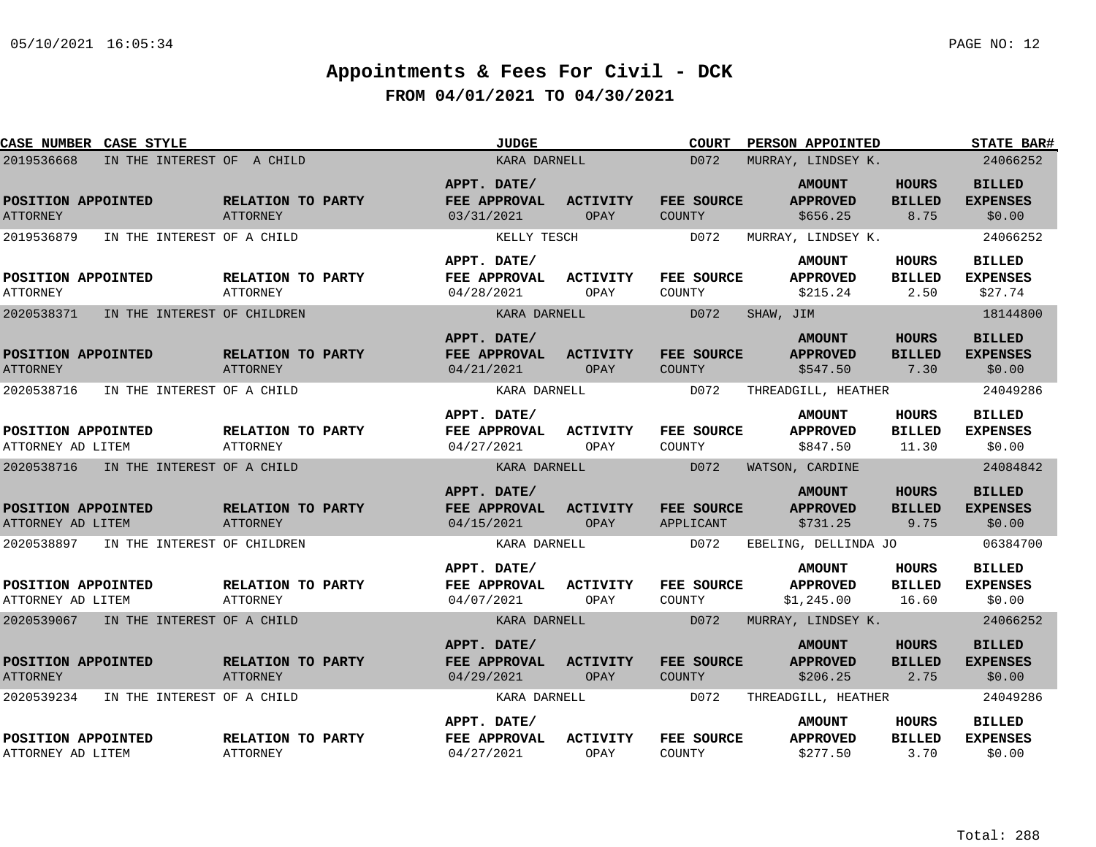| <b>CASE NUMBER CASE STYLE</b>             |                                      | <b>JUDGE</b>                              |                         | COURT                       | PERSON APPOINTED                               |                                        | <b>STATE BAR#</b>                           |
|-------------------------------------------|--------------------------------------|-------------------------------------------|-------------------------|-----------------------------|------------------------------------------------|----------------------------------------|---------------------------------------------|
| 2019536668<br>IN THE INTEREST OF A CHILD  |                                      | KARA DARNELL                              |                         | D072                        | MURRAY, LINDSEY K.                             |                                        | 24066252                                    |
| POSITION APPOINTED<br><b>ATTORNEY</b>     | RELATION TO PARTY<br><b>ATTORNEY</b> | APPT. DATE/<br>FEE APPROVAL<br>03/31/2021 | <b>ACTIVITY</b><br>OPAY | FEE SOURCE<br>COUNTY        | <b>AMOUNT</b><br><b>APPROVED</b><br>\$656.25   | <b>HOURS</b><br><b>BILLED</b><br>8.75  | <b>BILLED</b><br><b>EXPENSES</b><br>\$0.00  |
| 2019536879<br>IN THE INTEREST OF A CHILD  |                                      | KELLY TESCH                               |                         | D072                        | MURRAY, LINDSEY K.                             |                                        | 24066252                                    |
| POSITION APPOINTED<br><b>ATTORNEY</b>     | RELATION TO PARTY<br>ATTORNEY        | APPT. DATE/<br>FEE APPROVAL<br>04/28/2021 | <b>ACTIVITY</b><br>OPAY | FEE SOURCE<br>COUNTY        | <b>AMOUNT</b><br><b>APPROVED</b><br>\$215.24   | HOURS<br><b>BILLED</b><br>2.50         | <b>BILLED</b><br><b>EXPENSES</b><br>\$27.74 |
| 2020538371<br>IN THE INTEREST OF CHILDREN |                                      | KARA DARNELL                              |                         | D072                        | SHAW, JIM                                      |                                        | 18144800                                    |
| POSITION APPOINTED<br><b>ATTORNEY</b>     | RELATION TO PARTY<br>ATTORNEY        | APPT. DATE/<br>FEE APPROVAL<br>04/21/2021 | <b>ACTIVITY</b><br>OPAY | FEE SOURCE<br>COUNTY        | <b>AMOUNT</b><br><b>APPROVED</b><br>\$547.50   | <b>HOURS</b><br><b>BILLED</b><br>7.30  | <b>BILLED</b><br><b>EXPENSES</b><br>\$0.00  |
| 2020538716<br>IN THE INTEREST OF A CHILD  |                                      | KARA DARNELL                              |                         | D072                        | THREADGILL, HEATHER                            |                                        | 24049286                                    |
| POSITION APPOINTED<br>ATTORNEY AD LITEM   | RELATION TO PARTY<br><b>ATTORNEY</b> | APPT. DATE/<br>FEE APPROVAL<br>04/27/2021 | <b>ACTIVITY</b><br>OPAY | <b>FEE SOURCE</b><br>COUNTY | <b>AMOUNT</b><br><b>APPROVED</b><br>\$847.50   | <b>HOURS</b><br><b>BILLED</b><br>11.30 | <b>BILLED</b><br><b>EXPENSES</b><br>\$0.00  |
| 2020538716<br>IN THE INTEREST OF A CHILD  |                                      | KARA DARNELL                              |                         | D072                        | WATSON, CARDINE                                |                                        | 24084842                                    |
| POSITION APPOINTED<br>ATTORNEY AD LITEM   | RELATION TO PARTY<br><b>ATTORNEY</b> | APPT. DATE/<br>FEE APPROVAL<br>04/15/2021 | <b>ACTIVITY</b><br>OPAY | FEE SOURCE<br>APPLICANT     | <b>AMOUNT</b><br><b>APPROVED</b><br>\$731.25   | <b>HOURS</b><br><b>BILLED</b><br>9.75  | <b>BILLED</b><br><b>EXPENSES</b><br>\$0.00  |
| 2020538897 IN THE INTEREST OF CHILDREN    |                                      | KARA DARNELL                              |                         | D072                        | EBELING, DELLINDA JO                           |                                        | 06384700                                    |
| POSITION APPOINTED<br>ATTORNEY AD LITEM   | RELATION TO PARTY<br>ATTORNEY        | APPT. DATE/<br>FEE APPROVAL<br>04/07/2021 | <b>ACTIVITY</b><br>OPAY | <b>FEE SOURCE</b><br>COUNTY | <b>AMOUNT</b><br><b>APPROVED</b><br>\$1,245.00 | HOURS<br><b>BILLED</b><br>16.60        | <b>BILLED</b><br><b>EXPENSES</b><br>\$0.00  |
| 2020539067 IN THE INTEREST OF A CHILD     |                                      | KARA DARNELL                              |                         | D072                        | MURRAY, LINDSEY K.                             |                                        | 24066252                                    |
| POSITION APPOINTED<br><b>ATTORNEY</b>     | RELATION TO PARTY<br>ATTORNEY        | APPT. DATE/<br>FEE APPROVAL<br>04/29/2021 | <b>ACTIVITY</b><br>OPAY | FEE SOURCE<br>COUNTY        | <b>AMOUNT</b><br><b>APPROVED</b><br>\$206.25   | <b>HOURS</b><br><b>BILLED</b><br>2.75  | <b>BILLED</b><br><b>EXPENSES</b><br>\$0.00  |
| 2020539234<br>IN THE INTEREST OF A CHILD  |                                      | KARA DARNELL                              |                         | D072                        | THREADGILL, HEATHER                            |                                        | 24049286                                    |
| POSITION APPOINTED<br>ATTORNEY AD LITEM   | RELATION TO PARTY<br>ATTORNEY        | APPT. DATE/<br>FEE APPROVAL<br>04/27/2021 | <b>ACTIVITY</b><br>OPAY | FEE SOURCE<br>COUNTY        | <b>AMOUNT</b><br><b>APPROVED</b><br>\$277.50   | HOURS<br><b>BILLED</b><br>3.70         | <b>BILLED</b><br><b>EXPENSES</b><br>\$0.00  |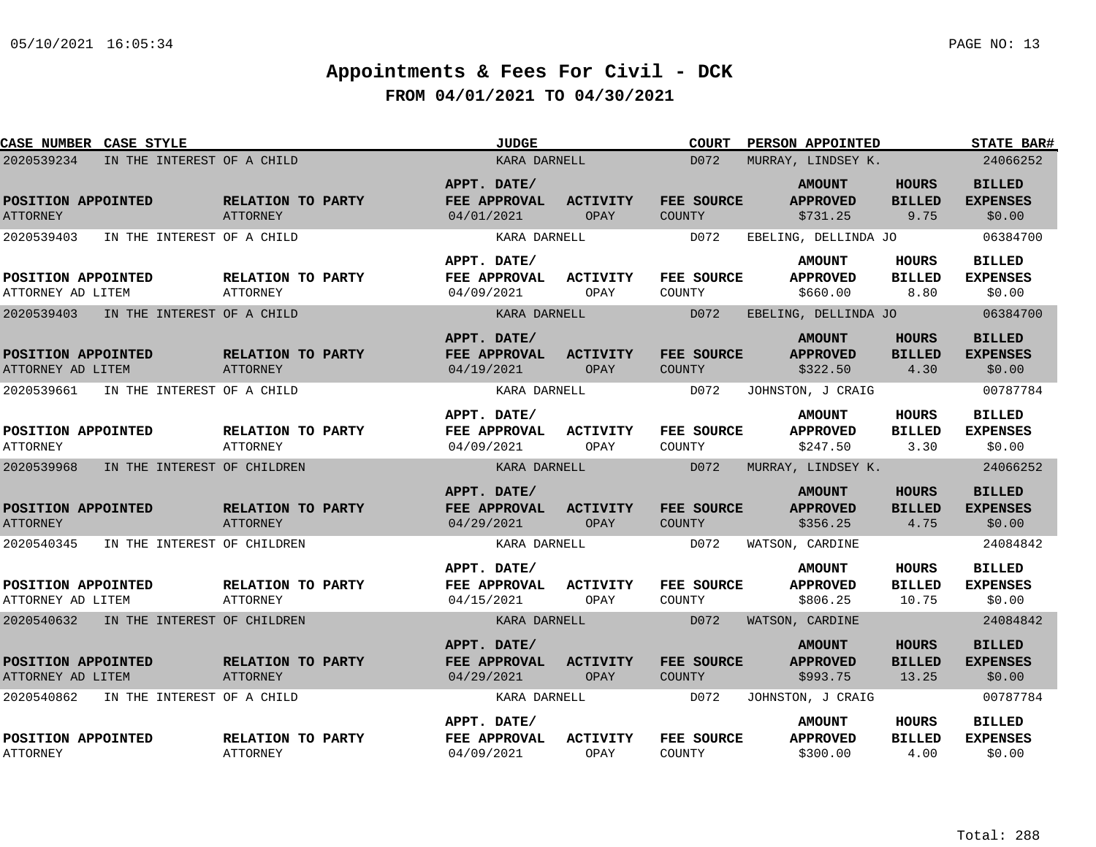| CASE NUMBER CASE STYLE                  |                                      | <b>JUDGE</b>                              |                         | <b>COURT</b>                | PERSON APPOINTED                             |                                        | <b>STATE BAR#</b>                          |
|-----------------------------------------|--------------------------------------|-------------------------------------------|-------------------------|-----------------------------|----------------------------------------------|----------------------------------------|--------------------------------------------|
| 2020539234                              | IN THE INTEREST OF A CHILD           | KARA DARNELL                              |                         | D072                        | MURRAY, LINDSEY K.                           |                                        | 24066252                                   |
| POSITION APPOINTED<br><b>ATTORNEY</b>   | RELATION TO PARTY<br>ATTORNEY        | APPT. DATE/<br>FEE APPROVAL<br>04/01/2021 | <b>ACTIVITY</b><br>OPAY | FEE SOURCE<br>COUNTY        | <b>AMOUNT</b><br><b>APPROVED</b><br>\$731.25 | <b>HOURS</b><br><b>BILLED</b><br>9.75  | <b>BILLED</b><br><b>EXPENSES</b><br>\$0.00 |
| 2020539403                              | IN THE INTEREST OF A CHILD           | KARA DARNELL                              |                         | D072                        | EBELING, DELLINDA JO                         |                                        | 06384700                                   |
| POSITION APPOINTED<br>ATTORNEY AD LITEM | RELATION TO PARTY<br>ATTORNEY        | APPT. DATE/<br>FEE APPROVAL<br>04/09/2021 | <b>ACTIVITY</b><br>OPAY | FEE SOURCE<br>COUNTY        | <b>AMOUNT</b><br><b>APPROVED</b><br>\$660.00 | HOURS<br><b>BILLED</b><br>8.80         | <b>BILLED</b><br><b>EXPENSES</b><br>\$0.00 |
| 2020539403                              | IN THE INTEREST OF A CHILD           | KARA DARNELL                              |                         | D072                        | EBELING, DELLINDA JO                         |                                        | 06384700                                   |
| POSITION APPOINTED<br>ATTORNEY AD LITEM | RELATION TO PARTY<br>ATTORNEY        | APPT. DATE/<br>FEE APPROVAL<br>04/19/2021 | <b>ACTIVITY</b><br>OPAY | FEE SOURCE<br><b>COUNTY</b> | <b>AMOUNT</b><br><b>APPROVED</b><br>\$322.50 | <b>HOURS</b><br><b>BILLED</b><br>4.30  | <b>BILLED</b><br><b>EXPENSES</b><br>\$0.00 |
| 2020539661                              | IN THE INTEREST OF A CHILD           | KARA DARNELL                              |                         | D072                        | JOHNSTON, J CRAIG                            |                                        | 00787784                                   |
| POSITION APPOINTED<br><b>ATTORNEY</b>   | RELATION TO PARTY<br><b>ATTORNEY</b> | APPT. DATE/<br>FEE APPROVAL<br>04/09/2021 | <b>ACTIVITY</b><br>OPAY | FEE SOURCE<br>COUNTY        | <b>AMOUNT</b><br><b>APPROVED</b><br>\$247.50 | <b>HOURS</b><br><b>BILLED</b><br>3.30  | <b>BILLED</b><br><b>EXPENSES</b><br>\$0.00 |
| 2020539968                              | IN THE INTEREST OF CHILDREN          | KARA DARNELL                              |                         | D072                        | MURRAY, LINDSEY K.                           |                                        | 24066252                                   |
| POSITION APPOINTED<br><b>ATTORNEY</b>   | RELATION TO PARTY<br><b>ATTORNEY</b> | APPT. DATE/<br>FEE APPROVAL<br>04/29/2021 | <b>ACTIVITY</b><br>OPAY | FEE SOURCE<br>COUNTY        | <b>AMOUNT</b><br><b>APPROVED</b><br>\$356.25 | <b>HOURS</b><br><b>BILLED</b><br>4.75  | <b>BILLED</b><br><b>EXPENSES</b><br>\$0.00 |
| 2020540345                              | IN THE INTEREST OF CHILDREN          | KARA DARNELL                              |                         | D072                        | WATSON, CARDINE                              |                                        | 24084842                                   |
| POSITION APPOINTED<br>ATTORNEY AD LITEM | RELATION TO PARTY<br>ATTORNEY        | APPT. DATE/<br>FEE APPROVAL<br>04/15/2021 | <b>ACTIVITY</b><br>OPAY | FEE SOURCE<br>COUNTY        | <b>AMOUNT</b><br><b>APPROVED</b><br>\$806.25 | HOURS<br><b>BILLED</b><br>10.75        | <b>BILLED</b><br><b>EXPENSES</b><br>\$0.00 |
| 2020540632 IN THE INTEREST OF CHILDREN  |                                      | KARA DARNELL                              |                         | D072                        | WATSON, CARDINE                              |                                        | 24084842                                   |
| POSITION APPOINTED<br>ATTORNEY AD LITEM | RELATION TO PARTY<br><b>ATTORNEY</b> | APPT. DATE/<br>FEE APPROVAL<br>04/29/2021 | <b>ACTIVITY</b><br>OPAY | FEE SOURCE<br>COUNTY        | <b>AMOUNT</b><br><b>APPROVED</b><br>\$993.75 | <b>HOURS</b><br><b>BILLED</b><br>13.25 | <b>BILLED</b><br><b>EXPENSES</b><br>\$0.00 |
| 2020540862                              | IN THE INTEREST OF A CHILD           | KARA DARNELL                              |                         | D072                        | JOHNSTON, J CRAIG                            |                                        | 00787784                                   |
| POSITION APPOINTED<br><b>ATTORNEY</b>   | RELATION TO PARTY<br><b>ATTORNEY</b> | APPT. DATE/<br>FEE APPROVAL<br>04/09/2021 | <b>ACTIVITY</b><br>OPAY | FEE SOURCE<br>COUNTY        | <b>AMOUNT</b><br><b>APPROVED</b><br>\$300.00 | <b>HOURS</b><br><b>BILLED</b><br>4.00  | <b>BILLED</b><br><b>EXPENSES</b><br>\$0.00 |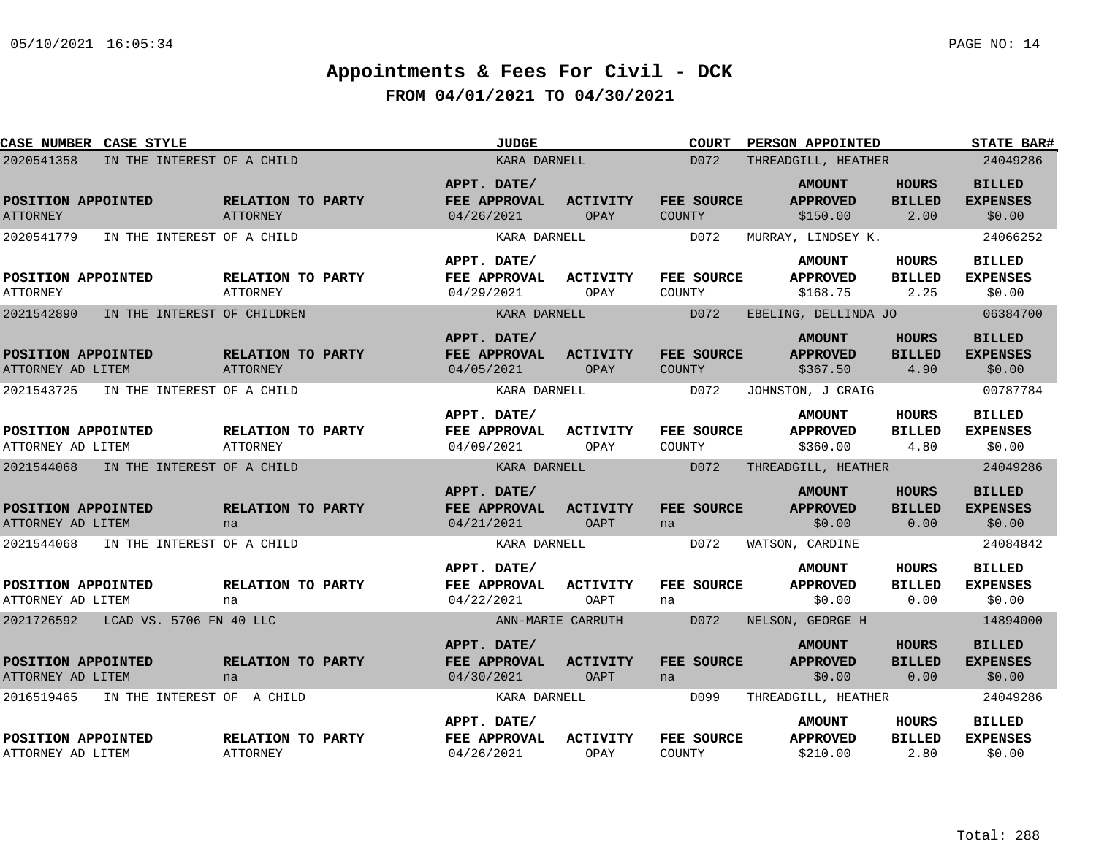| CASE NUMBER CASE STYLE                    |                                      | JUDGE                                     |                                | <b>COURT</b>                       | PERSON APPOINTED                             |                                       | <b>STATE BAR#</b>                          |
|-------------------------------------------|--------------------------------------|-------------------------------------------|--------------------------------|------------------------------------|----------------------------------------------|---------------------------------------|--------------------------------------------|
| 2020541358<br>IN THE INTEREST OF A CHILD  |                                      | KARA DARNELL                              |                                | D072                               | THREADGILL, HEATHER                          |                                       | 24049286                                   |
| POSITION APPOINTED<br><b>ATTORNEY</b>     | RELATION TO PARTY<br>ATTORNEY        | APPT. DATE/<br>FEE APPROVAL<br>04/26/2021 | <b>ACTIVITY</b><br>OPAY        | FEE SOURCE<br><b>COUNTY</b>        | <b>AMOUNT</b><br><b>APPROVED</b><br>\$150.00 | <b>HOURS</b><br><b>BILLED</b><br>2.00 | <b>BILLED</b><br><b>EXPENSES</b><br>\$0.00 |
| 2020541779<br>IN THE INTEREST OF A CHILD  |                                      | KARA DARNELL                              |                                | D072                               | MURRAY, LINDSEY K.                           |                                       | 24066252                                   |
| POSITION APPOINTED<br><b>ATTORNEY</b>     | RELATION TO PARTY<br>ATTORNEY        | APPT. DATE/<br>FEE APPROVAL<br>04/29/2021 | <b>ACTIVITY</b><br>OPAY        | FEE SOURCE<br>COUNTY               | <b>AMOUNT</b><br><b>APPROVED</b><br>\$168.75 | HOURS<br><b>BILLED</b><br>2.25        | <b>BILLED</b><br><b>EXPENSES</b><br>\$0.00 |
| 2021542890<br>IN THE INTEREST OF CHILDREN |                                      | KARA DARNELL                              |                                | D072                               | EBELING, DELLINDA JO                         |                                       | 06384700                                   |
| POSITION APPOINTED<br>ATTORNEY AD LITEM   | RELATION TO PARTY<br>ATTORNEY        | APPT. DATE/<br>FEE APPROVAL<br>04/05/2021 | <b>ACTIVITY</b><br>OPAY        | <b>FEE SOURCE</b><br><b>COUNTY</b> | <b>AMOUNT</b><br><b>APPROVED</b><br>\$367.50 | <b>HOURS</b><br><b>BILLED</b><br>4.90 | <b>BILLED</b><br><b>EXPENSES</b><br>\$0.00 |
| 2021543725<br>IN THE INTEREST OF A CHILD  |                                      | KARA DARNELL                              |                                | D072                               | JOHNSTON, J CRAIG                            |                                       | 00787784                                   |
| POSITION APPOINTED<br>ATTORNEY AD LITEM   | RELATION TO PARTY<br><b>ATTORNEY</b> | APPT. DATE/<br>FEE APPROVAL<br>04/09/2021 | ACTIVITY<br>OPAY               | <b>FEE SOURCE</b><br>COUNTY        | <b>AMOUNT</b><br><b>APPROVED</b><br>\$360.00 | <b>HOURS</b><br><b>BILLED</b><br>4.80 | <b>BILLED</b><br><b>EXPENSES</b><br>\$0.00 |
| 2021544068<br>IN THE INTEREST OF A CHILD  |                                      | KARA DARNELL                              |                                | D072                               | THREADGILL, HEATHER                          |                                       | 24049286                                   |
| POSITION APPOINTED<br>ATTORNEY AD LITEM   | RELATION TO PARTY<br>na              | APPT. DATE/<br>FEE APPROVAL<br>04/21/2021 | <b>ACTIVITY</b><br>OAPT        | FEE SOURCE<br>na                   | <b>AMOUNT</b><br><b>APPROVED</b><br>\$0.00   | <b>HOURS</b><br><b>BILLED</b><br>0.00 | <b>BILLED</b><br><b>EXPENSES</b><br>\$0.00 |
| 2021544068<br>IN THE INTEREST OF A CHILD  |                                      | KARA DARNELL                              |                                | D072                               | WATSON, CARDINE                              |                                       | 24084842                                   |
| POSITION APPOINTED<br>ATTORNEY AD LITEM   | RELATION TO PARTY<br>na              | APPT. DATE/<br>FEE APPROVAL<br>04/22/2021 | <b>ACTIVITY</b><br>OAPT        | FEE SOURCE<br>na                   | <b>AMOUNT</b><br><b>APPROVED</b><br>\$0.00   | <b>HOURS</b><br><b>BILLED</b><br>0.00 | <b>BILLED</b><br><b>EXPENSES</b><br>\$0.00 |
| 2021726592<br>LCAD VS. 5706 FN 40 LLC     |                                      |                                           | ANN-MARIE CARRUTH              | D072                               | NELSON, GEORGE H                             |                                       | 14894000                                   |
| POSITION APPOINTED<br>ATTORNEY AD LITEM   | RELATION TO PARTY<br>na              | APPT. DATE/<br>FEE APPROVAL<br>04/30/2021 | <b>ACTIVITY</b><br><b>OAPT</b> | <b>FEE SOURCE</b><br>na            | <b>AMOUNT</b><br><b>APPROVED</b><br>\$0.00   | <b>HOURS</b><br><b>BILLED</b><br>0.00 | <b>BILLED</b><br><b>EXPENSES</b><br>\$0.00 |
| 2016519465<br>IN THE INTEREST OF A CHILD  |                                      | KARA DARNELL                              |                                | D099                               | THREADGILL, HEATHER                          |                                       | 24049286                                   |
| POSITION APPOINTED<br>ATTORNEY AD LITEM   | RELATION TO PARTY<br>ATTORNEY        | APPT. DATE/<br>FEE APPROVAL<br>04/26/2021 | <b>ACTIVITY</b><br>OPAY        | FEE SOURCE<br>COUNTY               | <b>AMOUNT</b><br><b>APPROVED</b><br>\$210.00 | HOURS<br><b>BILLED</b><br>2.80        | <b>BILLED</b><br><b>EXPENSES</b><br>\$0.00 |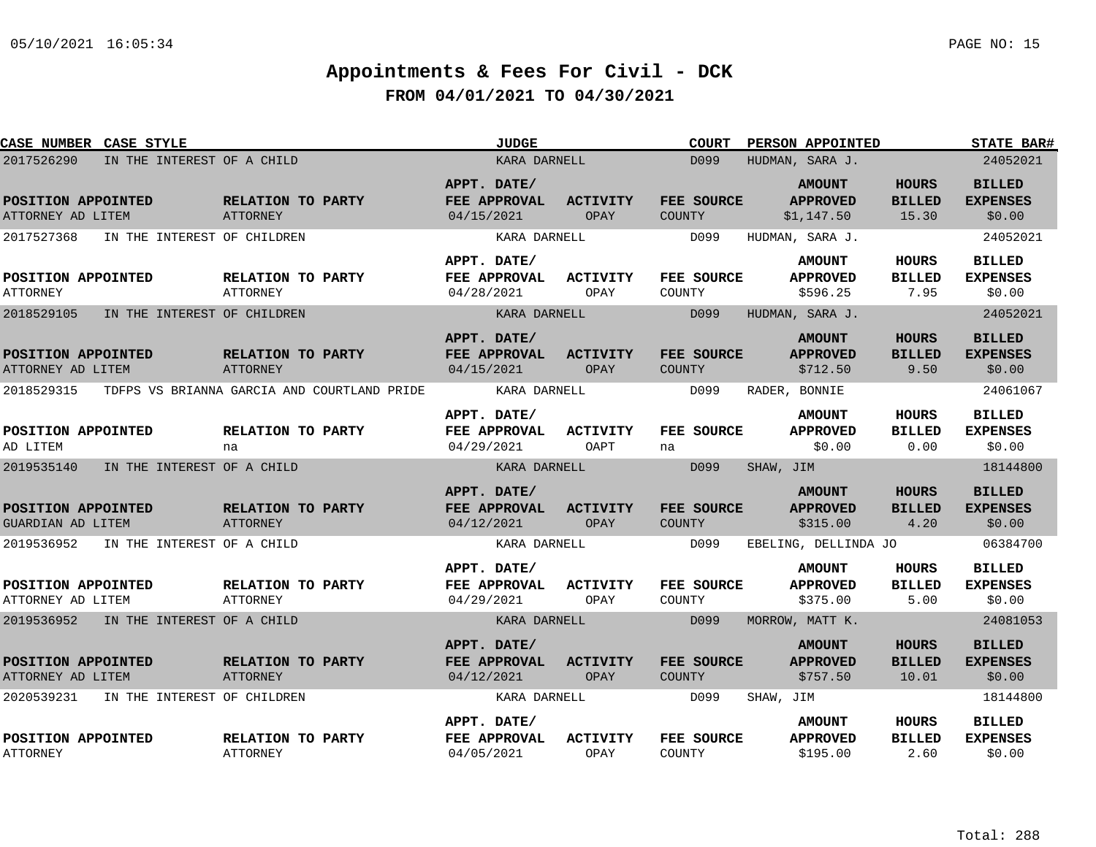| CASE NUMBER CASE STYLE                  |                                             | <b>JUDGE</b>                              |                         | <b>COURT</b>                | <b>PERSON APPOINTED</b>                        |                                        | <b>STATE BAR#</b>                          |
|-----------------------------------------|---------------------------------------------|-------------------------------------------|-------------------------|-----------------------------|------------------------------------------------|----------------------------------------|--------------------------------------------|
| 2017526290                              | IN THE INTEREST OF A CHILD                  | KARA DARNELL                              |                         | D099                        | HUDMAN, SARA J.                                |                                        | 24052021                                   |
| POSITION APPOINTED<br>ATTORNEY AD LITEM | RELATION TO PARTY<br>ATTORNEY               | APPT. DATE/<br>FEE APPROVAL<br>04/15/2021 | <b>ACTIVITY</b><br>OPAY | FEE SOURCE<br><b>COUNTY</b> | <b>AMOUNT</b><br><b>APPROVED</b><br>\$1,147.50 | <b>HOURS</b><br><b>BILLED</b><br>15.30 | <b>BILLED</b><br><b>EXPENSES</b><br>\$0.00 |
| 2017527368                              | IN THE INTEREST OF CHILDREN                 | KARA DARNELL                              |                         | D099                        | HUDMAN, SARA J.                                |                                        | 24052021                                   |
| POSITION APPOINTED<br><b>ATTORNEY</b>   | RELATION TO PARTY<br><b>ATTORNEY</b>        | APPT. DATE/<br>FEE APPROVAL<br>04/28/2021 | <b>ACTIVITY</b><br>OPAY | <b>FEE SOURCE</b><br>COUNTY | <b>AMOUNT</b><br><b>APPROVED</b><br>\$596.25   | HOURS<br><b>BILLED</b><br>7.95         | <b>BILLED</b><br><b>EXPENSES</b><br>\$0.00 |
| 2018529105                              | IN THE INTEREST OF CHILDREN                 | KARA DARNELL                              |                         | D099                        | HUDMAN, SARA J.                                |                                        | 24052021                                   |
| POSITION APPOINTED<br>ATTORNEY AD LITEM | RELATION TO PARTY<br>ATTORNEY               | APPT. DATE/<br>FEE APPROVAL<br>04/15/2021 | <b>ACTIVITY</b><br>OPAY | FEE SOURCE<br><b>COUNTY</b> | <b>AMOUNT</b><br><b>APPROVED</b><br>\$712.50   | <b>HOURS</b><br><b>BILLED</b><br>9.50  | <b>BILLED</b><br><b>EXPENSES</b><br>\$0.00 |
| 2018529315                              | TDFPS VS BRIANNA GARCIA AND COURTLAND PRIDE | KARA DARNELL                              |                         | D099                        | RADER, BONNIE                                  |                                        | 24061067                                   |
| POSITION APPOINTED<br>AD LITEM          | RELATION TO PARTY<br>na                     | APPT. DATE/<br>FEE APPROVAL<br>04/29/2021 | <b>ACTIVITY</b><br>OAPT | FEE SOURCE<br>na            | <b>AMOUNT</b><br><b>APPROVED</b><br>\$0.00     | <b>HOURS</b><br><b>BILLED</b><br>0.00  | <b>BILLED</b><br><b>EXPENSES</b><br>\$0.00 |
| 2019535140                              | IN THE INTEREST OF A CHILD                  | KARA DARNELL                              |                         | D099                        | SHAW, JIM                                      |                                        | 18144800                                   |
| POSITION APPOINTED<br>GUARDIAN AD LITEM | RELATION TO PARTY<br>ATTORNEY               | APPT. DATE/<br>FEE APPROVAL<br>04/12/2021 | <b>ACTIVITY</b><br>OPAY | FEE SOURCE<br><b>COUNTY</b> | <b>AMOUNT</b><br><b>APPROVED</b><br>\$315.00   | <b>HOURS</b><br><b>BILLED</b><br>4.20  | <b>BILLED</b><br><b>EXPENSES</b><br>\$0.00 |
| 2019536952                              | IN THE INTEREST OF A CHILD                  | KARA DARNELL                              |                         | D099                        | EBELING, DELLINDA JO                           |                                        | 06384700                                   |
| POSITION APPOINTED<br>ATTORNEY AD LITEM | <b>RELATION TO PARTY</b><br>ATTORNEY        | APPT. DATE/<br>FEE APPROVAL<br>04/29/2021 | <b>ACTIVITY</b><br>OPAY | FEE SOURCE<br>COUNTY        | <b>AMOUNT</b><br><b>APPROVED</b><br>\$375.00   | <b>HOURS</b><br><b>BILLED</b><br>5.00  | <b>BILLED</b><br><b>EXPENSES</b><br>\$0.00 |
| 2019536952 IN THE INTEREST OF A CHILD   |                                             | KARA DARNELL                              |                         | D099                        | MORROW, MATT K.                                |                                        | 24081053                                   |
| POSITION APPOINTED<br>ATTORNEY AD LITEM | RELATION TO PARTY<br>ATTORNEY               | APPT. DATE/<br>FEE APPROVAL<br>04/12/2021 | <b>ACTIVITY</b><br>OPAY | FEE SOURCE<br><b>COUNTY</b> | <b>AMOUNT</b><br><b>APPROVED</b><br>\$757.50   | <b>HOURS</b><br><b>BILLED</b><br>10.01 | <b>BILLED</b><br><b>EXPENSES</b><br>\$0.00 |
| 2020539231                              | IN THE INTEREST OF CHILDREN                 | KARA DARNELL                              |                         | D099                        | SHAW, JIM                                      |                                        | 18144800                                   |
| POSITION APPOINTED<br><b>ATTORNEY</b>   | RELATION TO PARTY<br><b>ATTORNEY</b>        | APPT. DATE/<br>FEE APPROVAL<br>04/05/2021 | <b>ACTIVITY</b><br>OPAY | FEE SOURCE<br>COUNTY        | <b>AMOUNT</b><br><b>APPROVED</b><br>\$195.00   | <b>HOURS</b><br><b>BILLED</b><br>2.60  | <b>BILLED</b><br><b>EXPENSES</b><br>\$0.00 |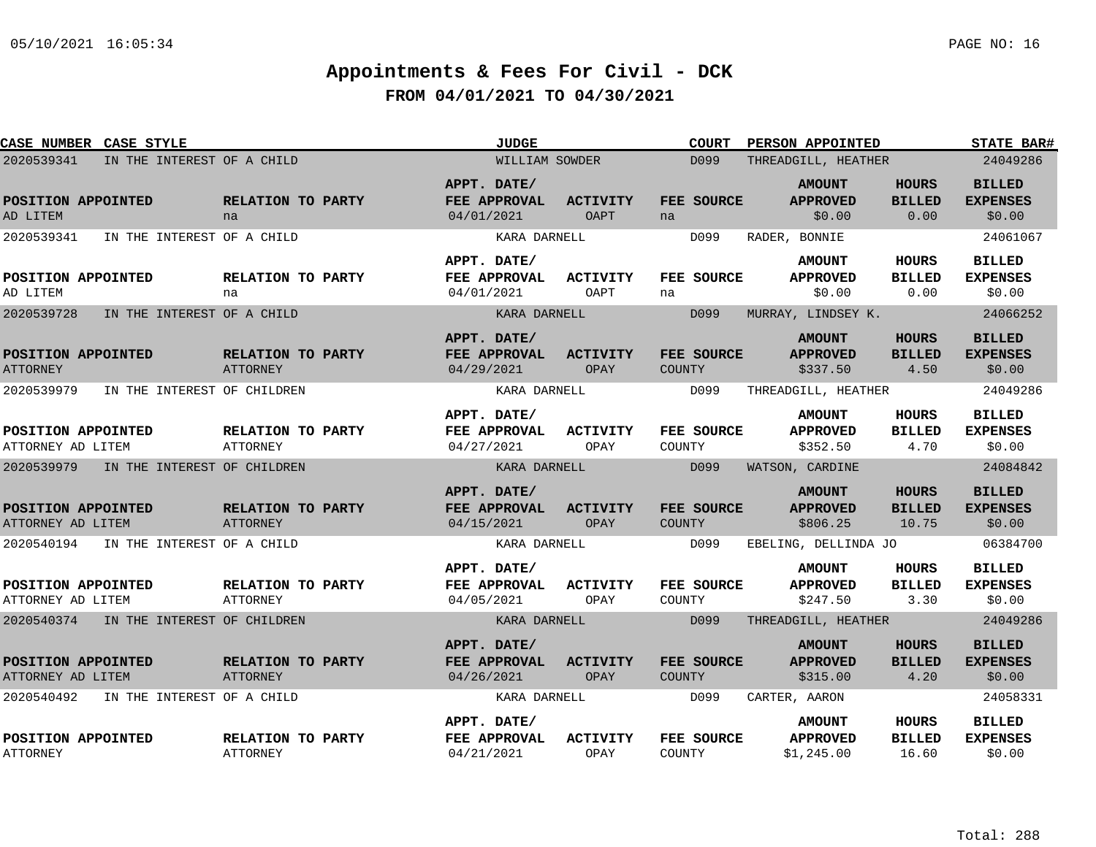| <b>CASE NUMBER CASE STYLE</b>                                                       |                                      | <b>JUDGE</b>                              |                                | <b>COURT</b>                 | <b>PERSON APPOINTED</b>                        |                                        | <b>STATE BAR#</b>                                      |
|-------------------------------------------------------------------------------------|--------------------------------------|-------------------------------------------|--------------------------------|------------------------------|------------------------------------------------|----------------------------------------|--------------------------------------------------------|
| 2020539341<br>IN THE INTEREST OF A CHILD                                            |                                      | WILLIAM SOWDER                            |                                | D <sub>099</sub>             | THREADGILL, HEATHER                            |                                        | 24049286                                               |
| POSITION APPOINTED<br>AD LITEM                                                      | RELATION TO PARTY<br>na              | APPT. DATE/<br>FEE APPROVAL<br>04/01/2021 | <b>ACTIVITY</b><br><b>OAPT</b> | FEE SOURCE<br>na             | <b>AMOUNT</b><br><b>APPROVED</b><br>\$0.00     | <b>HOURS</b><br><b>BILLED</b><br>0.00  | <b>BILLED</b><br><b>EXPENSES</b><br>\$0.00             |
| 2020539341<br>IN THE INTEREST OF A CHILD                                            |                                      | KARA DARNELL                              |                                | D099                         | RADER, BONNIE                                  |                                        | 24061067                                               |
| POSITION APPOINTED<br>AD LITEM                                                      | RELATION TO PARTY<br>na              | APPT. DATE/<br>FEE APPROVAL<br>04/01/2021 | <b>ACTIVITY</b><br><b>OAPT</b> | FEE SOURCE<br>na             | <b>AMOUNT</b><br><b>APPROVED</b><br>\$0.00     | HOURS<br><b>BILLED</b><br>0.00         | <b>BILLED</b><br><b>EXPENSES</b><br>\$0.00             |
| 2020539728<br>IN THE INTEREST OF A CHILD                                            |                                      | KARA DARNELL                              |                                | D099                         | MURRAY, LINDSEY K.                             |                                        | 24066252                                               |
| POSITION APPOINTED<br><b>ATTORNEY</b>                                               | RELATION TO PARTY<br>ATTORNEY        | APPT. DATE/<br>FEE APPROVAL<br>04/29/2021 | <b>ACTIVITY</b><br>OPAY        | FEE SOURCE<br><b>COUNTY</b>  | <b>AMOUNT</b><br><b>APPROVED</b><br>\$337.50   | <b>HOURS</b><br><b>BILLED</b><br>4.50  | <b>BILLED</b><br><b>EXPENSES</b><br>\$0.00             |
| 2020539979<br>IN THE INTEREST OF CHILDREN                                           |                                      | KARA DARNELL                              |                                | D099                         | THREADGILL, HEATHER                            |                                        | 24049286                                               |
| POSITION APPOINTED<br>ATTORNEY AD LITEM                                             | RELATION TO PARTY<br><b>ATTORNEY</b> | APPT. DATE/<br>FEE APPROVAL<br>04/27/2021 | ACTIVITY<br>OPAY               | FEE SOURCE<br>COUNTY         | <b>AMOUNT</b><br><b>APPROVED</b><br>\$352.50   | <b>HOURS</b><br><b>BILLED</b><br>4.70  | <b>BILLED</b><br><b>EXPENSES</b><br>\$0.00             |
| 2020539979<br>IN THE INTEREST OF CHILDREN                                           |                                      | KARA DARNELL                              |                                | D099                         | WATSON, CARDINE                                |                                        | 24084842                                               |
| POSITION APPOINTED<br>ATTORNEY AD LITEM<br>2020540194<br>IN THE INTEREST OF A CHILD | RELATION TO PARTY<br><b>ATTORNEY</b> | APPT. DATE/<br>FEE APPROVAL<br>04/15/2021 | <b>ACTIVITY</b><br>OPAY        | FEE SOURCE<br>COUNTY<br>D099 | <b>AMOUNT</b><br><b>APPROVED</b><br>\$806.25   | <b>HOURS</b><br><b>BILLED</b><br>10.75 | <b>BILLED</b><br><b>EXPENSES</b><br>\$0.00<br>06384700 |
|                                                                                     |                                      | KARA DARNELL                              |                                |                              | EBELING, DELLINDA JO                           |                                        |                                                        |
| POSITION APPOINTED<br>ATTORNEY AD LITEM                                             | RELATION TO PARTY<br>ATTORNEY        | APPT. DATE/<br>FEE APPROVAL<br>04/05/2021 | <b>ACTIVITY</b><br>OPAY        | FEE SOURCE<br>COUNTY         | <b>AMOUNT</b><br><b>APPROVED</b><br>\$247.50   | <b>HOURS</b><br><b>BILLED</b><br>3.30  | <b>BILLED</b><br><b>EXPENSES</b><br>\$0.00             |
| 2020540374 IN THE INTEREST OF CHILDREN                                              |                                      | KARA DARNELL                              |                                | D099                         | THREADGILL, HEATHER                            |                                        | 24049286                                               |
| POSITION APPOINTED<br>ATTORNEY AD LITEM                                             | RELATION TO PARTY<br>ATTORNEY        | APPT. DATE/<br>FEE APPROVAL<br>04/26/2021 | <b>ACTIVITY</b><br>OPAY        | FEE SOURCE<br><b>COUNTY</b>  | <b>AMOUNT</b><br><b>APPROVED</b><br>\$315.00   | <b>HOURS</b><br><b>BILLED</b><br>4.20  | <b>BILLED</b><br><b>EXPENSES</b><br>\$0.00             |
| 2020540492<br>IN THE INTEREST OF A CHILD                                            |                                      | KARA DARNELL                              |                                | D099                         | CARTER, AARON                                  |                                        | 24058331                                               |
| POSITION APPOINTED<br><b>ATTORNEY</b>                                               | RELATION TO PARTY<br><b>ATTORNEY</b> | APPT. DATE/<br>FEE APPROVAL<br>04/21/2021 | <b>ACTIVITY</b><br>OPAY        | FEE SOURCE<br>COUNTY         | <b>AMOUNT</b><br><b>APPROVED</b><br>\$1,245.00 | HOURS<br><b>BILLED</b><br>16.60        | <b>BILLED</b><br><b>EXPENSES</b><br>\$0.00             |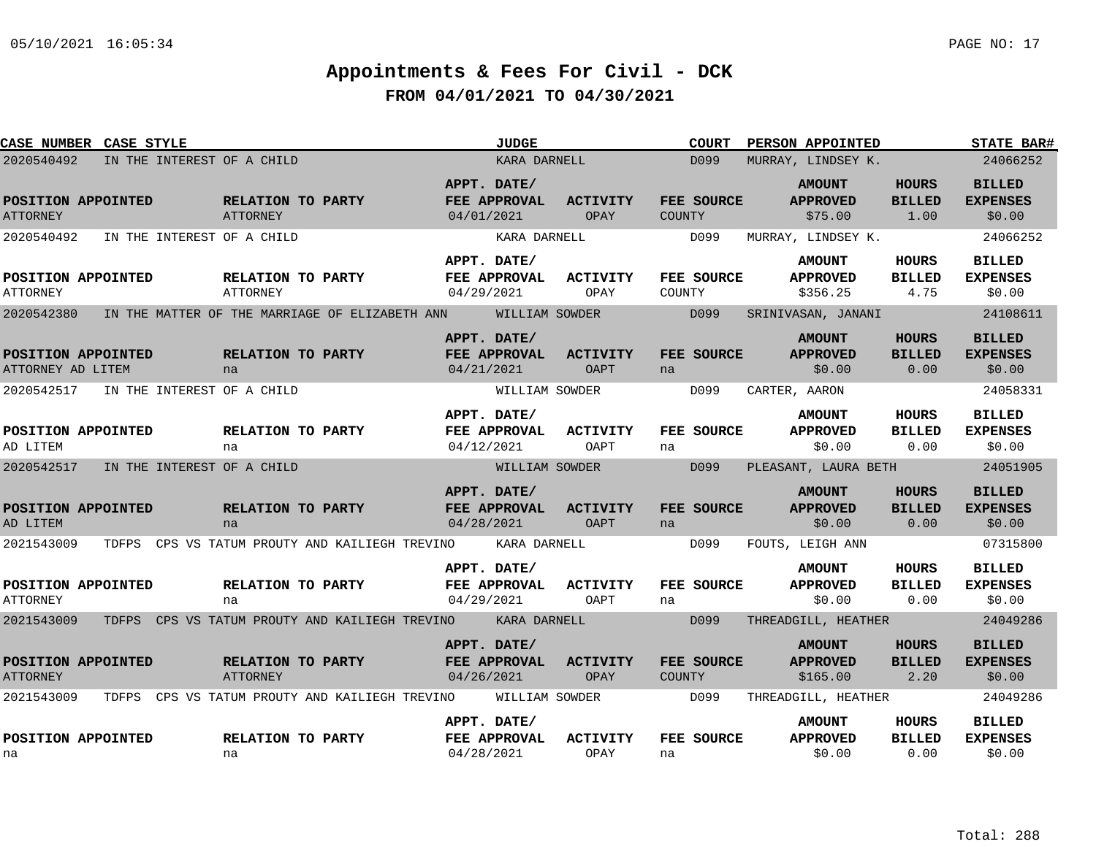| CASE NUMBER CASE STYLE                  |                                                             |                               |            | <b>JUDGE</b>                       |                                |               | <b>COURT</b>      |               | PERSON APPOINTED                             |                                       | <b>STATE BAR#</b>                          |
|-----------------------------------------|-------------------------------------------------------------|-------------------------------|------------|------------------------------------|--------------------------------|---------------|-------------------|---------------|----------------------------------------------|---------------------------------------|--------------------------------------------|
| 2020540492                              | IN THE INTEREST OF A CHILD                                  |                               |            | KARA DARNELL                       |                                |               | D099              |               | MURRAY, LINDSEY K.                           |                                       | 24066252                                   |
| POSITION APPOINTED<br><b>ATTORNEY</b>   |                                                             | RELATION TO PARTY<br>ATTORNEY | 04/01/2021 | APPT. DATE/<br>FEE APPROVAL        | <b>ACTIVITY</b><br>OPAY        | <b>COUNTY</b> | FEE SOURCE        |               | <b>AMOUNT</b><br><b>APPROVED</b><br>\$75.00  | <b>HOURS</b><br><b>BILLED</b><br>1.00 | <b>BILLED</b><br><b>EXPENSES</b><br>\$0.00 |
| 2020540492                              | IN THE INTEREST OF A CHILD                                  |                               |            | KARA DARNELL                       |                                |               | D099              |               | MURRAY, LINDSEY K.                           |                                       | 24066252                                   |
| POSITION APPOINTED<br><b>ATTORNEY</b>   |                                                             | RELATION TO PARTY<br>ATTORNEY | 04/29/2021 | APPT. DATE/<br>FEE APPROVAL        | <b>ACTIVITY</b><br>OPAY        | COUNTY        | FEE SOURCE        |               | <b>AMOUNT</b><br><b>APPROVED</b><br>\$356.25 | HOURS<br><b>BILLED</b><br>4.75        | <b>BILLED</b><br><b>EXPENSES</b><br>\$0.00 |
| 2020542380                              | IN THE MATTER OF THE MARRIAGE OF ELIZABETH ANN              |                               |            | WILLIAM SOWDER                     |                                |               | D099              |               | SRINIVASAN, JANANI                           |                                       | 24108611                                   |
| POSITION APPOINTED<br>ATTORNEY AD LITEM |                                                             | RELATION TO PARTY<br>na       | 04/21/2021 | APPT. DATE/<br>FEE APPROVAL        | <b>ACTIVITY</b><br><b>OAPT</b> | na            | FEE SOURCE        |               | <b>AMOUNT</b><br><b>APPROVED</b><br>\$0.00   | HOURS<br><b>BILLED</b><br>0.00        | <b>BILLED</b><br><b>EXPENSES</b><br>\$0.00 |
| 2020542517                              | IN THE INTEREST OF A CHILD                                  |                               |            | WILLIAM SOWDER                     |                                |               | D099              | CARTER, AARON |                                              |                                       | 24058331                                   |
| POSITION APPOINTED<br>AD LITEM          |                                                             | RELATION TO PARTY<br>na       | 04/12/2021 | APPT. DATE/<br><b>FEE APPROVAL</b> | ACTIVITY<br>OAPT               | na            | FEE SOURCE        |               | <b>AMOUNT</b><br><b>APPROVED</b><br>\$0.00   | <b>HOURS</b><br><b>BILLED</b><br>0.00 | <b>BILLED</b><br><b>EXPENSES</b><br>\$0.00 |
| 2020542517                              | IN THE INTEREST OF A CHILD                                  |                               |            | WILLIAM SOWDER                     |                                |               | D099              |               | PLEASANT, LAURA BETH                         |                                       | 24051905                                   |
| POSITION APPOINTED<br>AD LITEM          |                                                             | RELATION TO PARTY<br>na       | 04/28/2021 | APPT. DATE/<br>FEE APPROVAL        | <b>ACTIVITY</b><br><b>OAPT</b> | na            | <b>FEE SOURCE</b> |               | <b>AMOUNT</b><br><b>APPROVED</b><br>\$0.00   | <b>HOURS</b><br><b>BILLED</b><br>0.00 | <b>BILLED</b><br><b>EXPENSES</b><br>\$0.00 |
| 2021543009                              | TDFPS CPS VS TATUM PROUTY AND KAILIEGH TREVINO              |                               |            | KARA DARNELL                       |                                |               | D099              |               | FOUTS, LEIGH ANN                             |                                       | 07315800                                   |
| POSITION APPOINTED<br><b>ATTORNEY</b>   |                                                             | RELATION TO PARTY<br>na       | 04/29/2021 | APPT. DATE/<br>FEE APPROVAL        | <b>ACTIVITY</b><br>OAPT        | na            | FEE SOURCE        |               | <b>AMOUNT</b><br><b>APPROVED</b><br>\$0.00   | <b>HOURS</b><br><b>BILLED</b><br>0.00 | <b>BILLED</b><br><b>EXPENSES</b><br>\$0.00 |
| 2021543009                              | TDFPS CPS VS TATUM PROUTY AND KAILIEGH TREVINO KARA DARNELL |                               |            |                                    |                                |               | D099              |               | THREADGILL, HEATHER                          |                                       | 24049286                                   |
| POSITION APPOINTED<br><b>ATTORNEY</b>   |                                                             | RELATION TO PARTY<br>ATTORNEY | 04/26/2021 | APPT. DATE/<br>FEE APPROVAL        | <b>ACTIVITY</b><br>OPAY        | <b>COUNTY</b> | FEE SOURCE        |               | <b>AMOUNT</b><br><b>APPROVED</b><br>\$165.00 | <b>HOURS</b><br><b>BILLED</b><br>2.20 | <b>BILLED</b><br><b>EXPENSES</b><br>\$0.00 |
| 2021543009                              | TDFPS CPS VS TATUM PROUTY AND KAILIEGH TREVINO              |                               |            | WILLIAM SOWDER                     |                                | D099          |                   |               | THREADGILL, HEATHER                          |                                       | 24049286                                   |
| POSITION APPOINTED<br>na                |                                                             | RELATION TO PARTY<br>na       | 04/28/2021 | APPT. DATE/<br>FEE APPROVAL        | <b>ACTIVITY</b><br>OPAY        | na            | FEE SOURCE        |               | <b>AMOUNT</b><br><b>APPROVED</b><br>\$0.00   | HOURS<br><b>BILLED</b><br>0.00        | BILLED<br><b>EXPENSES</b><br>\$0.00        |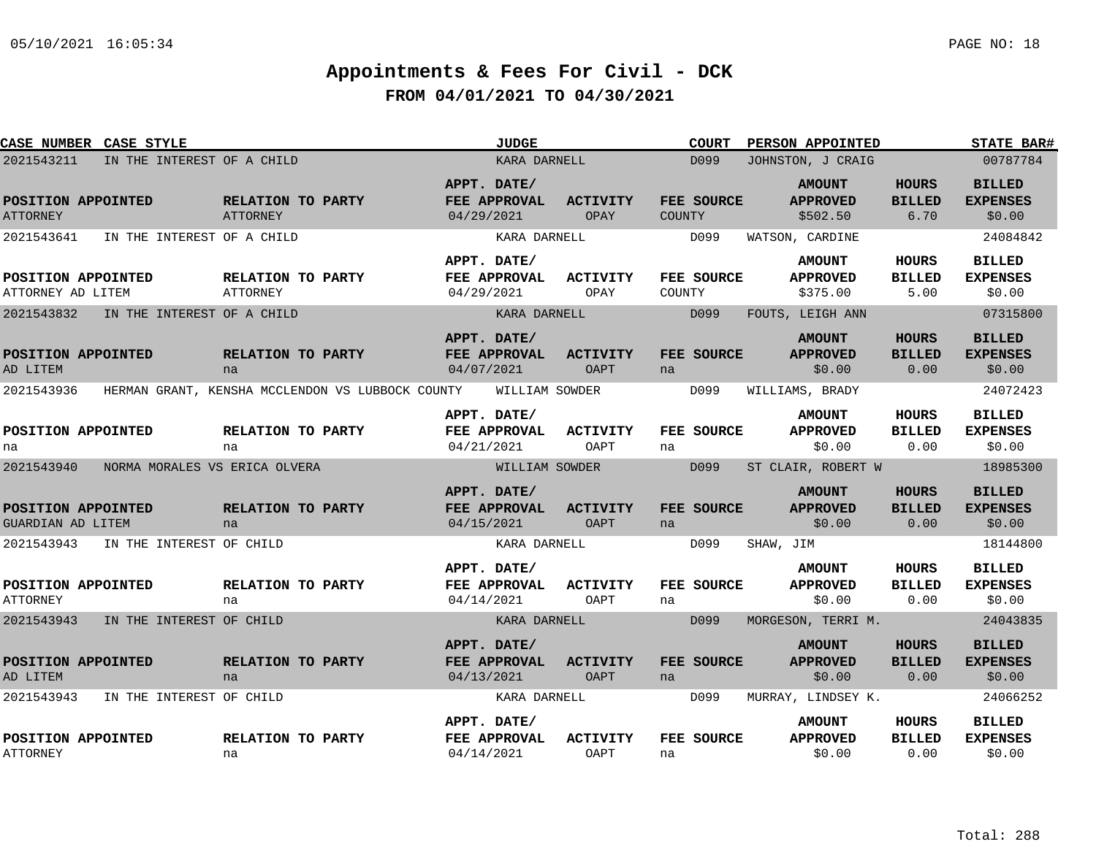| <b>CASE NUMBER CASE STYLE</b>                         |                               |                                      |                                                  |                           | <b>JUDGE</b>                 |                                |        | <b>COURT</b>       | PERSON APPOINTED                                        |                                       | <b>STATE BAR#</b>                                      |
|-------------------------------------------------------|-------------------------------|--------------------------------------|--------------------------------------------------|---------------------------|------------------------------|--------------------------------|--------|--------------------|---------------------------------------------------------|---------------------------------------|--------------------------------------------------------|
| 2021543211                                            | IN THE INTEREST OF A CHILD    |                                      |                                                  |                           | KARA DARNELL                 |                                |        | D <sub>099</sub>   | JOHNSTON, J CRAIG                                       |                                       | 00787784                                               |
| POSITION APPOINTED<br><b>ATTORNEY</b>                 |                               | RELATION TO PARTY<br><b>ATTORNEY</b> |                                                  | APPT. DATE/<br>04/29/2021 | FEE APPROVAL                 | ACTIVITY<br>OPAY               | COUNTY | FEE SOURCE         | <b>AMOUNT</b><br><b>APPROVED</b><br>\$502.50            | <b>HOURS</b><br><b>BILLED</b><br>6.70 | <b>BILLED</b><br><b>EXPENSES</b><br>\$0.00             |
| 2021543641                                            | IN THE INTEREST OF A CHILD    |                                      |                                                  |                           | KARA DARNELL                 |                                |        | D099               | WATSON, CARDINE                                         |                                       | 24084842                                               |
| POSITION APPOINTED<br>ATTORNEY AD LITEM               |                               | RELATION TO PARTY<br>ATTORNEY        |                                                  | APPT. DATE/<br>04/29/2021 | FEE APPROVAL                 | <b>ACTIVITY</b><br>OPAY        | COUNTY | <b>FEE SOURCE</b>  | <b>AMOUNT</b><br><b>APPROVED</b><br>\$375.00            | HOURS<br><b>BILLED</b><br>5.00        | <b>BILLED</b><br><b>EXPENSES</b><br>\$0.00             |
| 2021543832                                            | IN THE INTEREST OF A CHILD    |                                      |                                                  |                           | KARA DARNELL                 |                                |        | D099               | FOUTS, LEIGH ANN                                        |                                       | 07315800                                               |
| POSITION APPOINTED<br>AD LITEM                        |                               | RELATION TO PARTY<br>na              |                                                  | APPT. DATE/<br>04/07/2021 | FEE APPROVAL                 | <b>ACTIVITY</b><br><b>OAPT</b> | na     | FEE SOURCE         | <b>AMOUNT</b><br><b>APPROVED</b><br>\$0.00              | <b>HOURS</b><br><b>BILLED</b><br>0.00 | <b>BILLED</b><br><b>EXPENSES</b><br>\$0.00             |
| 2021543936                                            |                               |                                      | HERMAN GRANT, KENSHA MCCLENDON VS LUBBOCK COUNTY |                           | WILLIAM SOWDER               |                                |        | D099               | WILLIAMS, BRADY                                         |                                       | 24072423                                               |
| POSITION APPOINTED<br>na                              |                               | RELATION TO PARTY<br>na              |                                                  | APPT. DATE/<br>04/21/2021 | FEE APPROVAL                 | <b>ACTIVITY</b><br>OAPT        | na     | FEE SOURCE         | <b>AMOUNT</b><br><b>APPROVED</b><br>\$0.00              | <b>HOURS</b><br><b>BILLED</b><br>0.00 | <b>BILLED</b><br><b>EXPENSES</b><br>\$0.00             |
| 2021543940                                            | NORMA MORALES VS ERICA OLVERA |                                      |                                                  |                           | WILLIAM SOWDER               |                                |        | D099               | ST CLAIR, ROBERT W                                      |                                       | 18985300                                               |
| POSITION APPOINTED<br>GUARDIAN AD LITEM<br>2021543943 | IN THE INTEREST OF CHILD      | RELATION TO PARTY<br>na              |                                                  | APPT. DATE/<br>04/15/2021 | FEE APPROVAL<br>KARA DARNELL | <b>ACTIVITY</b><br><b>OAPT</b> | na     | FEE SOURCE<br>D099 | <b>AMOUNT</b><br><b>APPROVED</b><br>\$0.00<br>SHAW, JIM | <b>HOURS</b><br><b>BILLED</b><br>0.00 | <b>BILLED</b><br><b>EXPENSES</b><br>\$0.00<br>18144800 |
| POSITION APPOINTED<br><b>ATTORNEY</b>                 |                               | RELATION TO PARTY<br>na              |                                                  | APPT. DATE/<br>04/14/2021 | FEE APPROVAL                 | <b>ACTIVITY</b><br>OAPT        | na     | FEE SOURCE         | <b>AMOUNT</b><br><b>APPROVED</b><br>\$0.00              | HOURS<br><b>BILLED</b><br>0.00        | <b>BILLED</b><br><b>EXPENSES</b><br>\$0.00             |
| 2021543943                                            | IN THE INTEREST OF CHILD      |                                      |                                                  |                           | KARA DARNELL                 |                                |        | D099               | MORGESON, TERRI M.                                      |                                       | 24043835                                               |
| POSITION APPOINTED<br>AD LITEM                        |                               | RELATION TO PARTY<br>na              |                                                  | APPT. DATE/<br>04/13/2021 | FEE APPROVAL                 | <b>ACTIVITY</b><br>OAPT        | na     | FEE SOURCE         | <b>AMOUNT</b><br><b>APPROVED</b><br>\$0.00              | <b>HOURS</b><br><b>BILLED</b><br>0.00 | <b>BILLED</b><br><b>EXPENSES</b><br>\$0.00             |
| 2021543943                                            | IN THE INTEREST OF CHILD      |                                      |                                                  |                           | KARA DARNELL                 |                                |        | D099               | MURRAY, LINDSEY K.                                      |                                       | 24066252                                               |
| POSITION APPOINTED<br><b>ATTORNEY</b>                 |                               | RELATION TO PARTY<br>na              |                                                  | APPT. DATE/<br>04/14/2021 | FEE APPROVAL                 | <b>ACTIVITY</b><br>OAPT        | na     | FEE SOURCE         | <b>AMOUNT</b><br><b>APPROVED</b><br>\$0.00              | HOURS<br><b>BILLED</b><br>0.00        | <b>BILLED</b><br><b>EXPENSES</b><br>\$0.00             |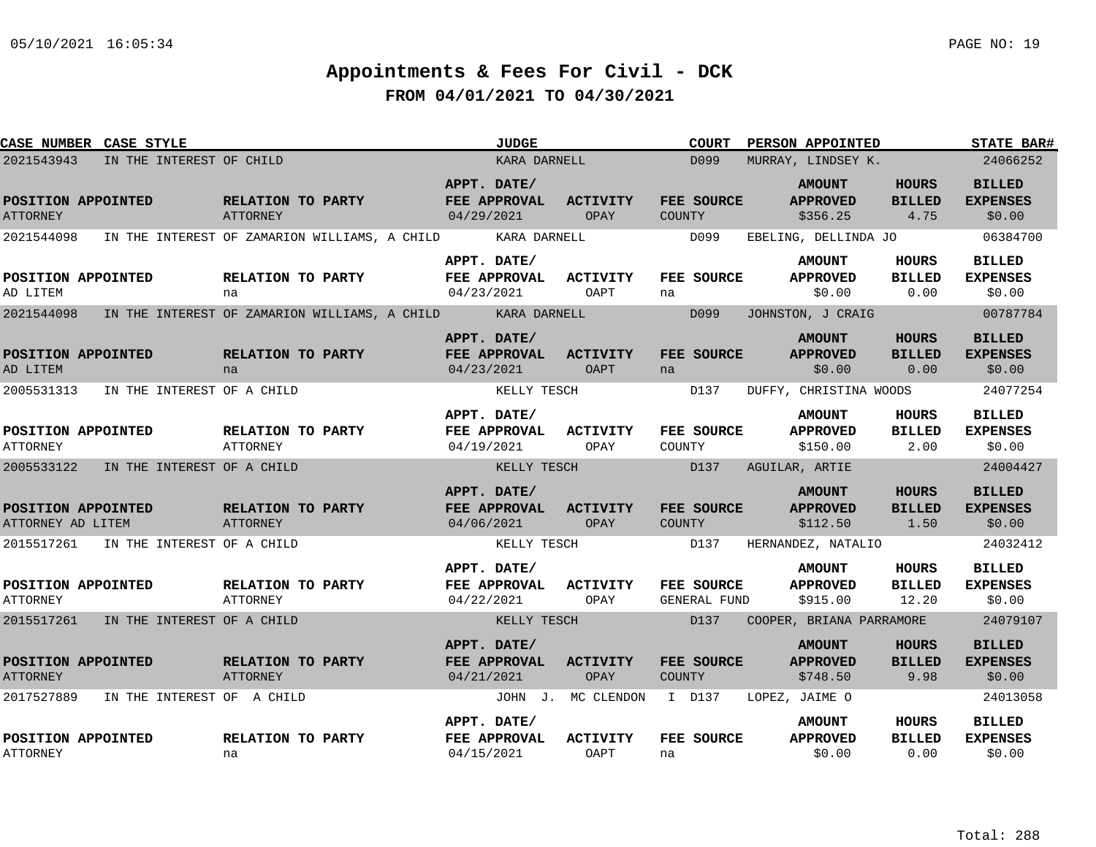| <b>CASE NUMBER CASE STYLE</b>           |                                       |                                                            | <b>JUDGE</b>                                     |                           | <b>COURT</b>                               | PERSON APPOINTED                             |                                       | <b>STATE BAR#</b>                          |
|-----------------------------------------|---------------------------------------|------------------------------------------------------------|--------------------------------------------------|---------------------------|--------------------------------------------|----------------------------------------------|---------------------------------------|--------------------------------------------|
| 2021543943                              | IN THE INTEREST OF CHILD              |                                                            | KARA DARNELL                                     |                           | D <sub>099</sub>                           | MURRAY, LINDSEY K.                           |                                       | 24066252                                   |
| POSITION APPOINTED<br><b>ATTORNEY</b>   |                                       | <b>RELATION TO PARTY</b><br>ATTORNEY                       | APPT. DATE/<br><b>FEE APPROVAL</b><br>04/29/2021 | ACTIVITY<br>OPAY          | FEE SOURCE<br>COUNTY                       | <b>AMOUNT</b><br><b>APPROVED</b><br>\$356.25 | HOURS<br><b>BILLED</b><br>4.75        | <b>BILLED</b><br><b>EXPENSES</b><br>\$0.00 |
| 2021544098                              |                                       | IN THE INTEREST OF ZAMARION WILLIAMS, A CHILD              | KARA DARNELL                                     |                           | D099                                       | EBELING, DELLINDA JO                         |                                       | 06384700                                   |
| POSITION APPOINTED<br>AD LITEM          |                                       | RELATION TO PARTY<br>na                                    | APPT. DATE/<br>FEE APPROVAL<br>04/23/2021        | <b>ACTIVITY</b><br>OAPT   | <b>FEE SOURCE</b><br>na                    | <b>AMOUNT</b><br><b>APPROVED</b><br>\$0.00   | HOURS<br><b>BILLED</b><br>0.00        | <b>BILLED</b><br><b>EXPENSES</b><br>\$0.00 |
| 2021544098                              |                                       | IN THE INTEREST OF ZAMARION WILLIAMS, A CHILD ARRA DARNELL |                                                  |                           | D099                                       | JOHNSTON, J CRAIG                            |                                       | 00787784                                   |
| POSITION APPOINTED<br>AD LITEM          |                                       | RELATION TO PARTY<br>na                                    | APPT. DATE/<br>FEE APPROVAL<br>04/23/2021        | ACTIVITY<br>OAPT          | FEE SOURCE<br>na                           | <b>AMOUNT</b><br><b>APPROVED</b><br>\$0.00   | <b>HOURS</b><br><b>BILLED</b><br>0.00 | <b>BILLED</b><br><b>EXPENSES</b><br>\$0.00 |
| 2005531313                              | IN THE INTEREST OF A CHILD            |                                                            | KELLY TESCH                                      |                           | D137                                       | DUFFY, CHRISTINA WOODS                       |                                       | 24077254                                   |
| POSITION APPOINTED<br><b>ATTORNEY</b>   |                                       | RELATION TO PARTY<br><b>ATTORNEY</b>                       | APPT. DATE/<br>FEE APPROVAL<br>04/19/2021        | <b>ACTIVITY</b><br>OPAY   | FEE SOURCE<br>COUNTY                       | <b>AMOUNT</b><br><b>APPROVED</b><br>\$150.00 | HOURS<br><b>BILLED</b><br>2.00        | <b>BILLED</b><br><b>EXPENSES</b><br>\$0.00 |
| 2005533122                              | IN THE INTEREST OF A CHILD            |                                                            | KELLY TESCH                                      |                           | D137                                       | AGUILAR, ARTIE                               |                                       | 24004427                                   |
| POSITION APPOINTED<br>ATTORNEY AD LITEM |                                       | RELATION TO PARTY<br>ATTORNEY                              | APPT. DATE/<br>FEE APPROVAL<br>04/06/2021        | <b>ACTIVITY</b><br>OPAY   | <b>FEE SOURCE</b><br><b>COUNTY</b><br>D137 | <b>AMOUNT</b><br><b>APPROVED</b><br>\$112.50 | <b>HOURS</b><br><b>BILLED</b><br>1.50 | <b>BILLED</b><br><b>EXPENSES</b><br>\$0.00 |
|                                         | 2015517261 IN THE INTEREST OF A CHILD |                                                            | KELLY TESCH                                      |                           |                                            | HERNANDEZ, NATALIO                           |                                       | 24032412                                   |
| POSITION APPOINTED<br><b>ATTORNEY</b>   |                                       | RELATION TO PARTY<br>ATTORNEY                              | APPT. DATE/<br>FEE APPROVAL<br>04/22/2021        | <b>ACTIVITY</b><br>OPAY   | <b>FEE SOURCE</b><br>GENERAL FUND          | <b>AMOUNT</b><br><b>APPROVED</b><br>\$915.00 | HOURS<br><b>BILLED</b><br>12.20       | <b>BILLED</b><br><b>EXPENSES</b><br>\$0.00 |
|                                         | 2015517261 IN THE INTEREST OF A CHILD |                                                            | KELLY TESCH                                      |                           | D <sub>137</sub>                           | COOPER, BRIANA PARRAMORE                     |                                       | 24079107                                   |
| POSITION APPOINTED<br><b>ATTORNEY</b>   |                                       | RELATION TO PARTY<br>ATTORNEY                              | APPT. DATE/<br>FEE APPROVAL<br>04/21/2021        | <b>ACTIVITY</b><br>OPAY   | FEE SOURCE<br>COUNTY                       | <b>AMOUNT</b><br><b>APPROVED</b><br>\$748.50 | <b>HOURS</b><br><b>BILLED</b><br>9.98 | <b>BILLED</b><br><b>EXPENSES</b><br>\$0.00 |
| 2017527889                              | IN THE INTEREST OF A CHILD            |                                                            |                                                  | JOHN J. MC CLENDON I D137 |                                            | LOPEZ, JAIME O                               |                                       | 24013058                                   |
| POSITION APPOINTED<br><b>ATTORNEY</b>   |                                       | RELATION TO PARTY<br>na                                    | APPT. DATE/<br>FEE APPROVAL<br>04/15/2021        | <b>ACTIVITY</b><br>OAPT   | FEE SOURCE<br>na                           | <b>AMOUNT</b><br><b>APPROVED</b><br>\$0.00   | HOURS<br><b>BILLED</b><br>0.00        | <b>BILLED</b><br><b>EXPENSES</b><br>\$0.00 |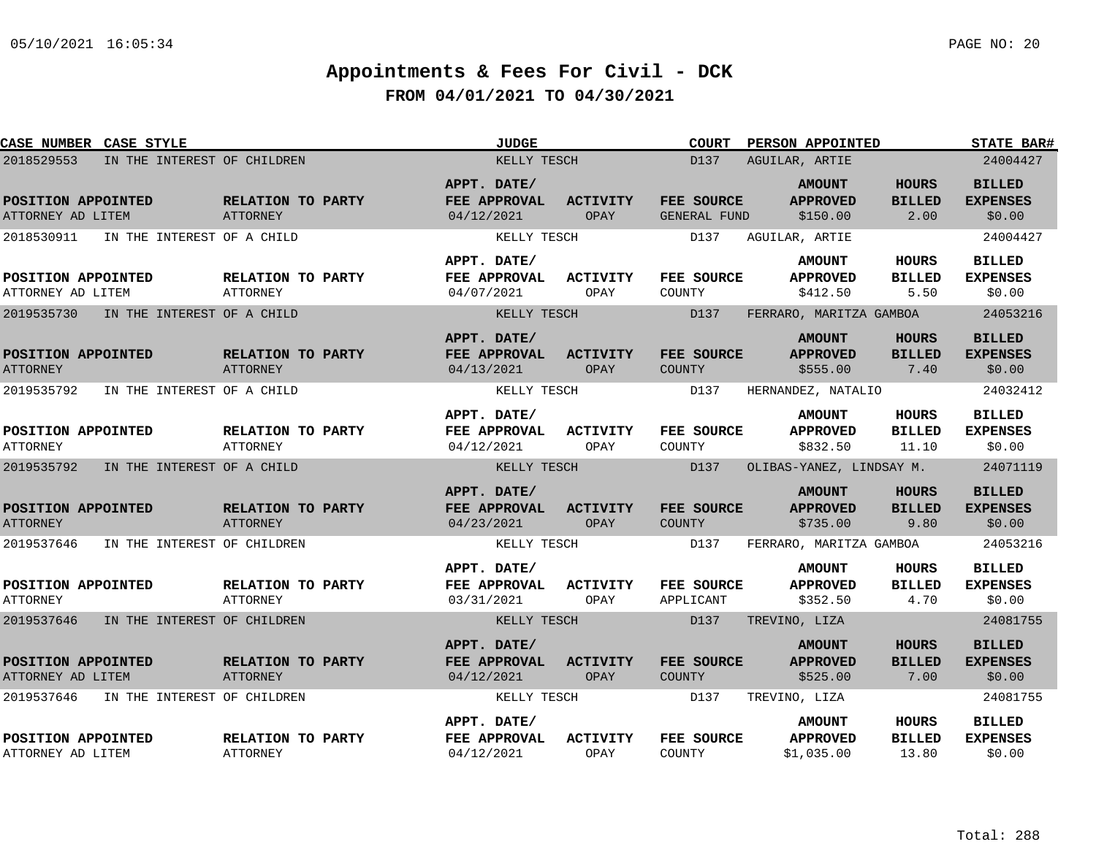| CASE NUMBER CASE STYLE                  |                             |                                      | <b>JUDGE</b>                              |                         | <b>COURT</b>                | PERSON APPOINTED                               |                                        | <b>STATE BAR#</b>                          |
|-----------------------------------------|-----------------------------|--------------------------------------|-------------------------------------------|-------------------------|-----------------------------|------------------------------------------------|----------------------------------------|--------------------------------------------|
| 2018529553                              | IN THE INTEREST OF CHILDREN |                                      | KELLY TESCH                               |                         | D137                        | AGUILAR, ARTIE                                 |                                        | 24004427                                   |
| POSITION APPOINTED<br>ATTORNEY AD LITEM |                             | RELATION TO PARTY<br>ATTORNEY        | APPT. DATE/<br>FEE APPROVAL<br>04/12/2021 | <b>ACTIVITY</b><br>OPAY | FEE SOURCE<br>GENERAL FUND  | <b>AMOUNT</b><br><b>APPROVED</b><br>\$150.00   | <b>HOURS</b><br><b>BILLED</b><br>2.00  | <b>BILLED</b><br><b>EXPENSES</b><br>\$0.00 |
| 2018530911                              | IN THE INTEREST OF A CHILD  |                                      | KELLY TESCH                               |                         | D137                        | AGUILAR, ARTIE                                 |                                        | 24004427                                   |
| POSITION APPOINTED<br>ATTORNEY AD LITEM |                             | RELATION TO PARTY<br><b>ATTORNEY</b> | APPT. DATE/<br>FEE APPROVAL<br>04/07/2021 | <b>ACTIVITY</b><br>OPAY | FEE SOURCE<br>COUNTY        | <b>AMOUNT</b><br><b>APPROVED</b><br>\$412.50   | HOURS<br><b>BILLED</b><br>5.50         | <b>BILLED</b><br><b>EXPENSES</b><br>\$0.00 |
| 2019535730                              | IN THE INTEREST OF A CHILD  |                                      | KELLY TESCH                               |                         | D137                        | FERRARO, MARITZA GAMBOA                        |                                        | 24053216                                   |
| POSITION APPOINTED<br><b>ATTORNEY</b>   |                             | RELATION TO PARTY<br><b>ATTORNEY</b> | APPT. DATE/<br>FEE APPROVAL<br>04/13/2021 | <b>ACTIVITY</b><br>OPAY | FEE SOURCE<br><b>COUNTY</b> | <b>AMOUNT</b><br><b>APPROVED</b><br>\$555.00   | <b>HOURS</b><br><b>BILLED</b><br>7.40  | <b>BILLED</b><br><b>EXPENSES</b><br>\$0.00 |
| 2019535792                              | IN THE INTEREST OF A CHILD  |                                      | KELLY TESCH                               |                         | D137                        | HERNANDEZ, NATALIO                             |                                        | 24032412                                   |
| POSITION APPOINTED<br><b>ATTORNEY</b>   |                             | RELATION TO PARTY<br><b>ATTORNEY</b> | APPT. DATE/<br>FEE APPROVAL<br>04/12/2021 | <b>ACTIVITY</b><br>OPAY | FEE SOURCE<br>COUNTY        | <b>AMOUNT</b><br><b>APPROVED</b><br>\$832.50   | <b>HOURS</b><br><b>BILLED</b><br>11.10 | <b>BILLED</b><br><b>EXPENSES</b><br>\$0.00 |
| 2019535792                              | IN THE INTEREST OF A CHILD  |                                      | KELLY TESCH                               |                         | D137                        | OLIBAS-YANEZ, LINDSAY M.                       |                                        | 24071119                                   |
| POSITION APPOINTED<br><b>ATTORNEY</b>   |                             | RELATION TO PARTY<br><b>ATTORNEY</b> | APPT. DATE/<br>FEE APPROVAL<br>04/23/2021 | <b>ACTIVITY</b><br>OPAY | FEE SOURCE<br>COUNTY        | <b>AMOUNT</b><br><b>APPROVED</b><br>\$735.00   | <b>HOURS</b><br><b>BILLED</b><br>9.80  | <b>BILLED</b><br><b>EXPENSES</b><br>\$0.00 |
| 2019537646                              | IN THE INTEREST OF CHILDREN |                                      | KELLY TESCH                               |                         | D137                        | FERRARO, MARITZA GAMBOA                        |                                        | 24053216                                   |
| POSITION APPOINTED<br><b>ATTORNEY</b>   |                             | RELATION TO PARTY<br>ATTORNEY        | APPT. DATE/<br>FEE APPROVAL<br>03/31/2021 | <b>ACTIVITY</b><br>OPAY | FEE SOURCE<br>APPLICANT     | <b>AMOUNT</b><br><b>APPROVED</b><br>\$352.50   | <b>HOURS</b><br><b>BILLED</b><br>4.70  | <b>BILLED</b><br><b>EXPENSES</b><br>\$0.00 |
| 2019537646                              | IN THE INTEREST OF CHILDREN |                                      | KELLY TESCH                               |                         | D137                        | TREVINO, LIZA                                  |                                        | 24081755                                   |
| POSITION APPOINTED<br>ATTORNEY AD LITEM |                             | RELATION TO PARTY<br><b>ATTORNEY</b> | APPT. DATE/<br>FEE APPROVAL<br>04/12/2021 | <b>ACTIVITY</b><br>OPAY | FEE SOURCE<br>COUNTY        | <b>AMOUNT</b><br><b>APPROVED</b><br>\$525.00   | <b>HOURS</b><br><b>BILLED</b><br>7.00  | <b>BILLED</b><br><b>EXPENSES</b><br>\$0.00 |
| 2019537646                              | IN THE INTEREST OF CHILDREN |                                      | KELLY TESCH                               |                         | D137                        | TREVINO, LIZA                                  |                                        | 24081755                                   |
| POSITION APPOINTED<br>ATTORNEY AD LITEM |                             | RELATION TO PARTY<br><b>ATTORNEY</b> | APPT. DATE/<br>FEE APPROVAL<br>04/12/2021 | <b>ACTIVITY</b><br>OPAY | FEE SOURCE<br>COUNTY        | <b>AMOUNT</b><br><b>APPROVED</b><br>\$1.035.00 | HOURS<br><b>BILLED</b><br>13.80        | <b>BILLED</b><br><b>EXPENSES</b><br>\$0.00 |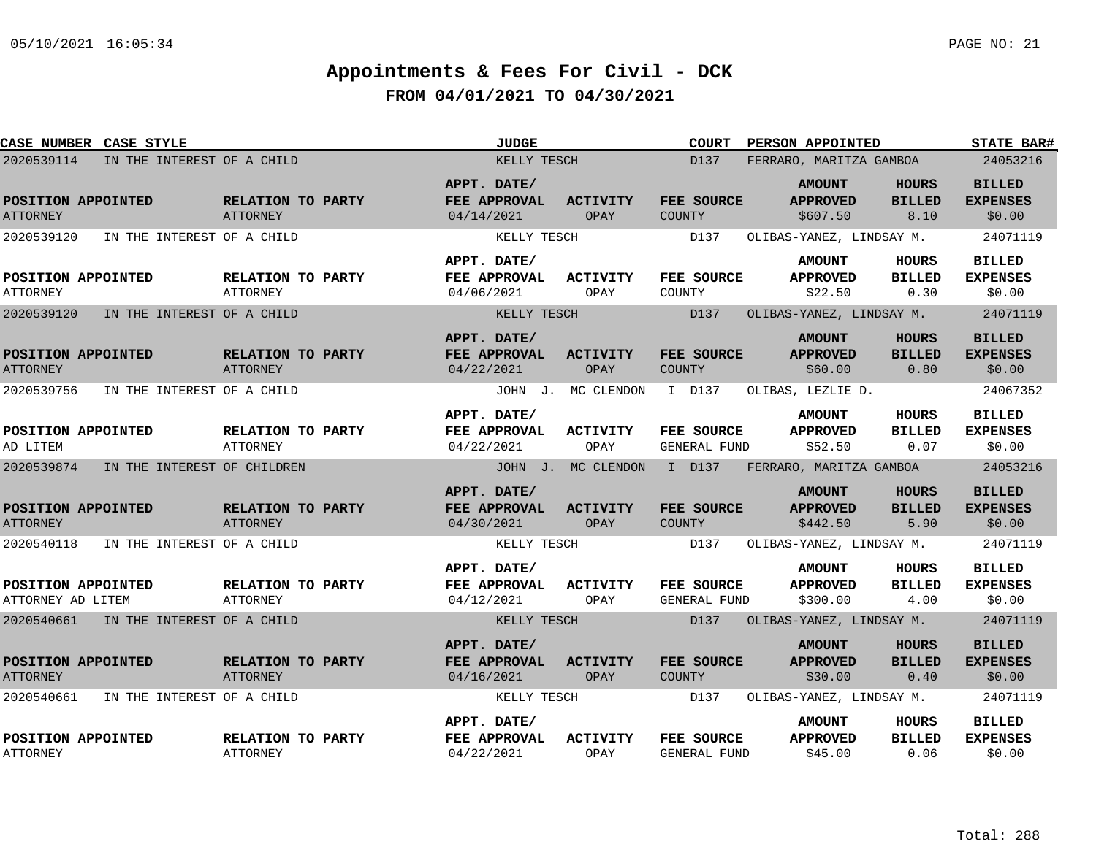| <b>CASE NUMBER CASE STYLE</b>           |                                       |                                      | <b>JUDGE</b>                              |                         | <b>COURT</b>                | PERSON APPOINTED                             |                                       | <b>STATE BAR#</b>                          |
|-----------------------------------------|---------------------------------------|--------------------------------------|-------------------------------------------|-------------------------|-----------------------------|----------------------------------------------|---------------------------------------|--------------------------------------------|
| 2020539114                              | IN THE INTEREST OF A CHILD            |                                      | KELLY TESCH                               |                         | D137                        | FERRARO, MARITZA GAMBOA                      |                                       | 24053216                                   |
| POSITION APPOINTED<br><b>ATTORNEY</b>   |                                       | RELATION TO PARTY<br><b>ATTORNEY</b> | APPT. DATE/<br>FEE APPROVAL<br>04/14/2021 | <b>ACTIVITY</b><br>OPAY | FEE SOURCE<br>COUNTY        | <b>AMOUNT</b><br><b>APPROVED</b><br>\$607.50 | HOURS<br><b>BILLED</b><br>8.10        | <b>BILLED</b><br><b>EXPENSES</b><br>\$0.00 |
| 2020539120                              | IN THE INTEREST OF A CHILD            |                                      | KELLY TESCH                               |                         | D137                        | OLIBAS-YANEZ, LINDSAY M.                     |                                       | 24071119                                   |
| POSITION APPOINTED<br><b>ATTORNEY</b>   |                                       | RELATION TO PARTY<br><b>ATTORNEY</b> | APPT. DATE/<br>FEE APPROVAL<br>04/06/2021 | <b>ACTIVITY</b><br>OPAY | FEE SOURCE<br>COUNTY        | <b>AMOUNT</b><br><b>APPROVED</b><br>\$22.50  | HOURS<br><b>BILLED</b><br>0.30        | <b>BILLED</b><br><b>EXPENSES</b><br>\$0.00 |
| 2020539120                              | IN THE INTEREST OF A CHILD            |                                      | KELLY TESCH                               |                         | D137                        | OLIBAS-YANEZ, LINDSAY M.                     |                                       | 24071119                                   |
| POSITION APPOINTED<br><b>ATTORNEY</b>   |                                       | RELATION TO PARTY<br><b>ATTORNEY</b> | APPT. DATE/<br>FEE APPROVAL<br>04/22/2021 | <b>ACTIVITY</b><br>OPAY | FEE SOURCE<br><b>COUNTY</b> | <b>AMOUNT</b><br><b>APPROVED</b><br>\$60.00  | HOURS<br><b>BILLED</b><br>0.80        | <b>BILLED</b><br><b>EXPENSES</b><br>\$0.00 |
| 2020539756                              | IN THE INTEREST OF A CHILD            |                                      |                                           | JOHN J. MC CLENDON      | I D137                      | OLIBAS, LEZLIE D.                            |                                       | 24067352                                   |
| POSITION APPOINTED<br>AD LITEM          |                                       | RELATION TO PARTY<br><b>ATTORNEY</b> | APPT. DATE/<br>FEE APPROVAL<br>04/22/2021 | <b>ACTIVITY</b><br>OPAY | FEE SOURCE<br>GENERAL FUND  | <b>AMOUNT</b><br><b>APPROVED</b><br>\$52.50  | HOURS<br><b>BILLED</b><br>0.07        | <b>BILLED</b><br><b>EXPENSES</b><br>\$0.00 |
| 2020539874                              | IN THE INTEREST OF CHILDREN           |                                      |                                           | JOHN J. MC CLENDON      | I D137                      | FERRARO, MARITZA GAMBOA                      |                                       | 24053216                                   |
| POSITION APPOINTED<br><b>ATTORNEY</b>   |                                       | RELATION TO PARTY<br><b>ATTORNEY</b> | APPT. DATE/<br>FEE APPROVAL<br>04/30/2021 | <b>ACTIVITY</b><br>OPAY | FEE SOURCE<br><b>COUNTY</b> | <b>AMOUNT</b><br><b>APPROVED</b><br>\$442.50 | <b>HOURS</b><br><b>BILLED</b><br>5.90 | <b>BILLED</b><br><b>EXPENSES</b><br>\$0.00 |
| 2020540118                              | IN THE INTEREST OF A CHILD            |                                      | KELLY TESCH                               |                         | D137                        | OLIBAS-YANEZ, LINDSAY M.                     |                                       | 24071119                                   |
| POSITION APPOINTED<br>ATTORNEY AD LITEM |                                       | RELATION TO PARTY<br>ATTORNEY        | APPT. DATE/<br>FEE APPROVAL<br>04/12/2021 | <b>ACTIVITY</b><br>OPAY | FEE SOURCE<br>GENERAL FUND  | <b>AMOUNT</b><br><b>APPROVED</b><br>\$300.00 | HOURS<br><b>BILLED</b><br>4.00        | <b>BILLED</b><br><b>EXPENSES</b><br>\$0.00 |
|                                         | 2020540661 IN THE INTEREST OF A CHILD |                                      | KELLY TESCH                               |                         | D137                        | OLIBAS-YANEZ, LINDSAY M.                     |                                       | 24071119                                   |
| POSITION APPOINTED<br><b>ATTORNEY</b>   |                                       | RELATION TO PARTY<br><b>ATTORNEY</b> | APPT. DATE/<br>FEE APPROVAL<br>04/16/2021 | <b>ACTIVITY</b><br>OPAY | FEE SOURCE<br><b>COUNTY</b> | <b>AMOUNT</b><br><b>APPROVED</b><br>\$30.00  | <b>HOURS</b><br><b>BILLED</b><br>0.40 | <b>BILLED</b><br><b>EXPENSES</b><br>\$0.00 |
| 2020540661                              | IN THE INTEREST OF A CHILD            |                                      | KELLY TESCH                               |                         | D137                        | OLIBAS-YANEZ, LINDSAY M.                     |                                       | 24071119                                   |
| POSITION APPOINTED<br><b>ATTORNEY</b>   |                                       | RELATION TO PARTY<br>ATTORNEY        | APPT. DATE/<br>FEE APPROVAL<br>04/22/2021 | <b>ACTIVITY</b><br>OPAY | FEE SOURCE<br>GENERAL FUND  | <b>AMOUNT</b><br><b>APPROVED</b><br>\$45.00  | HOURS<br><b>BILLED</b><br>0.06        | <b>BILLED</b><br><b>EXPENSES</b><br>\$0.00 |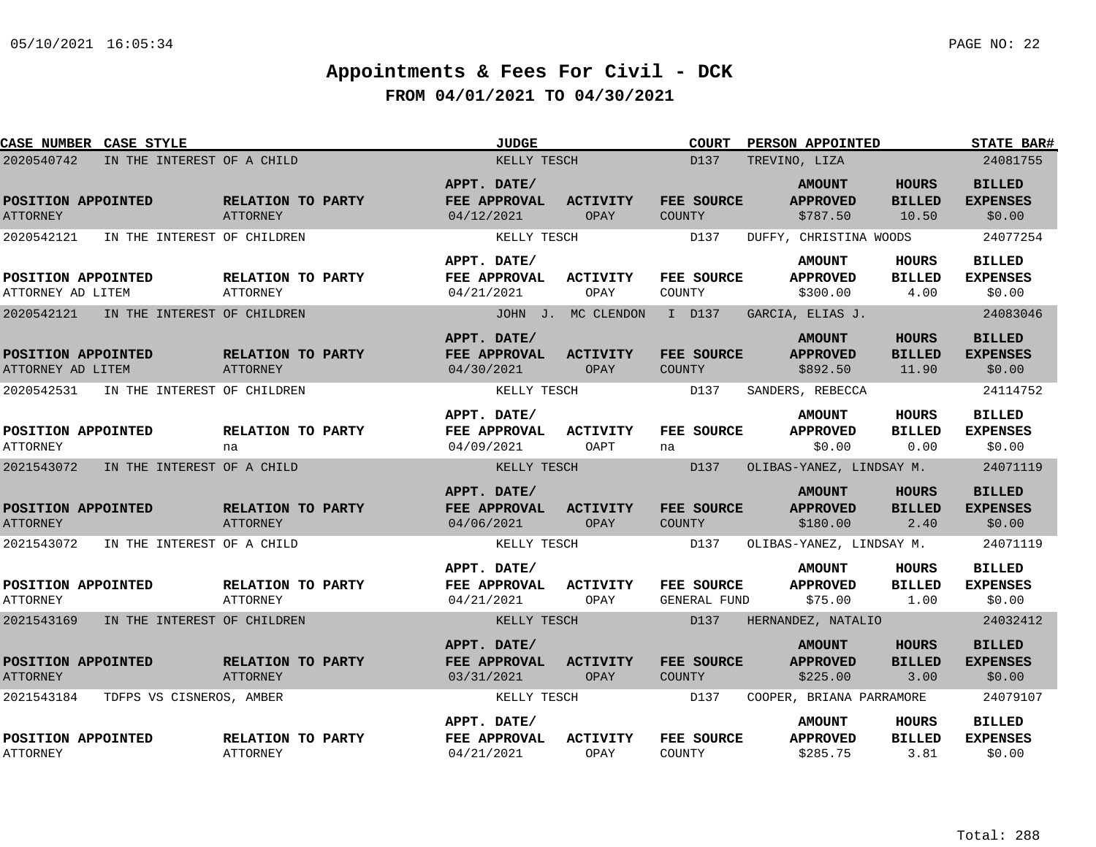| CASE NUMBER CASE STYLE                    |                                      | <b>JUDGE</b>                              |                                | <b>COURT</b>                       | PERSON APPOINTED                             |                                        | <b>STATE BAR#</b>                          |
|-------------------------------------------|--------------------------------------|-------------------------------------------|--------------------------------|------------------------------------|----------------------------------------------|----------------------------------------|--------------------------------------------|
| 2020540742<br>IN THE INTEREST OF A CHILD  |                                      | KELLY TESCH                               |                                | D137<br>TREVINO, LIZA              |                                              | 24081755                               |                                            |
| POSITION APPOINTED<br><b>ATTORNEY</b>     | RELATION TO PARTY<br>ATTORNEY        | APPT. DATE/<br>FEE APPROVAL<br>04/12/2021 | <b>ACTIVITY</b><br><b>OPAY</b> | FEE SOURCE<br><b>COUNTY</b>        | <b>AMOUNT</b><br><b>APPROVED</b><br>\$787.50 | <b>HOURS</b><br><b>BILLED</b><br>10.50 | <b>BILLED</b><br><b>EXPENSES</b><br>\$0.00 |
| 2020542121<br>IN THE INTEREST OF CHILDREN |                                      | KELLY TESCH                               |                                | D137                               | DUFFY, CHRISTINA WOODS                       |                                        | 24077254                                   |
|                                           |                                      | APPT. DATE/                               |                                |                                    | <b>AMOUNT</b>                                | HOURS                                  | <b>BILLED</b>                              |
| POSITION APPOINTED<br>ATTORNEY AD LITEM   | RELATION TO PARTY<br>ATTORNEY        | FEE APPROVAL<br>04/21/2021                | ACTIVITY<br>OPAY               | FEE SOURCE<br>COUNTY               | <b>APPROVED</b><br>\$300.00                  | <b>BILLED</b><br>4.00                  | <b>EXPENSES</b><br>\$0.00                  |
| 2020542121<br>IN THE INTEREST OF CHILDREN |                                      |                                           | JOHN J. MC CLENDON             | I D137                             | GARCIA, ELIAS J.                             |                                        | 24083046                                   |
| POSITION APPOINTED<br>ATTORNEY AD LITEM   | RELATION TO PARTY<br>ATTORNEY        | APPT. DATE/<br>FEE APPROVAL<br>04/30/2021 | <b>ACTIVITY</b><br>OPAY        | FEE SOURCE<br><b>COUNTY</b>        | <b>AMOUNT</b><br><b>APPROVED</b><br>\$892.50 | <b>HOURS</b><br><b>BILLED</b><br>11.90 | <b>BILLED</b><br><b>EXPENSES</b><br>\$0.00 |
| 2020542531<br>IN THE INTEREST OF CHILDREN |                                      | KELLY TESCH                               |                                | D137                               | SANDERS, REBECCA                             |                                        | 24114752                                   |
| POSITION APPOINTED<br><b>ATTORNEY</b>     | RELATION TO PARTY<br>na              | APPT. DATE/<br>FEE APPROVAL<br>04/09/2021 | <b>ACTIVITY</b><br>OAPT        | FEE SOURCE<br>na                   | <b>AMOUNT</b><br><b>APPROVED</b><br>\$0.00   | <b>HOURS</b><br><b>BILLED</b><br>0.00  | <b>BILLED</b><br><b>EXPENSES</b><br>\$0.00 |
| 2021543072<br>IN THE INTEREST OF A CHILD  |                                      | KELLY TESCH                               |                                | D137                               | OLIBAS-YANEZ, LINDSAY M.                     |                                        | 24071119                                   |
| POSITION APPOINTED<br><b>ATTORNEY</b>     | RELATION TO PARTY<br><b>ATTORNEY</b> | APPT. DATE/<br>FEE APPROVAL<br>04/06/2021 | <b>ACTIVITY</b><br>OPAY        | FEE SOURCE<br><b>COUNTY</b>        | <b>AMOUNT</b><br><b>APPROVED</b><br>\$180.00 | <b>HOURS</b><br><b>BILLED</b><br>2.40  | <b>BILLED</b><br><b>EXPENSES</b><br>\$0.00 |
| 2021543072<br>IN THE INTEREST OF A CHILD  |                                      | KELLY TESCH                               |                                | D137                               | OLIBAS-YANEZ, LINDSAY M.                     |                                        | 24071119                                   |
| POSITION APPOINTED<br><b>ATTORNEY</b>     | RELATION TO PARTY<br>ATTORNEY        | APPT. DATE/<br>FEE APPROVAL<br>04/21/2021 | <b>ACTIVITY</b><br>OPAY        | <b>FEE SOURCE</b><br>GENERAL FUND  | <b>AMOUNT</b><br><b>APPROVED</b><br>\$75.00  | HOURS<br><b>BILLED</b><br>1.00         | <b>BILLED</b><br><b>EXPENSES</b><br>\$0.00 |
| 2021543169<br>IN THE INTEREST OF CHILDREN |                                      | KELLY TESCH                               |                                | D137                               | HERNANDEZ, NATALIO                           |                                        | 24032412                                   |
| POSITION APPOINTED<br><b>ATTORNEY</b>     | RELATION TO PARTY<br>ATTORNEY        | APPT. DATE/<br>FEE APPROVAL<br>03/31/2021 | <b>ACTIVITY</b><br>OPAY        | <b>FEE SOURCE</b><br><b>COUNTY</b> | <b>AMOUNT</b><br><b>APPROVED</b><br>\$225.00 | <b>HOURS</b><br><b>BILLED</b><br>3.00  | <b>BILLED</b><br><b>EXPENSES</b><br>\$0.00 |
| 2021543184<br>TDFPS VS CISNEROS, AMBER    |                                      | KELLY TESCH                               |                                | D137                               | COOPER, BRIANA PARRAMORE                     |                                        | 24079107                                   |
| POSITION APPOINTED<br><b>ATTORNEY</b>     | RELATION TO PARTY<br><b>ATTORNEY</b> | APPT. DATE/<br>FEE APPROVAL<br>04/21/2021 | ACTIVITY<br>OPAY               | FEE SOURCE<br>COUNTY               | <b>AMOUNT</b><br><b>APPROVED</b><br>\$285.75 | HOURS<br><b>BILLED</b><br>3.81         | <b>BILLED</b><br><b>EXPENSES</b><br>\$0.00 |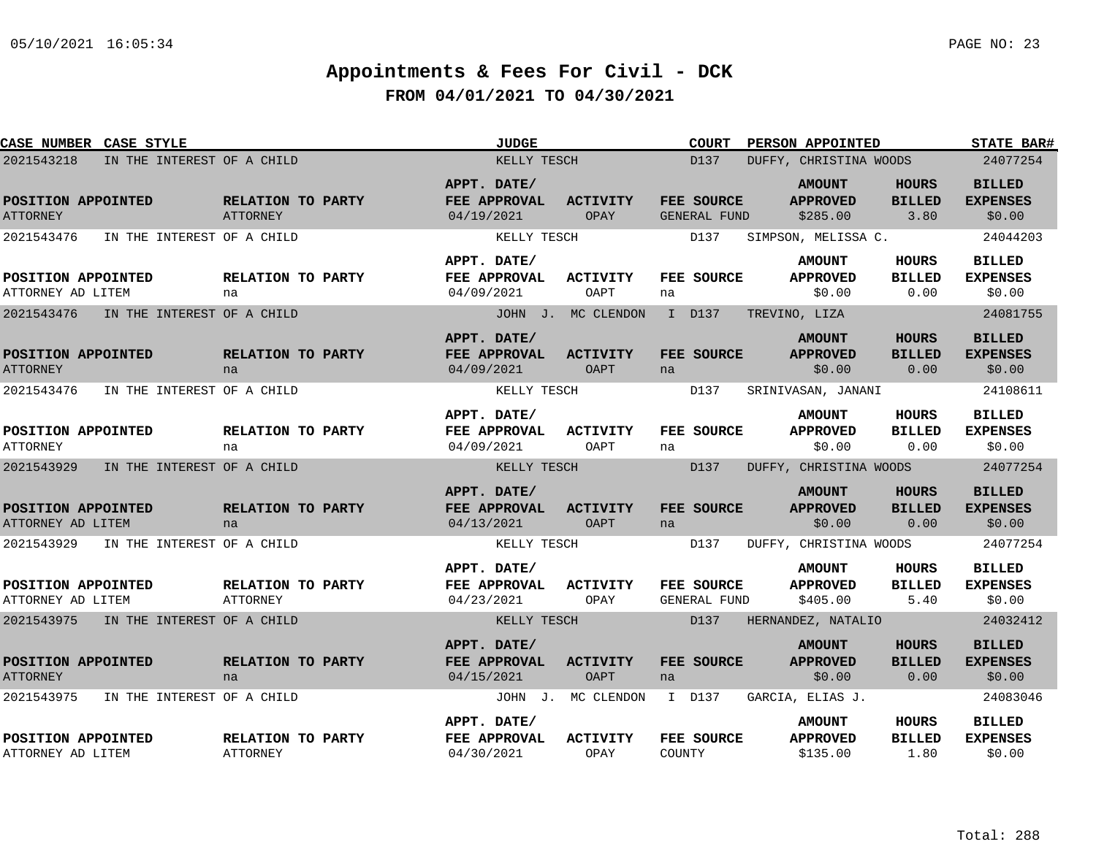| <b>CASE NUMBER CASE STYLE</b>            |                                      | <b>JUDGE</b>                                     |                                | <b>COURT</b>               | PERSON APPOINTED                             |                                       | <b>STATE BAR#</b>                          |
|------------------------------------------|--------------------------------------|--------------------------------------------------|--------------------------------|----------------------------|----------------------------------------------|---------------------------------------|--------------------------------------------|
| 2021543218<br>IN THE INTEREST OF A CHILD |                                      | KELLY TESCH                                      |                                | D137                       | DUFFY, CHRISTINA WOODS                       |                                       | 24077254                                   |
| POSITION APPOINTED<br><b>ATTORNEY</b>    | RELATION TO PARTY<br><b>ATTORNEY</b> | APPT. DATE/<br>FEE APPROVAL<br>04/19/2021        | <b>ACTIVITY</b><br>OPAY        | FEE SOURCE<br>GENERAL FUND | <b>AMOUNT</b><br><b>APPROVED</b><br>\$285.00 | <b>HOURS</b><br><b>BILLED</b><br>3.80 | <b>BILLED</b><br><b>EXPENSES</b><br>\$0.00 |
| 2021543476<br>IN THE INTEREST OF A CHILD |                                      | KELLY TESCH                                      |                                | D137                       | SIMPSON, MELISSA C.                          |                                       | 24044203                                   |
| POSITION APPOINTED<br>ATTORNEY AD LITEM  | RELATION TO PARTY<br>na              | APPT. DATE/<br>FEE APPROVAL<br>04/09/2021        | ACTIVITY<br>OAPT               | <b>FEE SOURCE</b><br>na    | <b>AMOUNT</b><br><b>APPROVED</b><br>\$0.00   | HOURS<br><b>BILLED</b><br>0.00        | <b>BILLED</b><br><b>EXPENSES</b><br>\$0.00 |
| 2021543476<br>IN THE INTEREST OF A CHILD |                                      |                                                  | JOHN J. MC CLENDON             | I D137                     | TREVINO, LIZA                                |                                       | 24081755                                   |
| POSITION APPOINTED<br><b>ATTORNEY</b>    | RELATION TO PARTY<br>na              | APPT. DATE/<br><b>FEE APPROVAL</b><br>04/09/2021 | <b>ACTIVITY</b><br>OAPT        | <b>FEE SOURCE</b><br>na    | <b>AMOUNT</b><br><b>APPROVED</b><br>\$0.00   | <b>HOURS</b><br><b>BILLED</b><br>0.00 | <b>BILLED</b><br><b>EXPENSES</b><br>\$0.00 |
| 2021543476<br>IN THE INTEREST OF A CHILD |                                      | KELLY TESCH                                      |                                | D137                       | SRINIVASAN, JANANI                           |                                       | 24108611                                   |
| POSITION APPOINTED<br><b>ATTORNEY</b>    | RELATION TO PARTY<br>na              | APPT. DATE/<br>FEE APPROVAL<br>04/09/2021        | <b>ACTIVITY</b><br>OAPT        | FEE SOURCE<br>na           | <b>AMOUNT</b><br><b>APPROVED</b><br>\$0.00   | HOURS<br><b>BILLED</b><br>0.00        | <b>BILLED</b><br><b>EXPENSES</b><br>\$0.00 |
| 2021543929<br>IN THE INTEREST OF A CHILD |                                      | KELLY TESCH                                      |                                | D137                       | DUFFY, CHRISTINA WOODS                       |                                       | 24077254                                   |
| POSITION APPOINTED<br>ATTORNEY AD LITEM  | RELATION TO PARTY<br>na              | APPT. DATE/<br>FEE APPROVAL<br>04/13/2021        | <b>ACTIVITY</b><br>OAPT        | <b>FEE SOURCE</b><br>na    | <b>AMOUNT</b><br><b>APPROVED</b><br>\$0.00   | <b>HOURS</b><br><b>BILLED</b><br>0.00 | <b>BILLED</b><br><b>EXPENSES</b><br>\$0.00 |
| 2021543929<br>IN THE INTEREST OF A CHILD |                                      | KELLY TESCH                                      |                                | D137                       | DUFFY, CHRISTINA WOODS                       |                                       | 24077254                                   |
| POSITION APPOINTED<br>ATTORNEY AD LITEM  | RELATION TO PARTY<br><b>ATTORNEY</b> | APPT. DATE/<br>FEE APPROVAL<br>04/23/2021        | <b>ACTIVITY</b><br>OPAY        | FEE SOURCE<br>GENERAL FUND | <b>AMOUNT</b><br><b>APPROVED</b><br>\$405.00 | HOURS<br><b>BILLED</b><br>5.40        | <b>BILLED</b><br><b>EXPENSES</b><br>\$0.00 |
| 2021543975<br>IN THE INTEREST OF A CHILD |                                      | KELLY TESCH                                      |                                | D137                       | HERNANDEZ, NATALIO                           |                                       | 24032412                                   |
| POSITION APPOINTED<br><b>ATTORNEY</b>    | RELATION TO PARTY<br>na              | APPT. DATE/<br>FEE APPROVAL<br>04/15/2021        | <b>ACTIVITY</b><br><b>OAPT</b> | <b>FEE SOURCE</b><br>na    | <b>AMOUNT</b><br><b>APPROVED</b><br>\$0.00   | <b>HOURS</b><br><b>BILLED</b><br>0.00 | <b>BILLED</b><br><b>EXPENSES</b><br>\$0.00 |
| IN THE INTEREST OF A CHILD<br>2021543975 |                                      |                                                  | JOHN J. MC CLENDON             | I D137                     | GARCIA, ELIAS J.                             |                                       | 24083046                                   |
| POSITION APPOINTED<br>ATTORNEY AD LITEM  | RELATION TO PARTY<br>ATTORNEY        | APPT. DATE/<br>FEE APPROVAL<br>04/30/2021        | <b>ACTIVITY</b><br>OPAY        | FEE SOURCE<br>COUNTY       | <b>AMOUNT</b><br><b>APPROVED</b><br>\$135.00 | HOURS<br><b>BILLED</b><br>1.80        | <b>BILLED</b><br><b>EXPENSES</b><br>\$0.00 |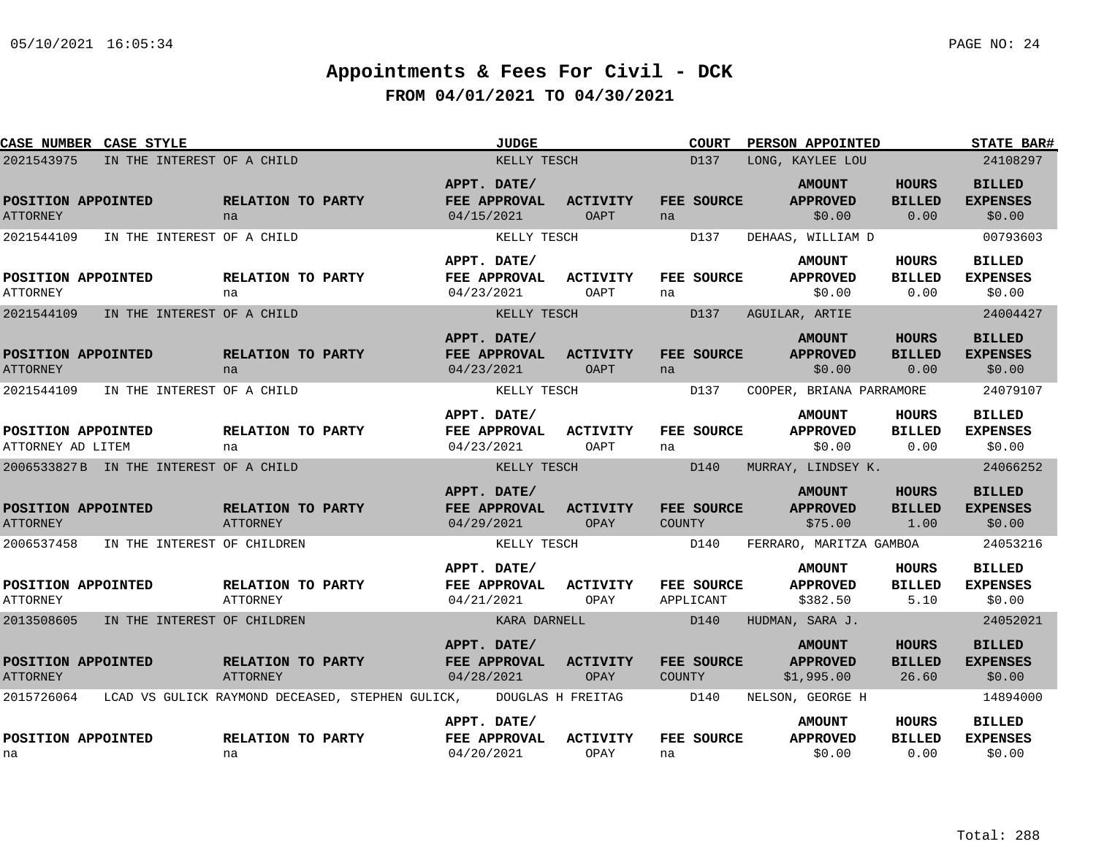| <b>CASE NUMBER CASE STYLE</b>           |                                        |                                                  | <b>JUDGE</b>                                     |                         |                             | <b>COURT</b> | PERSON APPOINTED                               |                                       | <b>STATE BAR#</b>                          |
|-----------------------------------------|----------------------------------------|--------------------------------------------------|--------------------------------------------------|-------------------------|-----------------------------|--------------|------------------------------------------------|---------------------------------------|--------------------------------------------|
| 2021543975                              | IN THE INTEREST OF A CHILD             |                                                  | KELLY TESCH                                      |                         |                             | D137         | LONG, KAYLEE LOU                               |                                       | 24108297                                   |
| POSITION APPOINTED<br><b>ATTORNEY</b>   |                                        | RELATION TO PARTY<br>na                          | APPT. DATE/<br>FEE APPROVAL<br>04/15/2021        | <b>ACTIVITY</b><br>OAPT | FEE SOURCE<br>na            |              | <b>AMOUNT</b><br><b>APPROVED</b><br>\$0.00     | <b>HOURS</b><br><b>BILLED</b><br>0.00 | <b>BILLED</b><br><b>EXPENSES</b><br>\$0.00 |
| 2021544109                              | IN THE INTEREST OF A CHILD             |                                                  | KELLY TESCH                                      |                         |                             | D137         | DEHAAS, WILLIAM D                              |                                       | 00793603                                   |
| POSITION APPOINTED<br><b>ATTORNEY</b>   |                                        | <b>RELATION TO PARTY</b><br>na                   | APPT. DATE/<br>FEE APPROVAL<br>04/23/2021        | ACTIVITY<br>OAPT        | FEE SOURCE<br>na            |              | <b>AMOUNT</b><br><b>APPROVED</b><br>\$0.00     | <b>HOURS</b><br><b>BILLED</b><br>0.00 | <b>BILLED</b><br><b>EXPENSES</b><br>\$0.00 |
| 2021544109                              | IN THE INTEREST OF A CHILD             |                                                  | KELLY TESCH                                      |                         |                             | D137         | AGUILAR, ARTIE                                 |                                       | 24004427                                   |
| POSITION APPOINTED<br><b>ATTORNEY</b>   |                                        | RELATION TO PARTY<br>na                          | APPT. DATE/<br>FEE APPROVAL<br>04/23/2021        | <b>ACTIVITY</b><br>OAPT | FEE SOURCE<br>na            |              | <b>AMOUNT</b><br><b>APPROVED</b><br>\$0.00     | HOURS<br><b>BILLED</b><br>0.00        | <b>BILLED</b><br><b>EXPENSES</b><br>\$0.00 |
| 2021544109                              | IN THE INTEREST OF A CHILD             |                                                  | KELLY TESCH                                      |                         |                             | D137         | COOPER, BRIANA PARRAMORE                       |                                       | 24079107                                   |
| POSITION APPOINTED<br>ATTORNEY AD LITEM |                                        | RELATION TO PARTY<br>na                          | APPT. DATE/<br>FEE APPROVAL<br>04/23/2021        | <b>ACTIVITY</b><br>OAPT | FEE SOURCE<br>na            |              | <b>AMOUNT</b><br><b>APPROVED</b><br>\$0.00     | <b>HOURS</b><br><b>BILLED</b><br>0.00 | <b>BILLED</b><br><b>EXPENSES</b><br>\$0.00 |
|                                         | 2006533827B IN THE INTEREST OF A CHILD |                                                  | KELLY TESCH                                      |                         |                             | D140         | MURRAY, LINDSEY K.                             |                                       | 24066252                                   |
| POSITION APPOINTED<br><b>ATTORNEY</b>   |                                        | RELATION TO PARTY<br>ATTORNEY                    | APPT. DATE/<br>FEE APPROVAL<br>04/29/2021        | <b>ACTIVITY</b><br>OPAY | FEE SOURCE<br><b>COUNTY</b> |              | <b>AMOUNT</b><br><b>APPROVED</b><br>\$75.00    | <b>HOURS</b><br><b>BILLED</b><br>1.00 | <b>BILLED</b><br><b>EXPENSES</b><br>\$0.00 |
| 2006537458                              | IN THE INTEREST OF CHILDREN            |                                                  | KELLY TESCH                                      |                         |                             | D140         | FERRARO, MARITZA GAMBOA                        |                                       | 24053216                                   |
| POSITION APPOINTED<br><b>ATTORNEY</b>   |                                        | RELATION TO PARTY<br><b>ATTORNEY</b>             | APPT. DATE/<br><b>FEE APPROVAL</b><br>04/21/2021 | <b>ACTIVITY</b><br>OPAY | FEE SOURCE<br>APPLICANT     |              | <b>AMOUNT</b><br><b>APPROVED</b><br>\$382.50   | HOURS<br><b>BILLED</b><br>5.10        | <b>BILLED</b><br><b>EXPENSES</b><br>\$0.00 |
| 2013508605                              | IN THE INTEREST OF CHILDREN            |                                                  | KARA DARNELL                                     |                         | D140                        |              | HUDMAN, SARA J.                                |                                       | 24052021                                   |
| POSITION APPOINTED<br><b>ATTORNEY</b>   |                                        | RELATION TO PARTY<br><b>ATTORNEY</b>             | APPT. DATE/<br><b>FEE APPROVAL</b><br>04/28/2021 | <b>ACTIVITY</b><br>OPAY | FEE SOURCE<br>COUNTY        |              | <b>AMOUNT</b><br><b>APPROVED</b><br>\$1,995.00 | HOURS<br><b>BILLED</b><br>26.60       | <b>BILLED</b><br><b>EXPENSES</b><br>\$0.00 |
| 2015726064                              |                                        | LCAD VS GULICK RAYMOND DECEASED, STEPHEN GULICK, | DOUGLAS H FREITAG                                |                         |                             | D140         | NELSON, GEORGE H                               |                                       | 14894000                                   |
| POSITION APPOINTED<br>na                |                                        | RELATION TO PARTY<br>na                          | APPT. DATE/<br>FEE APPROVAL<br>04/20/2021        | <b>ACTIVITY</b><br>OPAY | FEE SOURCE<br>na            |              | <b>AMOUNT</b><br><b>APPROVED</b><br>\$0.00     | HOURS<br><b>BILLED</b><br>0.00        | <b>BILLED</b><br><b>EXPENSES</b><br>\$0.00 |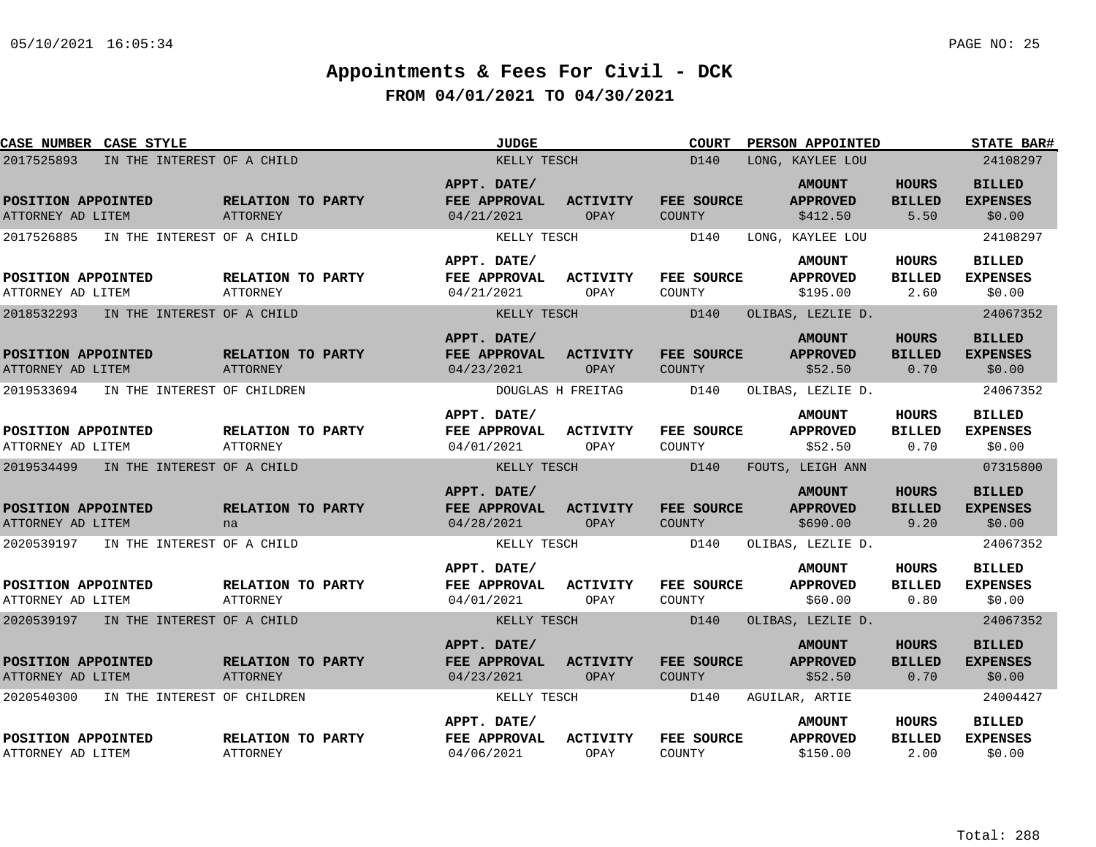| CASE NUMBER CASE STYLE                    |                                             | <b>JUDGE</b>                              |                         | <b>COURT</b>                | PERSON APPOINTED                             |                                       | <b>STATE BAR#</b>                          |
|-------------------------------------------|---------------------------------------------|-------------------------------------------|-------------------------|-----------------------------|----------------------------------------------|---------------------------------------|--------------------------------------------|
| 2017525893<br>IN THE INTEREST OF A CHILD  |                                             | KELLY TESCH                               |                         | D140                        | LONG, KAYLEE LOU                             |                                       | 24108297                                   |
| POSITION APPOINTED<br>ATTORNEY AD LITEM   | RELATION TO PARTY<br><b>ATTORNEY</b>        | APPT. DATE/<br>FEE APPROVAL<br>04/21/2021 | <b>ACTIVITY</b><br>OPAY | FEE SOURCE<br>COUNTY        | <b>AMOUNT</b><br><b>APPROVED</b><br>\$412.50 | <b>HOURS</b><br><b>BILLED</b><br>5.50 | <b>BILLED</b><br><b>EXPENSES</b><br>\$0.00 |
| 2017526885<br>IN THE INTEREST OF A CHILD  |                                             | KELLY TESCH                               |                         | D140                        | LONG, KAYLEE LOU                             |                                       | 24108297                                   |
| POSITION APPOINTED<br>ATTORNEY AD LITEM   | <b>RELATION TO PARTY</b><br><b>ATTORNEY</b> | APPT. DATE/<br>FEE APPROVAL<br>04/21/2021 | ACTIVITY<br>OPAY        | FEE SOURCE<br>COUNTY        | <b>AMOUNT</b><br><b>APPROVED</b><br>\$195.00 | HOURS<br><b>BILLED</b><br>2.60        | <b>BILLED</b><br><b>EXPENSES</b><br>\$0.00 |
| 2018532293<br>IN THE INTEREST OF A CHILD  |                                             | KELLY TESCH                               |                         | D140                        | OLIBAS, LEZLIE D.                            |                                       | 24067352                                   |
| POSITION APPOINTED<br>ATTORNEY AD LITEM   | RELATION TO PARTY<br><b>ATTORNEY</b>        | APPT. DATE/<br>FEE APPROVAL<br>04/23/2021 | <b>ACTIVITY</b><br>OPAY | FEE SOURCE<br><b>COUNTY</b> | <b>AMOUNT</b><br><b>APPROVED</b><br>\$52.50  | <b>HOURS</b><br><b>BILLED</b><br>0.70 | <b>BILLED</b><br><b>EXPENSES</b><br>\$0.00 |
| 2019533694<br>IN THE INTEREST OF CHILDREN |                                             | DOUGLAS H FREITAG                         |                         | D140                        | OLIBAS, LEZLIE D.                            |                                       | 24067352                                   |
| POSITION APPOINTED<br>ATTORNEY AD LITEM   | RELATION TO PARTY<br>ATTORNEY               | APPT. DATE/<br>FEE APPROVAL<br>04/01/2021 | ACTIVITY<br>OPAY        | FEE SOURCE<br>COUNTY        | <b>AMOUNT</b><br><b>APPROVED</b><br>\$52.50  | HOURS<br><b>BILLED</b><br>0.70        | <b>BILLED</b><br><b>EXPENSES</b><br>\$0.00 |
| 2019534499<br>IN THE INTEREST OF A CHILD  |                                             | KELLY TESCH                               |                         | D140                        | FOUTS, LEIGH ANN                             |                                       | 07315800                                   |
| POSITION APPOINTED<br>ATTORNEY AD LITEM   | RELATION TO PARTY<br>na                     | APPT. DATE/<br>FEE APPROVAL<br>04/28/2021 | <b>ACTIVITY</b><br>OPAY | FEE SOURCE<br>COUNTY        | <b>AMOUNT</b><br><b>APPROVED</b><br>\$690.00 | <b>HOURS</b><br><b>BILLED</b><br>9.20 | <b>BILLED</b><br><b>EXPENSES</b><br>\$0.00 |
| 2020539197<br>IN THE INTEREST OF A CHILD  |                                             | KELLY TESCH                               |                         | D140                        | OLIBAS, LEZLIE D.                            |                                       | 24067352                                   |
| POSITION APPOINTED<br>ATTORNEY AD LITEM   | RELATION TO PARTY<br>ATTORNEY               | APPT. DATE/<br>FEE APPROVAL<br>04/01/2021 | <b>ACTIVITY</b><br>OPAY | FEE SOURCE<br>COUNTY        | <b>AMOUNT</b><br><b>APPROVED</b><br>\$60.00  | HOURS<br><b>BILLED</b><br>0.80        | <b>BILLED</b><br><b>EXPENSES</b><br>\$0.00 |
| 2020539197 IN THE INTEREST OF A CHILD     |                                             | KELLY TESCH                               |                         | D140                        | OLIBAS, LEZLIE D.                            |                                       | 24067352                                   |
| POSITION APPOINTED<br>ATTORNEY AD LITEM   | RELATION TO PARTY<br><b>ATTORNEY</b>        | APPT. DATE/<br>FEE APPROVAL<br>04/23/2021 | <b>ACTIVITY</b><br>OPAY | FEE SOURCE<br><b>COUNTY</b> | <b>AMOUNT</b><br><b>APPROVED</b><br>\$52.50  | <b>HOURS</b><br><b>BILLED</b><br>0.70 | <b>BILLED</b><br><b>EXPENSES</b><br>\$0.00 |
| 2020540300<br>IN THE INTEREST OF CHILDREN |                                             | KELLY TESCH                               |                         | D140                        | AGUILAR, ARTIE                               |                                       | 24004427                                   |
| POSITION APPOINTED<br>ATTORNEY AD LITEM   | RELATION TO PARTY<br><b>ATTORNEY</b>        | APPT. DATE/<br>FEE APPROVAL<br>04/06/2021 | <b>ACTIVITY</b><br>OPAY | FEE SOURCE<br>COUNTY        | <b>AMOUNT</b><br><b>APPROVED</b><br>\$150.00 | HOURS<br><b>BILLED</b><br>2.00        | <b>BILLED</b><br><b>EXPENSES</b><br>\$0.00 |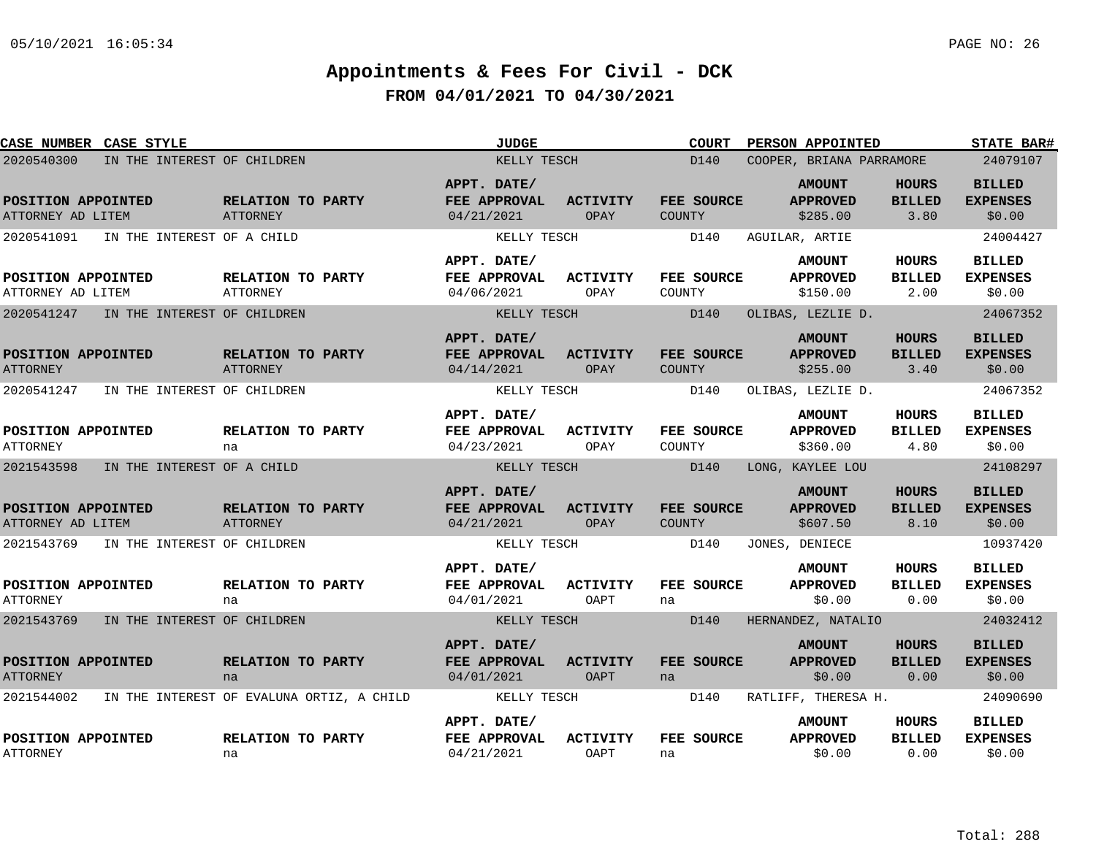| <b>CASE NUMBER CASE STYLE</b>         |                                           |                         | <b>JUDGE</b>                |                                | <b>COURT</b>         | PERSON APPOINTED                 |                        | <b>STATE BAR#</b>                |
|---------------------------------------|-------------------------------------------|-------------------------|-----------------------------|--------------------------------|----------------------|----------------------------------|------------------------|----------------------------------|
| 2020540300                            | IN THE INTEREST OF CHILDREN               |                         | KELLY TESCH                 |                                | D140                 | COOPER, BRIANA PARRAMORE         |                        | 24079107                         |
| POSITION APPOINTED                    |                                           | RELATION TO PARTY       | APPT. DATE/<br>FEE APPROVAL | <b>ACTIVITY</b>                | FEE SOURCE           | <b>AMOUNT</b><br><b>APPROVED</b> | HOURS<br><b>BILLED</b> | <b>BILLED</b><br><b>EXPENSES</b> |
| ATTORNEY AD LITEM                     |                                           | ATTORNEY                | 04/21/2021                  | OPAY                           | COUNTY               | \$285.00                         | 3.80                   | \$0.00                           |
| 2020541091                            | IN THE INTEREST OF A CHILD                |                         | KELLY TESCH                 |                                | D140                 | AGUILAR, ARTIE                   |                        | 24004427                         |
|                                       |                                           |                         | APPT. DATE/                 |                                |                      | <b>AMOUNT</b>                    | HOURS                  | <b>BILLED</b>                    |
| POSITION APPOINTED                    |                                           | RELATION TO PARTY       | FEE APPROVAL                | <b>ACTIVITY</b>                | FEE SOURCE           | <b>APPROVED</b>                  | <b>BILLED</b>          | <b>EXPENSES</b>                  |
| ATTORNEY AD LITEM                     |                                           | <b>ATTORNEY</b>         | 04/06/2021                  | OPAY                           | COUNTY               | \$150.00                         | 2.00                   | \$0.00                           |
| 2020541247                            | IN THE INTEREST OF CHILDREN               |                         | KELLY TESCH                 |                                | D140                 | OLIBAS, LEZLIE D.                |                        | 24067352                         |
|                                       |                                           |                         | APPT. DATE/                 |                                |                      | <b>AMOUNT</b>                    | <b>HOURS</b>           | <b>BILLED</b>                    |
| POSITION APPOINTED                    |                                           | RELATION TO PARTY       | FEE APPROVAL                | <b>ACTIVITY</b>                | FEE SOURCE           | <b>APPROVED</b>                  | <b>BILLED</b>          | <b>EXPENSES</b>                  |
| <b>ATTORNEY</b>                       |                                           | ATTORNEY                | 04/14/2021                  | OPAY                           | <b>COUNTY</b>        | \$255.00                         | 3.40                   | \$0.00                           |
| 2020541247                            | IN THE INTEREST OF CHILDREN               |                         | KELLY TESCH                 |                                | D140                 | OLIBAS, LEZLIE D.                |                        | 24067352                         |
|                                       |                                           |                         | APPT. DATE/                 |                                |                      | <b>AMOUNT</b>                    | <b>HOURS</b>           | <b>BILLED</b>                    |
| POSITION APPOINTED<br><b>ATTORNEY</b> |                                           | RELATION TO PARTY<br>na | FEE APPROVAL<br>04/23/2021  | <b>ACTIVITY</b><br>OPAY        | FEE SOURCE<br>COUNTY | <b>APPROVED</b><br>\$360.00      | <b>BILLED</b><br>4.80  | <b>EXPENSES</b><br>\$0.00        |
| 2021543598                            | IN THE INTEREST OF A CHILD                |                         | KELLY TESCH                 |                                | D140                 | LONG, KAYLEE LOU                 |                        | 24108297                         |
|                                       |                                           |                         | APPT. DATE/                 |                                |                      | <b>AMOUNT</b>                    | <b>HOURS</b>           | <b>BILLED</b>                    |
| POSITION APPOINTED                    |                                           | RELATION TO PARTY       | FEE APPROVAL                | <b>ACTIVITY</b>                | FEE SOURCE           | <b>APPROVED</b>                  | <b>BILLED</b>          | <b>EXPENSES</b>                  |
| ATTORNEY AD LITEM                     |                                           | <b>ATTORNEY</b>         | 04/21/2021                  | OPAY                           | <b>COUNTY</b>        | \$607.50                         | 8.10                   | \$0.00                           |
| 2021543769                            | IN THE INTEREST OF CHILDREN               |                         | KELLY TESCH                 |                                | D140                 | JONES, DENIECE                   |                        | 10937420                         |
|                                       |                                           |                         | APPT. DATE/                 |                                |                      | <b>AMOUNT</b>                    | HOURS                  | <b>BILLED</b>                    |
| POSITION APPOINTED                    |                                           | RELATION TO PARTY       | <b>FEE APPROVAL</b>         | <b>ACTIVITY</b>                | FEE SOURCE           | <b>APPROVED</b>                  | <b>BILLED</b>          | <b>EXPENSES</b>                  |
| <b>ATTORNEY</b>                       |                                           | na                      | 04/01/2021                  | <b>OAPT</b>                    | na                   | \$0.00                           | 0.00                   | \$0.00                           |
| 2021543769                            | IN THE INTEREST OF CHILDREN               |                         | KELLY TESCH                 |                                | D140                 | HERNANDEZ, NATALIO               |                        | 24032412                         |
|                                       |                                           |                         | APPT. DATE/                 |                                |                      | <b>AMOUNT</b>                    | HOURS                  | <b>BILLED</b>                    |
| POSITION APPOINTED<br><b>ATTORNEY</b> |                                           | RELATION TO PARTY<br>na | FEE APPROVAL<br>04/01/2021  | ACTIVITY<br>OAPT               | FEE SOURCE<br>na     | <b>APPROVED</b><br>\$0.00        | <b>BILLED</b><br>0.00  | <b>EXPENSES</b><br>\$0.00        |
| 2021544002                            | IN THE INTEREST OF EVALUNA ORTIZ, A CHILD |                         | KELLY TESCH                 |                                | D140                 | RATLIFF, THERESA H.              |                        | 24090690                         |
|                                       |                                           |                         | APPT. DATE/                 |                                |                      | <b>AMOUNT</b>                    | HOURS                  | <b>BILLED</b>                    |
| POSITION APPOINTED<br><b>ATTORNEY</b> |                                           | RELATION TO PARTY<br>na | FEE APPROVAL<br>04/21/2021  | <b>ACTIVITY</b><br><b>OAPT</b> | FEE SOURCE<br>na     | <b>APPROVED</b><br>\$0.00        | <b>BILLED</b><br>0.00  | <b>EXPENSES</b><br>\$0.00        |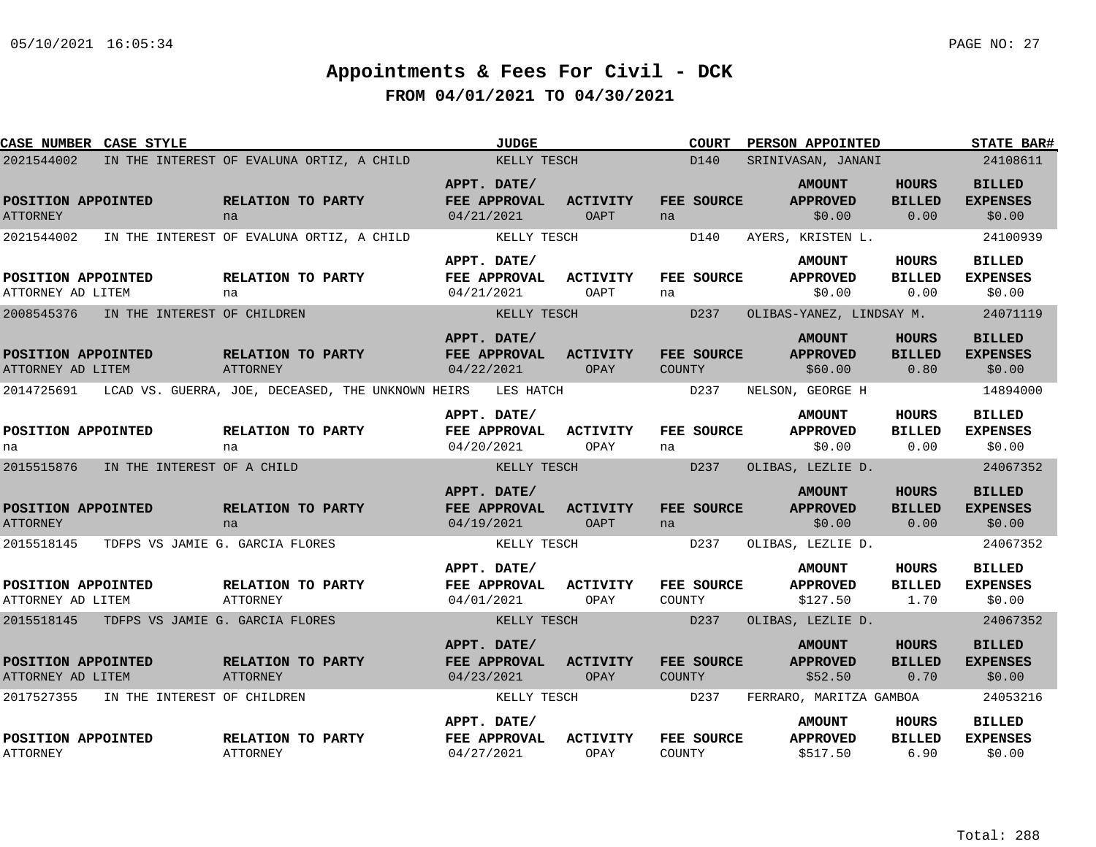| <b>CASE NUMBER CASE STYLE</b>           |                                            |                                                   | <b>JUDGE</b>                              |                                | <b>COURT</b>                | PERSON APPOINTED                             |                                       | <b>STATE BAR#</b>                          |
|-----------------------------------------|--------------------------------------------|---------------------------------------------------|-------------------------------------------|--------------------------------|-----------------------------|----------------------------------------------|---------------------------------------|--------------------------------------------|
| 2021544002                              |                                            | IN THE INTEREST OF EVALUNA ORTIZ, A CHILD         | KELLY TESCH                               |                                | D140                        | SRINIVASAN, JANANI                           |                                       | 24108611                                   |
| POSITION APPOINTED<br><b>ATTORNEY</b>   |                                            | RELATION TO PARTY<br>na                           | APPT. DATE/<br>FEE APPROVAL<br>04/21/2021 | <b>ACTIVITY</b><br><b>OAPT</b> | FEE SOURCE<br>na            | <b>AMOUNT</b><br><b>APPROVED</b><br>\$0.00   | <b>HOURS</b><br><b>BILLED</b><br>0.00 | <b>BILLED</b><br><b>EXPENSES</b><br>\$0.00 |
| 2021544002                              |                                            | IN THE INTEREST OF EVALUNA ORTIZ, A CHILD         | KELLY TESCH                               |                                | D140                        | AYERS, KRISTEN L.                            |                                       | 24100939                                   |
| POSITION APPOINTED<br>ATTORNEY AD LITEM |                                            | RELATION TO PARTY<br>na                           | APPT. DATE/<br>FEE APPROVAL<br>04/21/2021 | <b>ACTIVITY</b><br>OAPT        | FEE SOURCE<br>na            | <b>AMOUNT</b><br><b>APPROVED</b><br>\$0.00   | HOURS<br><b>BILLED</b><br>0.00        | <b>BILLED</b><br><b>EXPENSES</b><br>\$0.00 |
| 2008545376                              | IN THE INTEREST OF CHILDREN                |                                                   | KELLY TESCH                               |                                | D237                        | OLIBAS-YANEZ, LINDSAY M.                     |                                       | 24071119                                   |
| POSITION APPOINTED<br>ATTORNEY AD LITEM |                                            | RELATION TO PARTY<br>ATTORNEY                     | APPT. DATE/<br>FEE APPROVAL<br>04/22/2021 | <b>ACTIVITY</b><br>OPAY        | <b>FEE SOURCE</b><br>COUNTY | <b>AMOUNT</b><br><b>APPROVED</b><br>\$60.00  | <b>HOURS</b><br><b>BILLED</b><br>0.80 | <b>BILLED</b><br><b>EXPENSES</b><br>\$0.00 |
| 2014725691                              |                                            | LCAD VS. GUERRA, JOE, DECEASED, THE UNKNOWN HEIRS | LES HATCH                                 |                                | D237                        | NELSON, GEORGE H                             |                                       | 14894000                                   |
| POSITION APPOINTED<br>na                |                                            | RELATION TO PARTY<br>na                           | APPT. DATE/<br>FEE APPROVAL<br>04/20/2021 | <b>ACTIVITY</b><br>OPAY        | FEE SOURCE<br>na            | <b>AMOUNT</b><br><b>APPROVED</b><br>\$0.00   | <b>HOURS</b><br><b>BILLED</b><br>0.00 | <b>BILLED</b><br><b>EXPENSES</b><br>\$0.00 |
| 2015515876                              | IN THE INTEREST OF A CHILD                 |                                                   | KELLY TESCH                               |                                | D237                        | OLIBAS, LEZLIE D.                            |                                       | 24067352                                   |
| POSITION APPOINTED<br><b>ATTORNEY</b>   |                                            | RELATION TO PARTY<br>na                           | APPT. DATE/<br>FEE APPROVAL<br>04/19/2021 | <b>ACTIVITY</b><br><b>OAPT</b> | FEE SOURCE<br>na            | <b>AMOUNT</b><br><b>APPROVED</b><br>\$0.00   | <b>HOURS</b><br><b>BILLED</b><br>0.00 | <b>BILLED</b><br><b>EXPENSES</b><br>\$0.00 |
| 2015518145                              | TDFPS VS JAMIE G. GARCIA FLORES            |                                                   | KELLY TESCH                               |                                | D237                        | OLIBAS, LEZLIE D.                            |                                       | 24067352                                   |
| POSITION APPOINTED<br>ATTORNEY AD LITEM |                                            | RELATION TO PARTY<br>ATTORNEY                     | APPT. DATE/<br>FEE APPROVAL<br>04/01/2021 | <b>ACTIVITY</b><br>OPAY        | <b>FEE SOURCE</b><br>COUNTY | <b>AMOUNT</b><br><b>APPROVED</b><br>\$127.50 | <b>HOURS</b><br><b>BILLED</b><br>1.70 | <b>BILLED</b><br><b>EXPENSES</b><br>\$0.00 |
|                                         | 2015518145 TDFPS VS JAMIE G. GARCIA FLORES |                                                   | KELLY TESCH                               |                                | D237                        | OLIBAS, LEZLIE D.                            |                                       | 24067352                                   |
| POSITION APPOINTED<br>ATTORNEY AD LITEM |                                            | RELATION TO PARTY<br>ATTORNEY                     | APPT. DATE/<br>FEE APPROVAL<br>04/23/2021 | <b>ACTIVITY</b><br>OPAY        | FEE SOURCE<br><b>COUNTY</b> | <b>AMOUNT</b><br><b>APPROVED</b><br>\$52.50  | <b>HOURS</b><br><b>BILLED</b><br>0.70 | <b>BILLED</b><br><b>EXPENSES</b><br>\$0.00 |
| 2017527355                              | IN THE INTEREST OF CHILDREN                |                                                   | KELLY TESCH                               |                                | D237                        | FERRARO, MARITZA GAMBOA                      |                                       | 24053216                                   |
| POSITION APPOINTED<br><b>ATTORNEY</b>   |                                            | RELATION TO PARTY<br><b>ATTORNEY</b>              | APPT. DATE/<br>FEE APPROVAL<br>04/27/2021 | <b>ACTIVITY</b><br>OPAY        | <b>FEE SOURCE</b><br>COUNTY | <b>AMOUNT</b><br><b>APPROVED</b><br>\$517.50 | HOURS<br><b>BILLED</b><br>6.90        | <b>BILLED</b><br><b>EXPENSES</b><br>\$0.00 |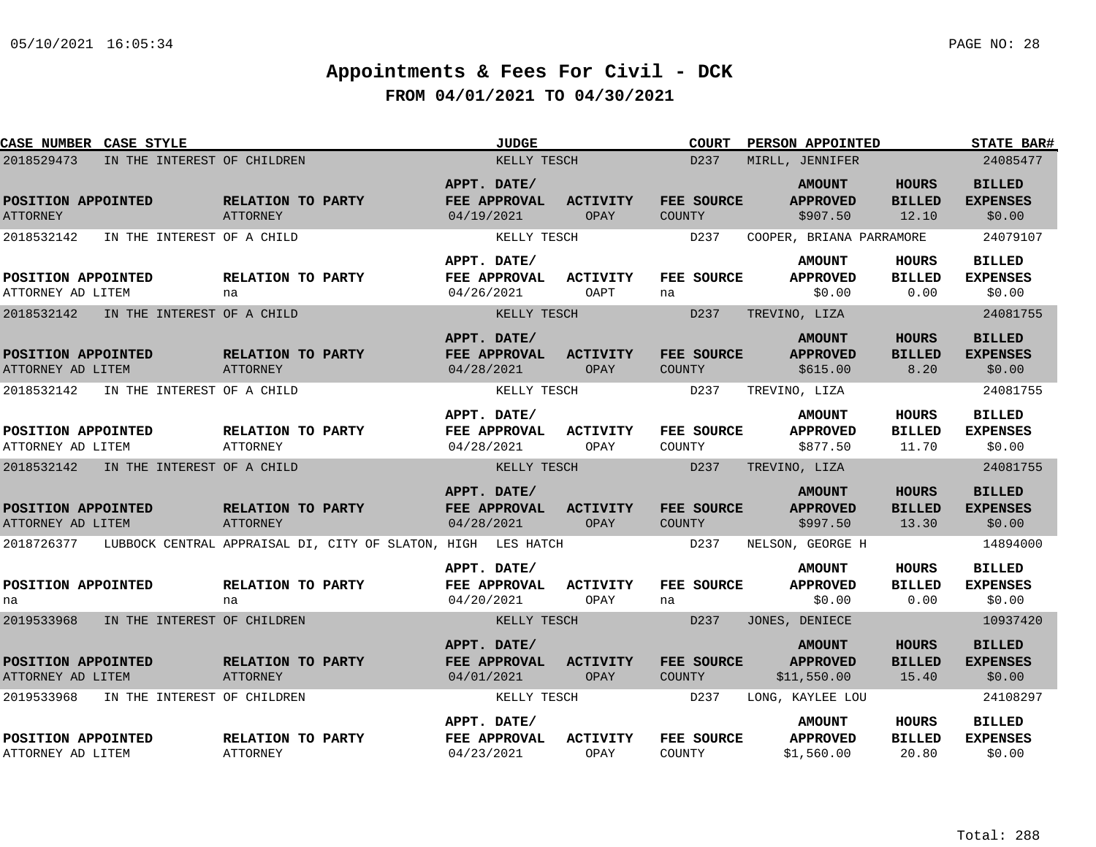| CASE NUMBER CASE STYLE                              |                             |                                      |                                                                         |                                                  | <b>JUDGE</b> |                                | <b>COURT</b>                        | PERSON APPOINTED                                                         |                                        | <b>STATE BAR#</b>                                      |
|-----------------------------------------------------|-----------------------------|--------------------------------------|-------------------------------------------------------------------------|--------------------------------------------------|--------------|--------------------------------|-------------------------------------|--------------------------------------------------------------------------|----------------------------------------|--------------------------------------------------------|
| 2018529473                                          | IN THE INTEREST OF CHILDREN |                                      |                                                                         |                                                  | KELLY TESCH  |                                | D <sub>237</sub>                    | MIRLL, JENNIFER                                                          |                                        | 24085477                                               |
| POSITION APPOINTED<br><b>ATTORNEY</b><br>2018532142 | IN THE INTEREST OF A CHILD  | RELATION TO PARTY<br><b>ATTORNEY</b> |                                                                         | APPT. DATE/<br>FEE APPROVAL<br>04/19/2021        | KELLY TESCH  | ACTIVITY<br>OPAY               | FEE SOURCE<br><b>COUNTY</b><br>D237 | <b>AMOUNT</b><br><b>APPROVED</b><br>\$907.50<br>COOPER, BRIANA PARRAMORE | <b>HOURS</b><br><b>BILLED</b><br>12.10 | <b>BILLED</b><br><b>EXPENSES</b><br>\$0.00<br>24079107 |
| POSITION APPOINTED<br>ATTORNEY AD LITEM             |                             | RELATION TO PARTY<br>na              |                                                                         | APPT. DATE/<br>FEE APPROVAL<br>04/26/2021        |              | ACTIVITY<br>OAPT               | FEE SOURCE<br>na                    | <b>AMOUNT</b><br><b>APPROVED</b><br>\$0.00                               | <b>HOURS</b><br><b>BILLED</b><br>0.00  | <b>BILLED</b><br><b>EXPENSES</b><br>\$0.00             |
| 2018532142                                          | IN THE INTEREST OF A CHILD  |                                      |                                                                         | APPT. DATE/                                      | KELLY TESCH  |                                | D237                                | TREVINO, LIZA<br><b>AMOUNT</b>                                           | <b>HOURS</b>                           | 24081755<br><b>BILLED</b>                              |
| POSITION APPOINTED<br>ATTORNEY AD LITEM             |                             | RELATION TO PARTY<br>ATTORNEY        |                                                                         | FEE APPROVAL<br>04/28/2021                       |              | <b>ACTIVITY</b><br>OPAY        | FEE SOURCE<br><b>COUNTY</b>         | <b>APPROVED</b><br>\$615.00                                              | <b>BILLED</b><br>8.20                  | <b>EXPENSES</b><br>\$0.00                              |
| 2018532142                                          | IN THE INTEREST OF A CHILD  |                                      |                                                                         |                                                  | KELLY TESCH  |                                | D237                                | TREVINO, LIZA                                                            |                                        | 24081755                                               |
| POSITION APPOINTED<br>ATTORNEY AD LITEM             |                             | RELATION TO PARTY<br><b>ATTORNEY</b> |                                                                         | APPT. DATE/<br><b>FEE APPROVAL</b><br>04/28/2021 |              | ACTIVITY<br>OPAY               | FEE SOURCE<br>COUNTY                | <b>AMOUNT</b><br><b>APPROVED</b><br>\$877.50                             | <b>HOURS</b><br><b>BILLED</b><br>11.70 | <b>BILLED</b><br><b>EXPENSES</b><br>\$0.00             |
| 2018532142                                          | IN THE INTEREST OF A CHILD  |                                      |                                                                         |                                                  | KELLY TESCH  |                                | D <sub>237</sub>                    | TREVINO, LIZA                                                            |                                        | 24081755                                               |
| POSITION APPOINTED<br>ATTORNEY AD LITEM             |                             | RELATION TO PARTY<br><b>ATTORNEY</b> |                                                                         | APPT. DATE/<br>FEE APPROVAL<br>04/28/2021        |              | <b>ACTIVITY</b><br><b>OPAY</b> | FEE SOURCE<br><b>COUNTY</b>         | <b>AMOUNT</b><br><b>APPROVED</b><br>\$997.50                             | <b>HOURS</b><br><b>BILLED</b><br>13.30 | <b>BILLED</b><br><b>EXPENSES</b><br>\$0.00             |
|                                                     |                             |                                      | 2018726377 LUBBOCK CENTRAL APPRAISAL DI, CITY OF SLATON, HIGH LES HATCH |                                                  |              |                                | D237                                | NELSON, GEORGE H                                                         |                                        | 14894000                                               |
| POSITION APPOINTED<br>na                            |                             | RELATION TO PARTY<br>na              |                                                                         | APPT. DATE/<br>FEE APPROVAL<br>04/20/2021        |              | <b>ACTIVITY</b><br>OPAY        | FEE SOURCE<br>na                    | <b>AMOUNT</b><br><b>APPROVED</b><br>\$0.00                               | <b>HOURS</b><br><b>BILLED</b><br>0.00  | <b>BILLED</b><br><b>EXPENSES</b><br>\$0.00             |
| 2019533968                                          | IN THE INTEREST OF CHILDREN |                                      |                                                                         |                                                  | KELLY TESCH  |                                | D237                                | JONES, DENIECE                                                           |                                        | 10937420                                               |
| POSITION APPOINTED<br>ATTORNEY AD LITEM             |                             | RELATION TO PARTY<br>ATTORNEY        |                                                                         | APPT. DATE/<br>FEE APPROVAL<br>04/01/2021        |              | <b>ACTIVITY</b><br>OPAY        | FEE SOURCE<br><b>COUNTY</b>         | <b>AMOUNT</b><br><b>APPROVED</b><br>\$11,550.00                          | <b>HOURS</b><br><b>BILLED</b><br>15.40 | <b>BILLED</b><br><b>EXPENSES</b><br>\$0.00             |
| 2019533968                                          | IN THE INTEREST OF CHILDREN |                                      |                                                                         |                                                  | KELLY TESCH  |                                | D237                                | LONG, KAYLEE LOU                                                         |                                        | 24108297                                               |
| POSITION APPOINTED<br>ATTORNEY AD LITEM             |                             | RELATION TO PARTY<br><b>ATTORNEY</b> |                                                                         | APPT. DATE/<br>FEE APPROVAL<br>04/23/2021        |              | <b>ACTIVITY</b><br>OPAY        | FEE SOURCE<br>COUNTY                | <b>AMOUNT</b><br><b>APPROVED</b><br>\$1,560.00                           | <b>HOURS</b><br><b>BILLED</b><br>20.80 | <b>BILLED</b><br><b>EXPENSES</b><br>\$0.00             |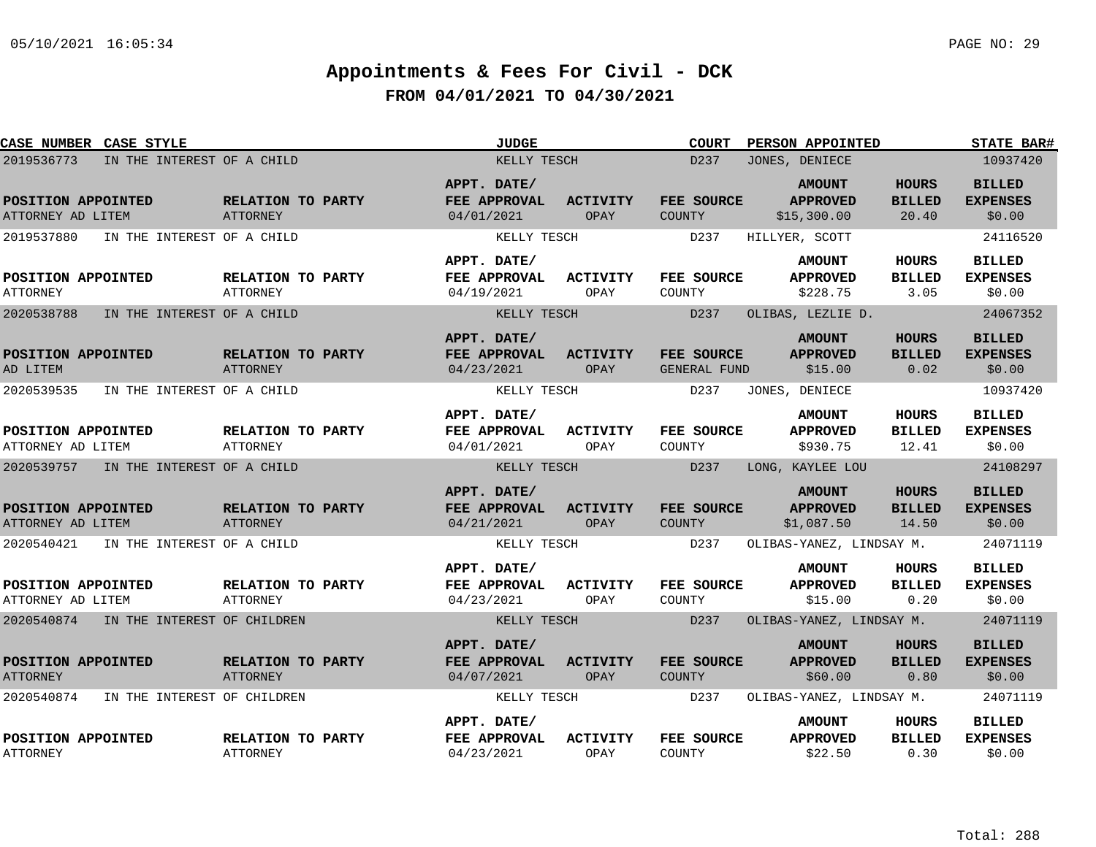| CASE NUMBER CASE STYLE                    |                                      | <b>JUDGE</b>                              |                         | <b>COURT</b>                | PERSON APPOINTED                                |                                        | <b>STATE BAR#</b>                          |
|-------------------------------------------|--------------------------------------|-------------------------------------------|-------------------------|-----------------------------|-------------------------------------------------|----------------------------------------|--------------------------------------------|
| 2019536773<br>IN THE INTEREST OF A CHILD  |                                      | KELLY TESCH                               |                         | D237                        | JONES, DENIECE                                  |                                        | 10937420                                   |
| POSITION APPOINTED<br>ATTORNEY AD LITEM   | RELATION TO PARTY<br>ATTORNEY        | APPT. DATE/<br>FEE APPROVAL<br>04/01/2021 | <b>ACTIVITY</b><br>OPAY | FEE SOURCE<br><b>COUNTY</b> | <b>AMOUNT</b><br><b>APPROVED</b><br>\$15,300.00 | <b>HOURS</b><br><b>BILLED</b><br>20.40 | <b>BILLED</b><br><b>EXPENSES</b><br>\$0.00 |
| 2019537880<br>IN THE INTEREST OF A CHILD  |                                      | KELLY TESCH                               |                         | D237                        | HILLYER, SCOTT                                  |                                        | 24116520                                   |
| POSITION APPOINTED<br><b>ATTORNEY</b>     | RELATION TO PARTY<br><b>ATTORNEY</b> | APPT. DATE/<br>FEE APPROVAL<br>04/19/2021 | ACTIVITY<br>OPAY        | FEE SOURCE<br>COUNTY        | <b>AMOUNT</b><br><b>APPROVED</b><br>\$228.75    | HOURS<br><b>BILLED</b><br>3.05         | <b>BILLED</b><br><b>EXPENSES</b><br>\$0.00 |
| 2020538788<br>IN THE INTEREST OF A CHILD  |                                      | KELLY TESCH                               |                         | D237                        | OLIBAS, LEZLIE D.                               |                                        | 24067352                                   |
| POSITION APPOINTED<br>AD LITEM            | RELATION TO PARTY<br>ATTORNEY        | APPT. DATE/<br>FEE APPROVAL<br>04/23/2021 | <b>ACTIVITY</b><br>OPAY | FEE SOURCE<br>GENERAL FUND  | <b>AMOUNT</b><br><b>APPROVED</b><br>\$15.00     | <b>HOURS</b><br><b>BILLED</b><br>0.02  | <b>BILLED</b><br><b>EXPENSES</b><br>\$0.00 |
| 2020539535<br>IN THE INTEREST OF A CHILD  |                                      | KELLY TESCH                               |                         | D237                        | JONES, DENIECE                                  |                                        | 10937420                                   |
| POSITION APPOINTED<br>ATTORNEY AD LITEM   | RELATION TO PARTY<br>ATTORNEY        | APPT. DATE/<br>FEE APPROVAL<br>04/01/2021 | <b>ACTIVITY</b><br>OPAY | FEE SOURCE<br>COUNTY        | <b>AMOUNT</b><br><b>APPROVED</b><br>\$930.75    | <b>HOURS</b><br><b>BILLED</b><br>12.41 | <b>BILLED</b><br><b>EXPENSES</b><br>\$0.00 |
| 2020539757 IN THE INTEREST OF A CHILD     |                                      | KELLY TESCH                               |                         | D237                        | LONG, KAYLEE LOU                                |                                        | 24108297                                   |
| POSITION APPOINTED<br>ATTORNEY AD LITEM   | RELATION TO PARTY<br>ATTORNEY        | APPT. DATE/<br>FEE APPROVAL<br>04/21/2021 | <b>ACTIVITY</b><br>OPAY | FEE SOURCE<br>COUNTY        | <b>AMOUNT</b><br><b>APPROVED</b><br>\$1,087.50  | <b>HOURS</b><br><b>BILLED</b><br>14.50 | <b>BILLED</b><br><b>EXPENSES</b><br>\$0.00 |
| 2020540421<br>IN THE INTEREST OF A CHILD  |                                      | KELLY TESCH                               |                         | D237                        | OLIBAS-YANEZ, LINDSAY M.                        |                                        | 24071119                                   |
| POSITION APPOINTED<br>ATTORNEY AD LITEM   | RELATION TO PARTY<br>ATTORNEY        | APPT. DATE/<br>FEE APPROVAL<br>04/23/2021 | <b>ACTIVITY</b><br>OPAY | FEE SOURCE<br>COUNTY        | <b>AMOUNT</b><br><b>APPROVED</b><br>\$15.00     | <b>HOURS</b><br><b>BILLED</b><br>0.20  | <b>BILLED</b><br><b>EXPENSES</b><br>\$0.00 |
| 2020540874 IN THE INTEREST OF CHILDREN    |                                      | KELLY TESCH                               |                         | D237                        | OLIBAS-YANEZ, LINDSAY M.                        |                                        | 24071119                                   |
| POSITION APPOINTED<br><b>ATTORNEY</b>     | RELATION TO PARTY<br><b>ATTORNEY</b> | APPT. DATE/<br>FEE APPROVAL<br>04/07/2021 | <b>ACTIVITY</b><br>OPAY | FEE SOURCE<br><b>COUNTY</b> | <b>AMOUNT</b><br><b>APPROVED</b><br>\$60.00     | <b>HOURS</b><br><b>BILLED</b><br>0.80  | <b>BILLED</b><br><b>EXPENSES</b><br>\$0.00 |
| 2020540874<br>IN THE INTEREST OF CHILDREN |                                      | KELLY TESCH                               |                         | D237                        | OLIBAS-YANEZ, LINDSAY M.                        |                                        | 24071119                                   |
| POSITION APPOINTED<br>ATTORNEY            | RELATION TO PARTY<br>ATTORNEY        | APPT. DATE/<br>FEE APPROVAL<br>04/23/2021 | <b>ACTIVITY</b><br>OPAY | FEE SOURCE<br>COUNTY        | <b>AMOUNT</b><br><b>APPROVED</b><br>\$22.50     | <b>HOURS</b><br><b>BILLED</b><br>0.30  | <b>BILLED</b><br><b>EXPENSES</b><br>\$0.00 |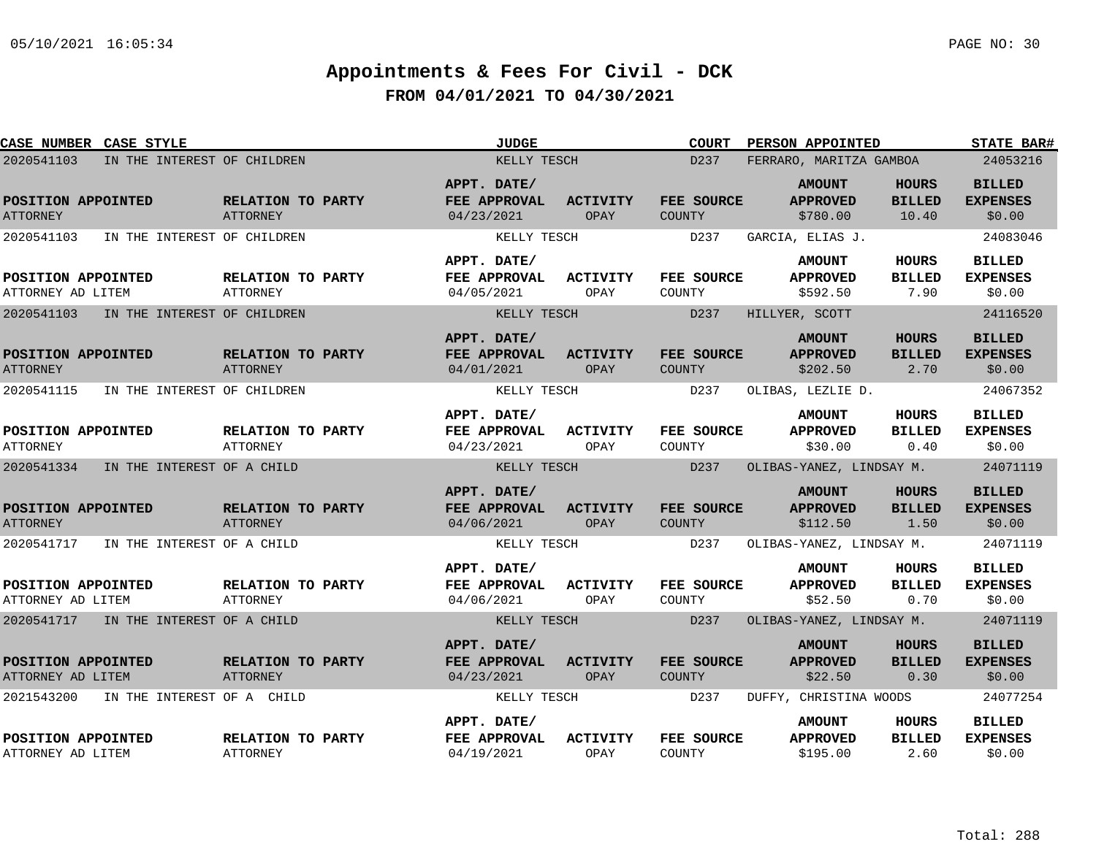| <b>CASE NUMBER CASE STYLE</b>             |                                      | <b>JUDGE</b>                              |                         | <b>COURT</b>                | PERSON APPOINTED                             |                                        | <b>STATE BAR#</b>                          |
|-------------------------------------------|--------------------------------------|-------------------------------------------|-------------------------|-----------------------------|----------------------------------------------|----------------------------------------|--------------------------------------------|
| 2020541103<br>IN THE INTEREST OF CHILDREN |                                      | KELLY TESCH                               |                         | D237                        | FERRARO, MARITZA GAMBOA                      |                                        | 24053216                                   |
| POSITION APPOINTED<br><b>ATTORNEY</b>     | RELATION TO PARTY<br><b>ATTORNEY</b> | APPT. DATE/<br>FEE APPROVAL<br>04/23/2021 | <b>ACTIVITY</b><br>OPAY | FEE SOURCE<br>COUNTY        | <b>AMOUNT</b><br><b>APPROVED</b><br>\$780.00 | <b>HOURS</b><br><b>BILLED</b><br>10.40 | <b>BILLED</b><br><b>EXPENSES</b><br>\$0.00 |
| 2020541103<br>IN THE INTEREST OF CHILDREN |                                      | KELLY TESCH                               |                         | D237                        | GARCIA, ELIAS J.                             |                                        | 24083046                                   |
| POSITION APPOINTED<br>ATTORNEY AD LITEM   | RELATION TO PARTY<br><b>ATTORNEY</b> | APPT. DATE/<br>FEE APPROVAL<br>04/05/2021 | <b>ACTIVITY</b><br>OPAY | FEE SOURCE<br>COUNTY        | <b>AMOUNT</b><br><b>APPROVED</b><br>\$592.50 | HOURS<br><b>BILLED</b><br>7.90         | <b>BILLED</b><br><b>EXPENSES</b><br>\$0.00 |
| 2020541103<br>IN THE INTEREST OF CHILDREN |                                      | KELLY TESCH                               |                         | D <sub>237</sub>            | HILLYER, SCOTT                               |                                        | 24116520                                   |
| POSITION APPOINTED<br><b>ATTORNEY</b>     | RELATION TO PARTY<br>ATTORNEY        | APPT. DATE/<br>FEE APPROVAL<br>04/01/2021 | <b>ACTIVITY</b><br>OPAY | FEE SOURCE<br><b>COUNTY</b> | <b>AMOUNT</b><br><b>APPROVED</b><br>\$202.50 | <b>HOURS</b><br><b>BILLED</b><br>2.70  | <b>BILLED</b><br><b>EXPENSES</b><br>\$0.00 |
| 2020541115<br>IN THE INTEREST OF CHILDREN |                                      | KELLY TESCH                               |                         | D237                        | OLIBAS, LEZLIE D.                            |                                        | 24067352                                   |
| POSITION APPOINTED<br><b>ATTORNEY</b>     | RELATION TO PARTY<br><b>ATTORNEY</b> | APPT. DATE/<br>FEE APPROVAL<br>04/23/2021 | <b>ACTIVITY</b><br>OPAY | FEE SOURCE<br>COUNTY        | <b>AMOUNT</b><br><b>APPROVED</b><br>\$30.00  | <b>HOURS</b><br><b>BILLED</b><br>0.40  | <b>BILLED</b><br><b>EXPENSES</b><br>\$0.00 |
| 2020541334<br>IN THE INTEREST OF A CHILD  |                                      | KELLY TESCH                               |                         | D237                        | OLIBAS-YANEZ, LINDSAY M.                     |                                        | 24071119                                   |
| POSITION APPOINTED<br><b>ATTORNEY</b>     | RELATION TO PARTY<br><b>ATTORNEY</b> | APPT. DATE/<br>FEE APPROVAL<br>04/06/2021 | <b>ACTIVITY</b><br>OPAY | FEE SOURCE<br><b>COUNTY</b> | <b>AMOUNT</b><br><b>APPROVED</b><br>\$112.50 | <b>HOURS</b><br><b>BILLED</b><br>1.50  | <b>BILLED</b><br><b>EXPENSES</b><br>\$0.00 |
| 2020541717<br>IN THE INTEREST OF A CHILD  |                                      | KELLY TESCH                               |                         | D237                        | OLIBAS-YANEZ, LINDSAY M.                     |                                        | 24071119                                   |
| POSITION APPOINTED<br>ATTORNEY AD LITEM   | RELATION TO PARTY<br><b>ATTORNEY</b> | APPT. DATE/<br>FEE APPROVAL<br>04/06/2021 | <b>ACTIVITY</b><br>OPAY | FEE SOURCE<br>COUNTY        | <b>AMOUNT</b><br><b>APPROVED</b><br>\$52.50  | HOURS<br><b>BILLED</b><br>0.70         | <b>BILLED</b><br><b>EXPENSES</b><br>\$0.00 |
| 2020541717 IN THE INTEREST OF A CHILD     |                                      | KELLY TESCH                               |                         | D237                        | OLIBAS-YANEZ, LINDSAY M.                     |                                        | 24071119                                   |
| POSITION APPOINTED<br>ATTORNEY AD LITEM   | RELATION TO PARTY<br><b>ATTORNEY</b> | APPT. DATE/<br>FEE APPROVAL<br>04/23/2021 | ACTIVITY<br>OPAY        | FEE SOURCE<br>COUNTY        | <b>AMOUNT</b><br><b>APPROVED</b><br>\$22.50  | HOURS<br><b>BILLED</b><br>0.30         | <b>BILLED</b><br><b>EXPENSES</b><br>\$0.00 |
| 2021543200<br>IN THE INTEREST OF A CHILD  |                                      | KELLY TESCH                               |                         | D237                        | DUFFY, CHRISTINA WOODS                       |                                        | 24077254                                   |
| POSITION APPOINTED<br>ATTORNEY AD LITEM   | RELATION TO PARTY<br><b>ATTORNEY</b> | APPT. DATE/<br>FEE APPROVAL<br>04/19/2021 | <b>ACTIVITY</b><br>OPAY | FEE SOURCE<br>COUNTY        | <b>AMOUNT</b><br><b>APPROVED</b><br>\$195.00 | HOURS<br><b>BILLED</b><br>2.60         | <b>BILLED</b><br><b>EXPENSES</b><br>\$0.00 |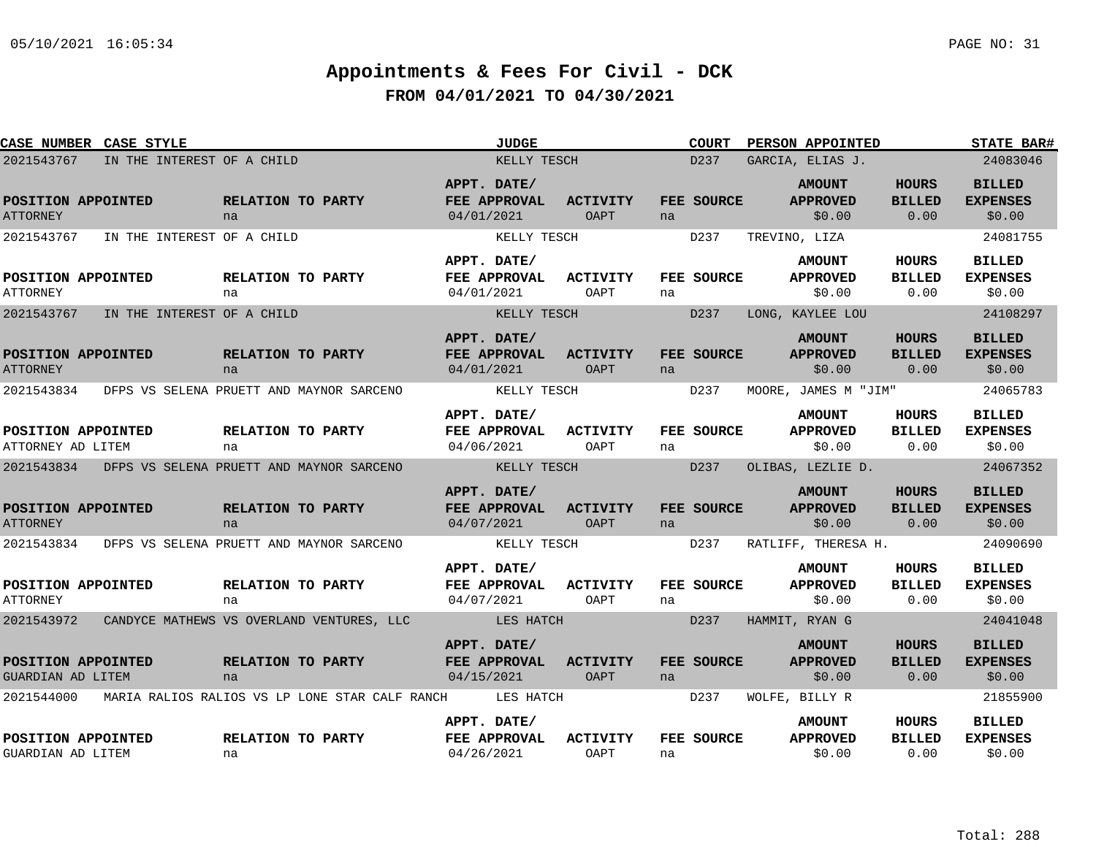| <b>CASE NUMBER CASE STYLE</b>           |                                                     |                                |                                                | <b>JUDGE</b>                              |                                |    | <b>COURT</b>      |                  | <b>PERSON APPOINTED</b>                    |                                       | <b>STATE BAR#</b>                          |
|-----------------------------------------|-----------------------------------------------------|--------------------------------|------------------------------------------------|-------------------------------------------|--------------------------------|----|-------------------|------------------|--------------------------------------------|---------------------------------------|--------------------------------------------|
| 2021543767                              | IN THE INTEREST OF A CHILD                          |                                |                                                |                                           | KELLY TESCH                    |    | D237              | GARCIA, ELIAS J. |                                            |                                       | 24083046                                   |
| POSITION APPOINTED<br><b>ATTORNEY</b>   |                                                     | RELATION TO PARTY<br>na        |                                                | APPT. DATE/<br>FEE APPROVAL<br>04/01/2021 | <b>ACTIVITY</b><br>OAPT        | na | FEE SOURCE        |                  | <b>AMOUNT</b><br><b>APPROVED</b><br>\$0.00 | <b>HOURS</b><br><b>BILLED</b><br>0.00 | <b>BILLED</b><br><b>EXPENSES</b><br>\$0.00 |
| 2021543767                              | IN THE INTEREST OF A CHILD                          |                                |                                                |                                           | KELLY TESCH                    |    | D237              | TREVINO, LIZA    |                                            |                                       | 24081755                                   |
| POSITION APPOINTED<br><b>ATTORNEY</b>   |                                                     | <b>RELATION TO PARTY</b><br>na |                                                | APPT. DATE/<br>FEE APPROVAL<br>04/01/2021 | <b>ACTIVITY</b><br>OAPT        | na | <b>FEE SOURCE</b> |                  | <b>AMOUNT</b><br><b>APPROVED</b><br>\$0.00 | HOURS<br><b>BILLED</b><br>0.00        | <b>BILLED</b><br><b>EXPENSES</b><br>\$0.00 |
| 2021543767                              | IN THE INTEREST OF A CHILD                          |                                |                                                |                                           | KELLY TESCH                    |    | D <sub>237</sub>  | LONG, KAYLEE LOU |                                            |                                       | 24108297                                   |
| POSITION APPOINTED<br><b>ATTORNEY</b>   |                                                     | RELATION TO PARTY<br>na        |                                                | APPT. DATE/<br>FEE APPROVAL<br>04/01/2021 | <b>ACTIVITY</b><br>OAPT        | na | FEE SOURCE        |                  | <b>AMOUNT</b><br><b>APPROVED</b><br>\$0.00 | <b>HOURS</b><br><b>BILLED</b><br>0.00 | <b>BILLED</b><br><b>EXPENSES</b><br>\$0.00 |
| 2021543834                              | DFPS VS SELENA PRUETT AND MAYNOR SARCENO            |                                |                                                |                                           | KELLY TESCH                    |    | D237              |                  | MOORE, JAMES M "JIM"                       |                                       | 24065783                                   |
| POSITION APPOINTED<br>ATTORNEY AD LITEM |                                                     | RELATION TO PARTY<br>na        |                                                | APPT. DATE/<br>FEE APPROVAL<br>04/06/2021 | <b>ACTIVITY</b><br>OAPT        | na | FEE SOURCE        |                  | <b>AMOUNT</b><br><b>APPROVED</b><br>\$0.00 | <b>HOURS</b><br><b>BILLED</b><br>0.00 | <b>BILLED</b><br><b>EXPENSES</b><br>\$0.00 |
|                                         | 2021543834 DFPS VS SELENA PRUETT AND MAYNOR SARCENO |                                |                                                | <b>EXAMPLE AND REALLY TESCH</b>           |                                |    | D237              |                  | OLIBAS, LEZLIE D.                          |                                       | 24067352                                   |
| POSITION APPOINTED<br><b>ATTORNEY</b>   |                                                     | RELATION TO PARTY<br>na        |                                                | APPT. DATE/<br>FEE APPROVAL<br>04/07/2021 | <b>ACTIVITY</b><br>OAPT        | na | FEE SOURCE        |                  | <b>AMOUNT</b><br><b>APPROVED</b><br>\$0.00 | <b>HOURS</b><br><b>BILLED</b><br>0.00 | <b>BILLED</b><br><b>EXPENSES</b><br>\$0.00 |
| 2021543834                              | DFPS VS SELENA PRUETT AND MAYNOR SARCENO            |                                |                                                | KELLY TESCH                               |                                |    | D237              |                  | RATLIFF, THERESA H.                        |                                       | 24090690                                   |
| POSITION APPOINTED<br><b>ATTORNEY</b>   |                                                     | <b>RELATION TO PARTY</b><br>na |                                                | APPT. DATE/<br>FEE APPROVAL<br>04/07/2021 | <b>ACTIVITY</b><br><b>OAPT</b> | na | FEE SOURCE        |                  | <b>AMOUNT</b><br><b>APPROVED</b><br>\$0.00 | HOURS<br><b>BILLED</b><br>0.00        | <b>BILLED</b><br><b>EXPENSES</b><br>\$0.00 |
| 2021543972                              | CANDYCE MATHEWS VS OVERLAND VENTURES, LLC           |                                |                                                | <b>EXAMPLES HATCH</b>                     |                                |    | D237              | HAMMIT, RYAN G   |                                            |                                       | 24041048                                   |
| POSITION APPOINTED<br>GUARDIAN AD LITEM |                                                     | RELATION TO PARTY<br>na        |                                                | APPT. DATE/<br>FEE APPROVAL<br>04/15/2021 | <b>ACTIVITY</b><br>OAPT        | na | FEE SOURCE        |                  | <b>AMOUNT</b><br><b>APPROVED</b><br>\$0.00 | <b>HOURS</b><br><b>BILLED</b><br>0.00 | <b>BILLED</b><br><b>EXPENSES</b><br>\$0.00 |
| 2021544000                              |                                                     |                                | MARIA RALIOS RALIOS VS LP LONE STAR CALF RANCH | LES HATCH                                 |                                |    | D237              | WOLFE, BILLY R   |                                            |                                       | 21855900                                   |
| POSITION APPOINTED<br>GUARDIAN AD LITEM |                                                     | RELATION TO PARTY<br>na        |                                                | APPT. DATE/<br>FEE APPROVAL<br>04/26/2021 | <b>ACTIVITY</b><br>OAPT        | na | FEE SOURCE        |                  | <b>AMOUNT</b><br><b>APPROVED</b><br>\$0.00 | HOURS<br><b>BILLED</b><br>0.00        | <b>BILLED</b><br><b>EXPENSES</b><br>\$0.00 |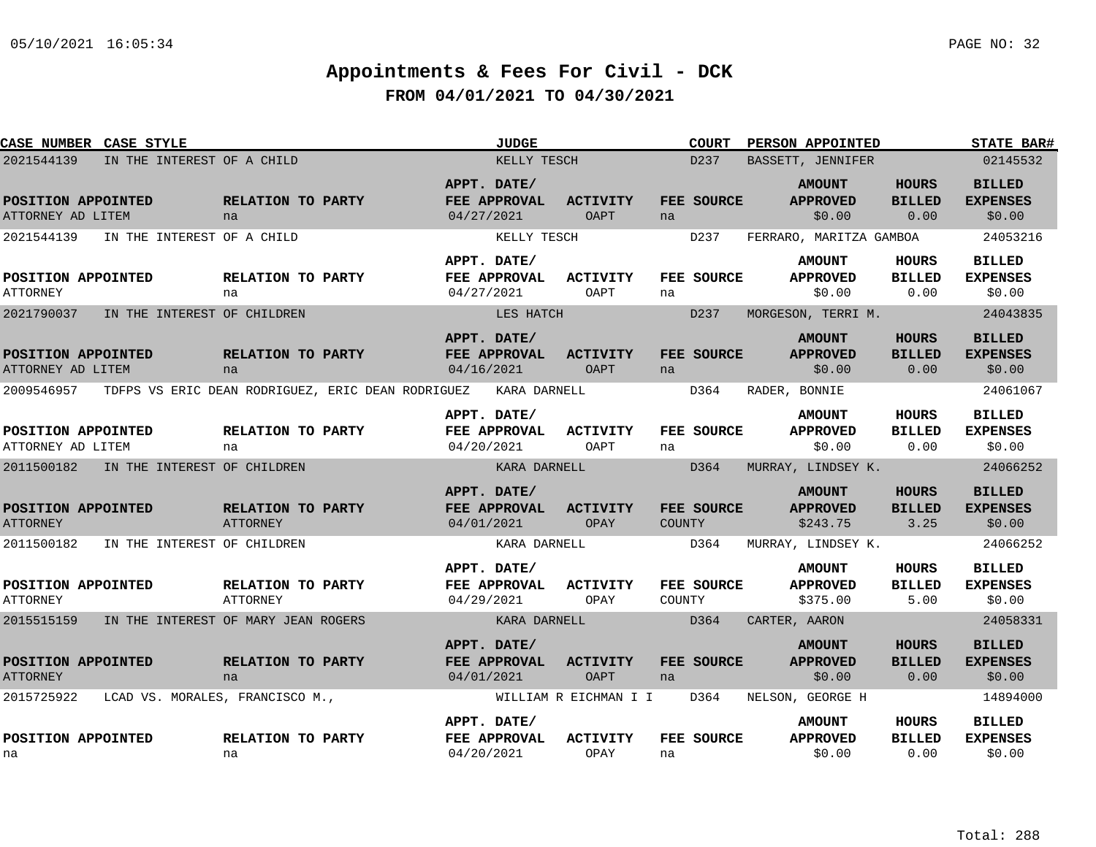| CASE NUMBER CASE STYLE                  |                                                              |                                |                           | <b>JUDGE</b> |                                |               | <b>COURT</b>      |               | PERSON APPOINTED                             |                                       | <b>STATE BAR#</b>                          |
|-----------------------------------------|--------------------------------------------------------------|--------------------------------|---------------------------|--------------|--------------------------------|---------------|-------------------|---------------|----------------------------------------------|---------------------------------------|--------------------------------------------|
| 2021544139                              | IN THE INTEREST OF A CHILD                                   |                                |                           | KELLY TESCH  |                                |               | D237              |               | BASSETT, JENNIFER                            |                                       | 02145532                                   |
| POSITION APPOINTED<br>ATTORNEY AD LITEM |                                                              | <b>RELATION TO PARTY</b><br>na | APPT. DATE/<br>04/27/2021 | FEE APPROVAL | <b>ACTIVITY</b><br>OAPT        | na            | FEE SOURCE        |               | <b>AMOUNT</b><br><b>APPROVED</b><br>\$0.00   | <b>HOURS</b><br><b>BILLED</b><br>0.00 | <b>BILLED</b><br><b>EXPENSES</b><br>\$0.00 |
| 2021544139                              | IN THE INTEREST OF A CHILD                                   |                                |                           | KELLY TESCH  |                                |               | D237              |               | FERRARO, MARITZA GAMBOA                      |                                       | 24053216                                   |
| POSITION APPOINTED<br><b>ATTORNEY</b>   |                                                              | <b>RELATION TO PARTY</b><br>na | APPT. DATE/<br>04/27/2021 | FEE APPROVAL | <b>ACTIVITY</b><br>OAPT        | na            | FEE SOURCE        |               | <b>AMOUNT</b><br><b>APPROVED</b><br>\$0.00   | HOURS<br><b>BILLED</b><br>0.00        | <b>BILLED</b><br><b>EXPENSES</b><br>\$0.00 |
| 2021790037                              | IN THE INTEREST OF CHILDREN                                  |                                |                           | LES HATCH    |                                |               | D <sub>237</sub>  |               | MORGESON, TERRI M.                           |                                       | 24043835                                   |
| POSITION APPOINTED<br>ATTORNEY AD LITEM |                                                              | <b>RELATION TO PARTY</b><br>na | APPT. DATE/<br>04/16/2021 | FEE APPROVAL | <b>ACTIVITY</b><br><b>OAPT</b> | na            | FEE SOURCE        |               | <b>AMOUNT</b><br><b>APPROVED</b><br>\$0.00   | HOURS<br><b>BILLED</b><br>0.00        | <b>BILLED</b><br><b>EXPENSES</b><br>\$0.00 |
|                                         | 2009546957 TDFPS VS ERIC DEAN RODRIGUEZ, ERIC DEAN RODRIGUEZ |                                |                           | KARA DARNELL |                                |               | D364              | RADER, BONNIE |                                              |                                       | 24061067                                   |
| POSITION APPOINTED<br>ATTORNEY AD LITEM |                                                              | RELATION TO PARTY<br>na        | APPT. DATE/<br>04/20/2021 | FEE APPROVAL | <b>ACTIVITY</b><br>OAPT        | na            | FEE SOURCE        |               | <b>AMOUNT</b><br><b>APPROVED</b><br>\$0.00   | <b>HOURS</b><br><b>BILLED</b><br>0.00 | <b>BILLED</b><br><b>EXPENSES</b><br>\$0.00 |
| 2011500182                              | IN THE INTEREST OF CHILDREN                                  |                                |                           | KARA DARNELL |                                |               | D364              |               | MURRAY, LINDSEY K.                           |                                       | 24066252                                   |
| POSITION APPOINTED<br><b>ATTORNEY</b>   |                                                              | RELATION TO PARTY<br>ATTORNEY  | APPT. DATE/<br>04/01/2021 | FEE APPROVAL | <b>ACTIVITY</b><br>OPAY        | <b>COUNTY</b> | FEE SOURCE        |               | <b>AMOUNT</b><br><b>APPROVED</b><br>\$243.75 | <b>HOURS</b><br><b>BILLED</b><br>3.25 | <b>BILLED</b><br><b>EXPENSES</b><br>\$0.00 |
| 2011500182                              | IN THE INTEREST OF CHILDREN                                  |                                |                           | KARA DARNELL |                                |               | D364              |               | MURRAY, LINDSEY K.                           |                                       | 24066252                                   |
| POSITION APPOINTED<br><b>ATTORNEY</b>   |                                                              | RELATION TO PARTY<br>ATTORNEY  | APPT. DATE/<br>04/29/2021 | FEE APPROVAL | <b>ACTIVITY</b><br>OPAY        | COUNTY        | <b>FEE SOURCE</b> |               | <b>AMOUNT</b><br><b>APPROVED</b><br>\$375.00 | HOURS<br><b>BILLED</b><br>5.00        | <b>BILLED</b><br><b>EXPENSES</b><br>\$0.00 |
| 2015515159                              | IN THE INTEREST OF MARY JEAN ROGERS                          |                                |                           | KARA DARNELL |                                |               | D364              | CARTER, AARON |                                              |                                       | 24058331                                   |
| POSITION APPOINTED<br><b>ATTORNEY</b>   |                                                              | RELATION TO PARTY<br>na        | APPT. DATE/<br>04/01/2021 | FEE APPROVAL | <b>ACTIVITY</b><br>OAPT        | na            | FEE SOURCE        |               | <b>AMOUNT</b><br><b>APPROVED</b><br>\$0.00   | <b>HOURS</b><br><b>BILLED</b><br>0.00 | <b>BILLED</b><br><b>EXPENSES</b><br>\$0.00 |
| 2015725922                              | LCAD VS. MORALES, FRANCISCO M.,                              |                                |                           |              | WILLIAM R EICHMAN I I          |               | D364              |               | NELSON, GEORGE H                             |                                       | 14894000                                   |
| POSITION APPOINTED<br>na                |                                                              | RELATION TO PARTY<br>na        | APPT. DATE/<br>04/20/2021 | FEE APPROVAL | <b>ACTIVITY</b><br>OPAY        | na            | FEE SOURCE        |               | <b>AMOUNT</b><br><b>APPROVED</b><br>\$0.00   | HOURS<br><b>BILLED</b><br>0.00        | <b>BILLED</b><br><b>EXPENSES</b><br>\$0.00 |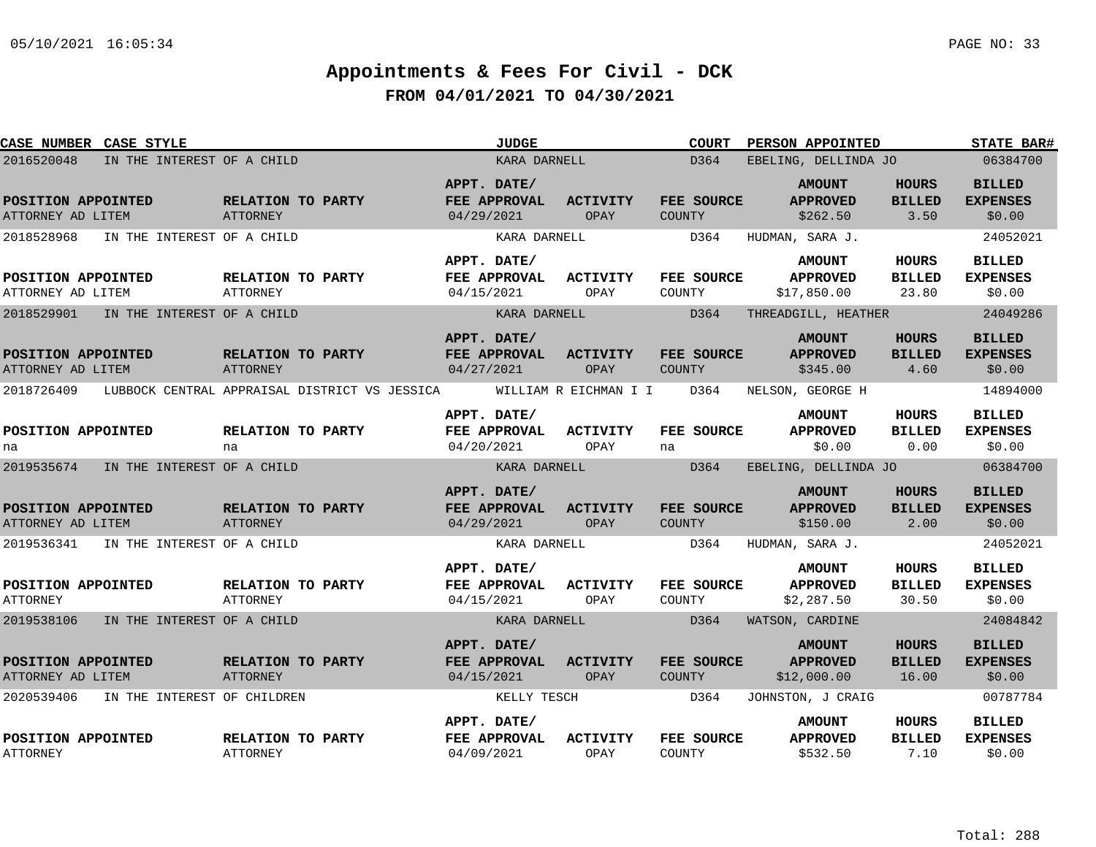| <b>CASE NUMBER CASE STYLE</b>                                                    |                                               | <b>JUDGE</b>                                              |                         | COURT                        | PERSON APPOINTED                                                |                                        | <b>STATE BAR#</b>                                      |
|----------------------------------------------------------------------------------|-----------------------------------------------|-----------------------------------------------------------|-------------------------|------------------------------|-----------------------------------------------------------------|----------------------------------------|--------------------------------------------------------|
| 2016520048<br>IN THE INTEREST OF A CHILD                                         |                                               | KARA DARNELL                                              |                         | D364                         | EBELING, DELLINDA JO                                            |                                        | 06384700                                               |
| POSITION APPOINTED<br>ATTORNEY AD LITEM                                          | RELATION TO PARTY<br>ATTORNEY                 | APPT. DATE/<br>FEE APPROVAL<br>04/29/2021                 | <b>ACTIVITY</b><br>OPAY | FEE SOURCE<br>COUNTY         | <b>AMOUNT</b><br><b>APPROVED</b><br>\$262.50                    | <b>HOURS</b><br><b>BILLED</b><br>3.50  | <b>BILLED</b><br><b>EXPENSES</b><br>\$0.00             |
| 2018528968<br>IN THE INTEREST OF A CHILD                                         |                                               | KARA DARNELL                                              |                         | D364                         | HUDMAN, SARA J.                                                 |                                        | 24052021                                               |
| POSITION APPOINTED<br>ATTORNEY AD LITEM                                          | <b>RELATION TO PARTY</b><br>ATTORNEY          | APPT. DATE/<br>FEE APPROVAL<br>04/15/2021                 | <b>ACTIVITY</b><br>OPAY | FEE SOURCE<br>COUNTY         | <b>AMOUNT</b><br><b>APPROVED</b><br>\$17,850.00                 | HOURS<br><b>BILLED</b><br>23.80        | <b>BILLED</b><br><b>EXPENSES</b><br>\$0.00             |
| 2018529901<br>IN THE INTEREST OF A CHILD                                         |                                               | KARA DARNELL                                              |                         | D364                         | THREADGILL, HEATHER                                             |                                        | 24049286                                               |
| POSITION APPOINTED<br>ATTORNEY AD LITEM                                          | RELATION TO PARTY<br><b>ATTORNEY</b>          | APPT. DATE/<br><b>FEE APPROVAL</b><br>04/27/2021          | <b>ACTIVITY</b><br>OPAY | FEE SOURCE<br>COUNTY         | <b>AMOUNT</b><br><b>APPROVED</b><br>\$345.00                    | <b>HOURS</b><br><b>BILLED</b><br>4.60  | <b>BILLED</b><br><b>EXPENSES</b><br>\$0.00             |
| 2018726409                                                                       | LUBBOCK CENTRAL APPRAISAL DISTRICT VS JESSICA |                                                           | WILLIAM R EICHMAN I I   | D364                         | NELSON, GEORGE H                                                |                                        | 14894000                                               |
| POSITION APPOINTED<br>na                                                         | RELATION TO PARTY<br>na                       | APPT. DATE/<br>FEE APPROVAL<br>04/20/2021                 | <b>ACTIVITY</b><br>OPAY | FEE SOURCE<br>na             | <b>AMOUNT</b><br><b>APPROVED</b><br>\$0.00                      | HOURS<br><b>BILLED</b><br>0.00         | <b>BILLED</b><br><b>EXPENSES</b><br>\$0.00             |
| 2019535674 IN THE INTEREST OF A CHILD                                            |                                               | KARA DARNELL                                              |                         | D364                         | EBELING, DELLINDA JO                                            |                                        | 06384700                                               |
| POSITION APPOINTED<br>ATTORNEY AD LITEM<br>2019536341 IN THE INTEREST OF A CHILD | RELATION TO PARTY<br><b>ATTORNEY</b>          | APPT. DATE/<br>FEE APPROVAL<br>04/29/2021<br>KARA DARNELL | <b>ACTIVITY</b><br>OPAY | FEE SOURCE<br>COUNTY<br>D364 | <b>AMOUNT</b><br><b>APPROVED</b><br>\$150.00<br>HUDMAN, SARA J. | <b>HOURS</b><br><b>BILLED</b><br>2.00  | <b>BILLED</b><br><b>EXPENSES</b><br>\$0.00<br>24052021 |
|                                                                                  |                                               |                                                           |                         |                              |                                                                 |                                        |                                                        |
| POSITION APPOINTED<br><b>ATTORNEY</b>                                            | <b>RELATION TO PARTY</b><br>ATTORNEY          | APPT. DATE/<br><b>FEE APPROVAL</b><br>04/15/2021          | <b>ACTIVITY</b><br>OPAY | FEE SOURCE<br>COUNTY         | <b>AMOUNT</b><br><b>APPROVED</b><br>\$2,287.50                  | HOURS<br><b>BILLED</b><br>30.50        | BILLED<br><b>EXPENSES</b><br>\$0.00                    |
| 2019538106<br>IN THE INTEREST OF A CHILD                                         |                                               | KARA DARNELL                                              |                         | D364                         | WATSON, CARDINE                                                 |                                        | 24084842                                               |
| POSITION APPOINTED<br>ATTORNEY AD LITEM                                          | RELATION TO PARTY<br>ATTORNEY                 | APPT. DATE/<br>FEE APPROVAL<br>04/15/2021                 | ACTIVITY<br>OPAY        | FEE SOURCE<br>COUNTY         | <b>AMOUNT</b><br><b>APPROVED</b><br>\$12,000.00                 | <b>HOURS</b><br><b>BILLED</b><br>16.00 | <b>BILLED</b><br><b>EXPENSES</b><br>\$0.00             |
| 2020539406<br>IN THE INTEREST OF CHILDREN                                        |                                               | KELLY TESCH                                               |                         | D364                         | JOHNSTON, J CRAIG                                               |                                        | 00787784                                               |
| POSITION APPOINTED<br><b>ATTORNEY</b>                                            | RELATION TO PARTY<br><b>ATTORNEY</b>          | APPT. DATE/<br>FEE APPROVAL<br>04/09/2021                 | ACTIVITY<br>OPAY        | FEE SOURCE<br>COUNTY         | <b>AMOUNT</b><br><b>APPROVED</b><br>\$532.50                    | HOURS<br><b>BILLED</b><br>7.10         | <b>BILLED</b><br><b>EXPENSES</b><br>\$0.00             |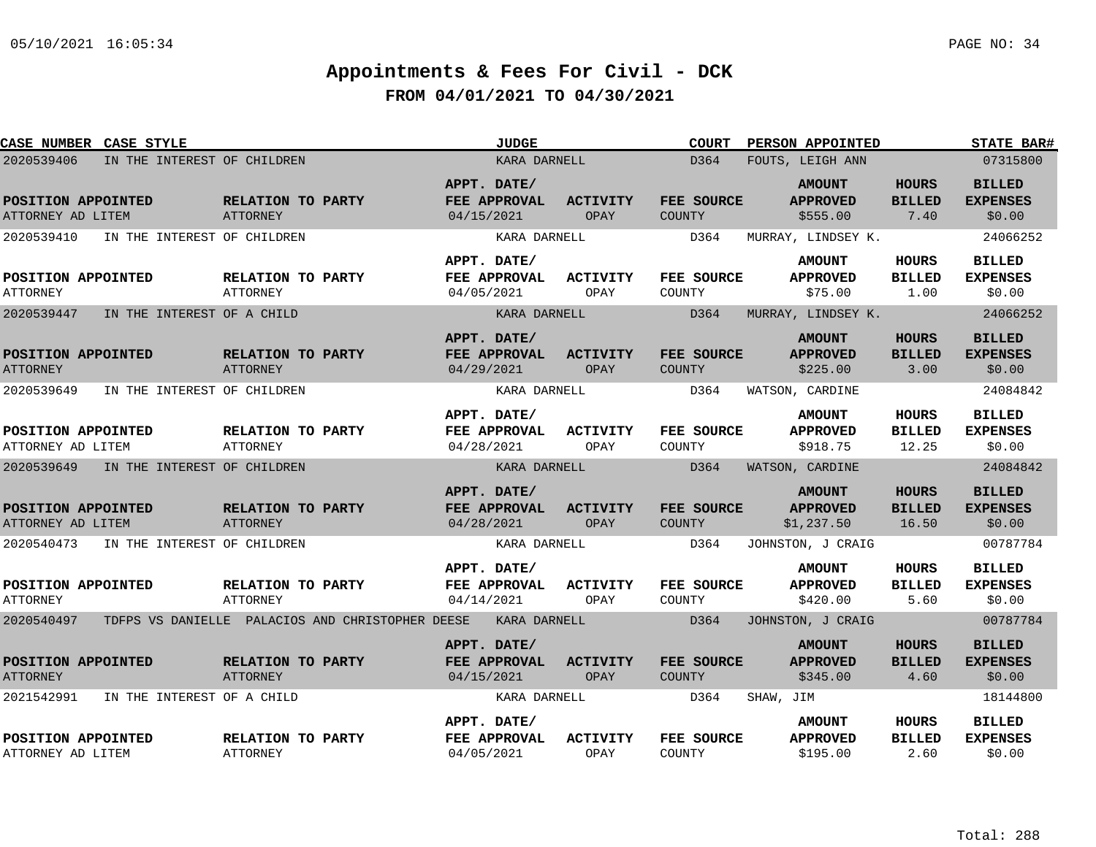| <b>CASE NUMBER CASE STYLE</b>           |                                                   | <b>JUDGE</b>                                     |                         | <b>COURT</b>                | PERSON APPOINTED                               |                                        | <b>STATE BAR#</b>                          |
|-----------------------------------------|---------------------------------------------------|--------------------------------------------------|-------------------------|-----------------------------|------------------------------------------------|----------------------------------------|--------------------------------------------|
| 2020539406                              | IN THE INTEREST OF CHILDREN                       | KARA DARNELL                                     |                         | D364                        | FOUTS, LEIGH ANN                               |                                        | 07315800                                   |
| POSITION APPOINTED<br>ATTORNEY AD LITEM | RELATION TO PARTY<br><b>ATTORNEY</b>              | APPT. DATE/<br>FEE APPROVAL<br>04/15/2021        | ACTIVITY<br>OPAY        | FEE SOURCE<br><b>COUNTY</b> | <b>AMOUNT</b><br><b>APPROVED</b><br>\$555.00   | <b>HOURS</b><br><b>BILLED</b><br>7.40  | <b>BILLED</b><br><b>EXPENSES</b><br>\$0.00 |
| 2020539410                              | IN THE INTEREST OF CHILDREN                       | KARA DARNELL                                     |                         | D364                        | MURRAY, LINDSEY K.                             |                                        | 24066252                                   |
| POSITION APPOINTED<br><b>ATTORNEY</b>   | RELATION TO PARTY<br>ATTORNEY                     | APPT. DATE/<br>FEE APPROVAL<br>04/05/2021        | <b>ACTIVITY</b><br>OPAY | FEE SOURCE<br>COUNTY        | <b>AMOUNT</b><br><b>APPROVED</b><br>\$75.00    | HOURS<br><b>BILLED</b><br>1.00         | <b>BILLED</b><br><b>EXPENSES</b><br>\$0.00 |
| 2020539447                              | IN THE INTEREST OF A CHILD                        | KARA DARNELL                                     |                         | D364                        | MURRAY, LINDSEY K.                             |                                        | 24066252                                   |
| POSITION APPOINTED<br><b>ATTORNEY</b>   | RELATION TO PARTY<br>ATTORNEY                     | APPT. DATE/<br>FEE APPROVAL<br>04/29/2021        | <b>ACTIVITY</b><br>OPAY | FEE SOURCE<br>COUNTY        | <b>AMOUNT</b><br><b>APPROVED</b><br>\$225.00   | <b>HOURS</b><br><b>BILLED</b><br>3.00  | <b>BILLED</b><br><b>EXPENSES</b><br>\$0.00 |
| 2020539649                              | IN THE INTEREST OF CHILDREN                       | KARA DARNELL                                     |                         | D364                        | WATSON, CARDINE                                |                                        | 24084842                                   |
| POSITION APPOINTED<br>ATTORNEY AD LITEM | RELATION TO PARTY<br><b>ATTORNEY</b>              | APPT. DATE/<br>FEE APPROVAL<br>04/28/2021        | <b>ACTIVITY</b><br>OPAY | FEE SOURCE<br>COUNTY        | <b>AMOUNT</b><br><b>APPROVED</b><br>\$918.75   | <b>HOURS</b><br><b>BILLED</b><br>12.25 | <b>BILLED</b><br><b>EXPENSES</b><br>\$0.00 |
| 2020539649                              | IN THE INTEREST OF CHILDREN                       | KARA DARNELL                                     |                         | D364                        | WATSON, CARDINE                                |                                        | 24084842                                   |
| POSITION APPOINTED<br>ATTORNEY AD LITEM | RELATION TO PARTY<br>ATTORNEY                     | APPT. DATE/<br>FEE APPROVAL<br>04/28/2021        | <b>ACTIVITY</b><br>OPAY | <b>FEE SOURCE</b><br>COUNTY | <b>AMOUNT</b><br><b>APPROVED</b><br>\$1,237.50 | <b>HOURS</b><br><b>BILLED</b><br>16.50 | <b>BILLED</b><br><b>EXPENSES</b><br>\$0.00 |
| 2020540473                              | IN THE INTEREST OF CHILDREN                       | KARA DARNELL                                     |                         | D364                        | JOHNSTON, J CRAIG                              |                                        | 00787784                                   |
| POSITION APPOINTED<br><b>ATTORNEY</b>   | RELATION TO PARTY<br>ATTORNEY                     | APPT. DATE/<br>FEE APPROVAL<br>04/14/2021        | <b>ACTIVITY</b><br>OPAY | FEE SOURCE<br>COUNTY        | <b>AMOUNT</b><br><b>APPROVED</b><br>\$420.00   | HOURS<br><b>BILLED</b><br>5.60         | <b>BILLED</b><br><b>EXPENSES</b><br>\$0.00 |
| 2020540497                              | TDFPS VS DANIELLE  PALACIOS AND CHRISTOPHER DEESE | KARA DARNELL                                     |                         | D364                        | JOHNSTON, J CRAIG                              |                                        | 00787784                                   |
| POSITION APPOINTED<br><b>ATTORNEY</b>   | RELATION TO PARTY<br>ATTORNEY                     | APPT. DATE/<br><b>FEE APPROVAL</b><br>04/15/2021 | <b>ACTIVITY</b><br>OPAY | FEE SOURCE<br>COUNTY        | <b>AMOUNT</b><br><b>APPROVED</b><br>\$345.00   | <b>HOURS</b><br><b>BILLED</b><br>4.60  | <b>BILLED</b><br><b>EXPENSES</b><br>\$0.00 |
| 2021542991                              | IN THE INTEREST OF A CHILD                        | KARA DARNELL                                     |                         | D364                        | SHAW, JIM                                      |                                        | 18144800                                   |
| POSITION APPOINTED<br>ATTORNEY AD LITEM | RELATION TO PARTY<br>ATTORNEY                     | APPT. DATE/<br>FEE APPROVAL<br>04/05/2021        | <b>ACTIVITY</b><br>OPAY | FEE SOURCE<br><b>COUNTY</b> | <b>AMOUNT</b><br><b>APPROVED</b><br>\$195.00   | HOURS<br><b>BILLED</b><br>2.60         | <b>BILLED</b><br><b>EXPENSES</b><br>\$0.00 |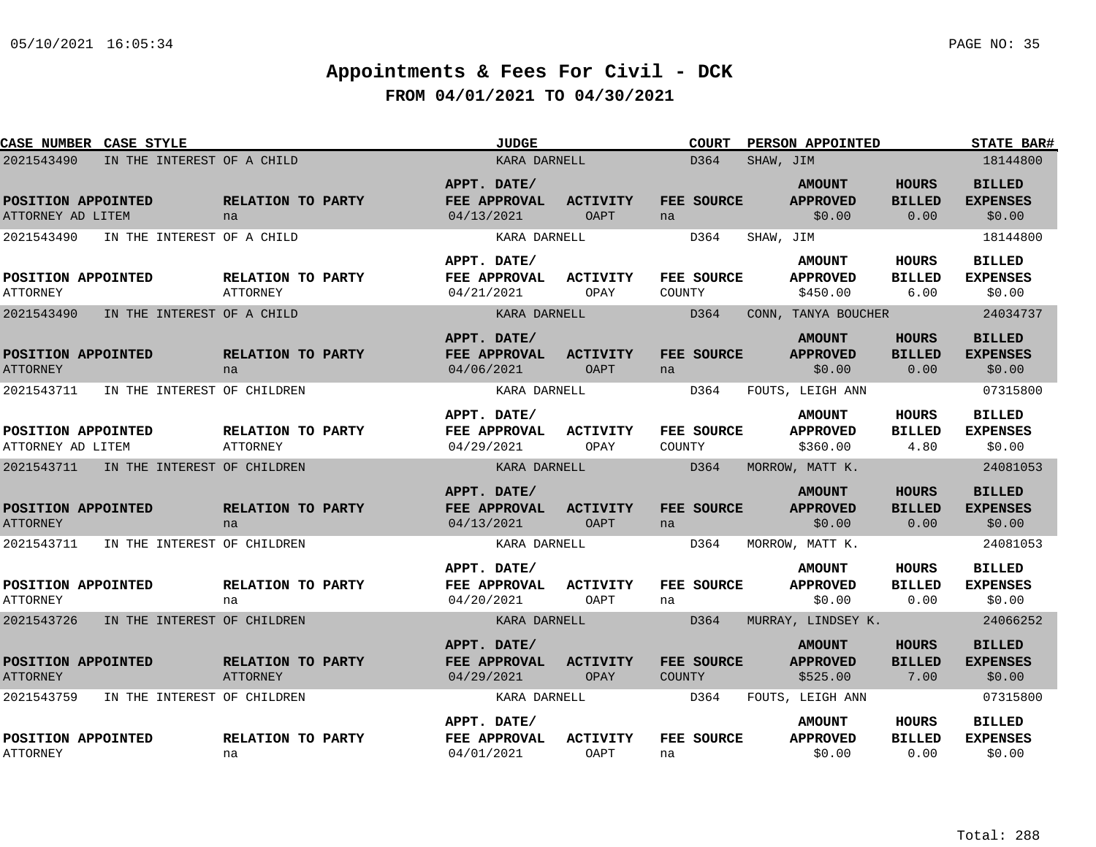| <b>CASE NUMBER CASE STYLE</b>           |                             |                                      | <b>JUDGE</b>                              |                                | <b>COURT</b>         |           | PERSON APPOINTED                             |                                       | <b>STATE BAR#</b>                          |
|-----------------------------------------|-----------------------------|--------------------------------------|-------------------------------------------|--------------------------------|----------------------|-----------|----------------------------------------------|---------------------------------------|--------------------------------------------|
| 2021543490                              | IN THE INTEREST OF A CHILD  |                                      | KARA DARNELL                              |                                | D364                 | SHAW, JIM |                                              |                                       | 18144800                                   |
| POSITION APPOINTED<br>ATTORNEY AD LITEM |                             | RELATION TO PARTY<br>na              | APPT. DATE/<br>FEE APPROVAL<br>04/13/2021 | <b>ACTIVITY</b><br><b>OAPT</b> | FEE SOURCE<br>na     |           | <b>AMOUNT</b><br><b>APPROVED</b><br>\$0.00   | <b>HOURS</b><br><b>BILLED</b><br>0.00 | <b>BILLED</b><br><b>EXPENSES</b><br>\$0.00 |
| 2021543490                              | IN THE INTEREST OF A CHILD  |                                      | KARA DARNELL                              |                                | D364                 | SHAW, JIM |                                              |                                       | 18144800                                   |
| POSITION APPOINTED<br><b>ATTORNEY</b>   |                             | RELATION TO PARTY<br><b>ATTORNEY</b> | APPT. DATE/<br>FEE APPROVAL<br>04/21/2021 | ACTIVITY<br>OPAY               | FEE SOURCE<br>COUNTY |           | <b>AMOUNT</b><br><b>APPROVED</b><br>\$450.00 | HOURS<br><b>BILLED</b><br>6.00        | <b>BILLED</b><br><b>EXPENSES</b><br>\$0.00 |
| 2021543490                              | IN THE INTEREST OF A CHILD  |                                      | KARA DARNELL                              |                                | D364                 |           | CONN, TANYA BOUCHER                          |                                       | 24034737                                   |
| POSITION APPOINTED<br><b>ATTORNEY</b>   |                             | RELATION TO PARTY<br>na              | APPT. DATE/<br>FEE APPROVAL<br>04/06/2021 | <b>ACTIVITY</b><br>OAPT        | FEE SOURCE<br>na     |           | <b>AMOUNT</b><br><b>APPROVED</b><br>\$0.00   | <b>HOURS</b><br><b>BILLED</b><br>0.00 | <b>BILLED</b><br><b>EXPENSES</b><br>\$0.00 |
| 2021543711                              | IN THE INTEREST OF CHILDREN |                                      | KARA DARNELL                              |                                | D364                 |           | FOUTS, LEIGH ANN                             |                                       | 07315800                                   |
| POSITION APPOINTED<br>ATTORNEY AD LITEM |                             | RELATION TO PARTY<br><b>ATTORNEY</b> | APPT. DATE/<br>FEE APPROVAL<br>04/29/2021 | <b>ACTIVITY</b><br>OPAY        | FEE SOURCE<br>COUNTY |           | <b>AMOUNT</b><br><b>APPROVED</b><br>\$360.00 | <b>HOURS</b><br><b>BILLED</b><br>4.80 | <b>BILLED</b><br><b>EXPENSES</b><br>\$0.00 |
| 2021543711                              | IN THE INTEREST OF CHILDREN |                                      | KARA DARNELL                              |                                | D364                 |           | MORROW, MATT K.                              |                                       | 24081053                                   |
| POSITION APPOINTED<br><b>ATTORNEY</b>   |                             | RELATION TO PARTY<br>na              | APPT. DATE/<br>FEE APPROVAL<br>04/13/2021 | <b>ACTIVITY</b><br><b>OAPT</b> | FEE SOURCE<br>na     |           | <b>AMOUNT</b><br><b>APPROVED</b><br>\$0.00   | <b>HOURS</b><br><b>BILLED</b><br>0.00 | <b>BILLED</b><br><b>EXPENSES</b><br>\$0.00 |
| 2021543711                              | IN THE INTEREST OF CHILDREN |                                      | KARA DARNELL                              |                                | D364                 |           | MORROW, MATT K.                              |                                       | 24081053                                   |
| POSITION APPOINTED<br><b>ATTORNEY</b>   |                             | RELATION TO PARTY<br>na              | APPT. DATE/<br>FEE APPROVAL<br>04/20/2021 | <b>ACTIVITY</b><br>OAPT        | FEE SOURCE<br>na     |           | <b>AMOUNT</b><br><b>APPROVED</b><br>\$0.00   | HOURS<br><b>BILLED</b><br>0.00        | <b>BILLED</b><br><b>EXPENSES</b><br>\$0.00 |
| 2021543726                              | IN THE INTEREST OF CHILDREN |                                      | KARA DARNELL                              |                                | D364                 |           | MURRAY, LINDSEY K.                           |                                       | 24066252                                   |
| POSITION APPOINTED<br><b>ATTORNEY</b>   |                             | RELATION TO PARTY<br><b>ATTORNEY</b> | APPT. DATE/<br>FEE APPROVAL<br>04/29/2021 | <b>ACTIVITY</b><br>OPAY        | FEE SOURCE<br>COUNTY |           | <b>AMOUNT</b><br><b>APPROVED</b><br>\$525.00 | HOURS<br><b>BILLED</b><br>7.00        | <b>BILLED</b><br><b>EXPENSES</b><br>\$0.00 |
| 2021543759                              | IN THE INTEREST OF CHILDREN |                                      | KARA DARNELL                              |                                | D364                 |           | FOUTS, LEIGH ANN                             |                                       | 07315800                                   |
| POSITION APPOINTED<br>ATTORNEY          |                             | RELATION TO PARTY<br>na              | APPT. DATE/<br>FEE APPROVAL<br>04/01/2021 | <b>ACTIVITY</b><br><b>OAPT</b> | FEE SOURCE<br>na     |           | <b>AMOUNT</b><br><b>APPROVED</b><br>\$0.00   | HOURS<br><b>BILLED</b><br>0.00        | <b>BILLED</b><br><b>EXPENSES</b><br>\$0.00 |